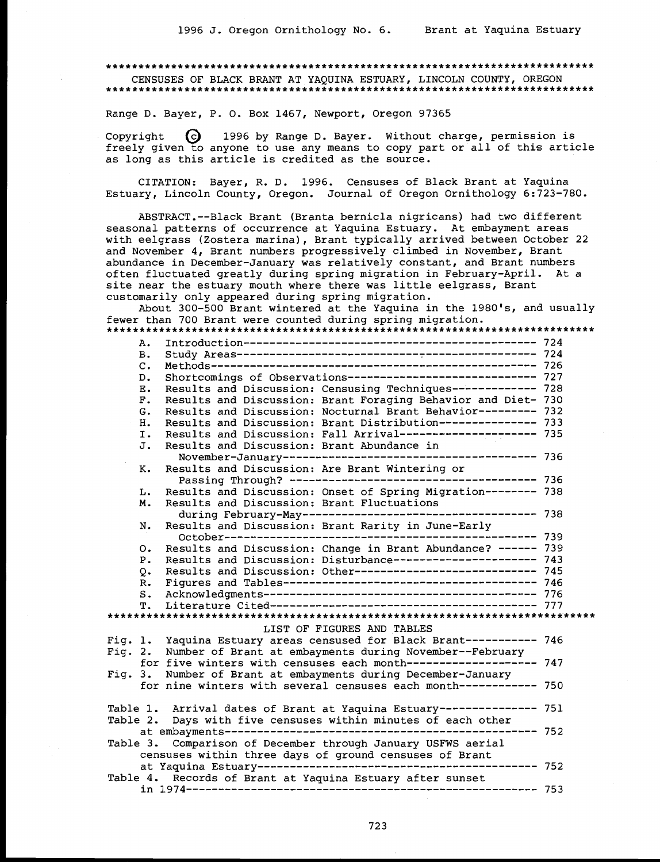#### 

CENSUSES OF BLACK BRANT AT YAQUINA ESTUARY, LINCOLN COUNTY, OREGON 

Range D. Bayer, P. O. Box 1467, Newport, Oregon 97365

 $\Theta$ 1996 by Range D. Bayer. Without charge, permission is Copyright freely given to anyone to use any means to copy part or all of this article as long as this article is credited as the source.

CITATION: Bayer, R. D. 1996. Censuses of Black Brant at Yaquina Estuary, Lincoln County, Oregon. Journal of Oregon Ornithology 6:723-780.

ABSTRACT.--Black Brant (Branta bernicla nigricans) had two different seasonal patterns of occurrence at Yaquina Estuary. At embayment areas with eelgrass (Zostera marina), Brant typically arrived between October 22 and November 4, Brant numbers progressively climbed in November, Brant abundance in December-January was relatively constant, and Brant numbers often fluctuated greatly during spring migration in February-April. At a site near the estuary mouth where there was little eelgrass, Brant customarily only appeared during spring migration.

About 300-500 Brant wintered at the Yaquina in the 1980's, and usually fewer than 700 Brant were counted during spring migration.

D. Shortcomings of Observations---------------------------- 727 E. Results and Discussion: Censusing Techniques------------ 728 F. Results and Discussion: Brant Foraging Behavior and Diet- 730 G. Results and Discussion: Nocturnal Brant Behavior--------- 732 H. Results and Discussion: Brant Distribution-------------- 733 I. Results and Discussion: Fall Arrival--------------------- 735 J. Results and Discussion: Brant Abundance in K. Results and Discussion: Are Brant Wintering or Results and Discussion: Onset of Spring Migration-------- 738 L. M. Results and Discussion: Brant Fluctuations  $N_{\odot}$ Results and Discussion: Brant Rarity in June-Early O. Results and Discussion: Change in Brant Abundance? ----- 739 P. Results and Discussion: Disturbance---------------------- 743 Q. Results and Discussion: Other---------------------------- 745 LIST OF FIGURES AND TABLES Fig. 1. Yaquina Estuary areas censused for Black Brant----------- 746 Fig. 2. Number of Brant at embayments during November--February for five winters with censuses each month------------------- 747 Fig. 3. Number of Brant at embayments during December-January for nine winters with several censuses each month----------- 750 Table 1. Arrival dates of Brant at Yaquina Estuary--------------- 751 Table 2. Days with five censuses within minutes of each other Table 3. Comparison of December through January USFWS aerial censuses within three days of ground censuses of Brant Table 4. Records of Brant at Yaquina Estuary after sunset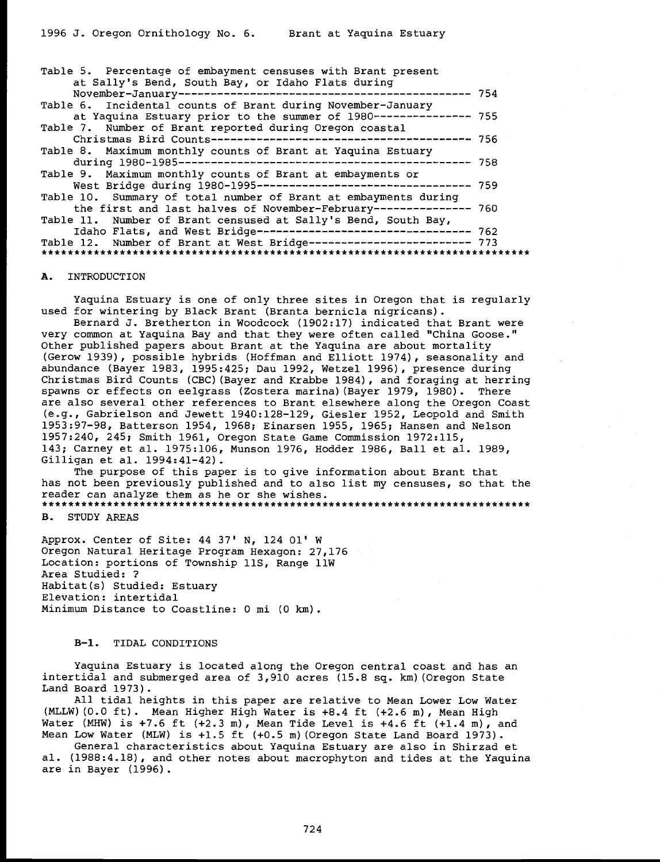| Table 5. Percentage of embayment censuses with Brant present<br>at Sally's Bend, South Bay, or Idaho Flats during |  |
|-------------------------------------------------------------------------------------------------------------------|--|
|                                                                                                                   |  |
| Table 6. Incidental counts of Brant during November-January                                                       |  |
| at Yaquina Estuary prior to the summer of 1980-------------- 755                                                  |  |
| Table 7. Number of Brant reported during Oregon coastal                                                           |  |
|                                                                                                                   |  |
| Table 8. Maximum monthly counts of Brant at Yaquina Estuary                                                       |  |
|                                                                                                                   |  |
| Table 9. Maximum monthly counts of Brant at embayments or                                                         |  |
|                                                                                                                   |  |
| Table 10. Summary of total number of Brant at embayments during                                                   |  |
| the first and last halves of November-February-------------- 760                                                  |  |
| Table 11. Number of Brant censused at Sally's Bend, South Bay,                                                    |  |
| Idaho Flats, and West Bridge--------------------------------- 762                                                 |  |
| Table 12. Number of Brant at West Bridge------------------------- 773                                             |  |
|                                                                                                                   |  |

#### A. INTRODUCTION

Yaquina Estuary is one of only three sites in Oregon that is regularly used for wintering by Black Brant (Branta bernicla nigricans). Bernard J. Bretherton in Woodcock (1902:17) indicated that Brant were very common at Yaq

Other published papers about Brant at the Yaquina are about mortality (Gerow 1939), possible hybrids (Hoffman and Elliott 1974), seasonality and abundance (Bayer 1983, 1995:425; Dau 1992, Wetzel 1996), presence during<br>Christmas Bird Counts (CBC)(Bayer and Krabbe 1984), and foraging at herring spawns or effects on eelgrass (Zostera marina)(Bayer 1979, 1980). There are also several other references to Brant elsewhere along the Oregon Coast (e.g., Gabrielson and Jewett 1940:128-129, Giesler 1952, Leopold and Smith 1953:97-98, Batterson 1954, 1968; Einarsen 1955, 1965; Hansen and Nelson 1957:240, 245; Smith 1961, Oregon State Game Commission 1972:115,<br>143; Carney et al. 1975:106, Munson 1976, Hodder 1986, Ball et al. 1989,<br>Gilligan et al. 1994:41-42).<br>The purpose of this paper is to give information about

reader can analyze them as he or she wishes.

B. STUDY AREAS

Approx. Center of Site: 44 37' N, 124 01' W Oregon Natural Heritage Program Hexagon: 27,176 Location: portions of Township 11S, Range 11W Area Studied: ? Habitat(s) Studied: Estuary Elevation: intertidal Minimum Distance to Coastline: 0 mi (0 km).

#### B-1. TIDAL CONDITIONS

Yaquina Estuary is located along the Oregon central coast and has an intertidal and submerged area of 3,910 acres (15.8 sq. km)(Oregon State

All tidal heights in this paper are relative to Mean Lower Low Water (MLLW)  $(0.0 \text{ ft})$ . Mean Higher High Water is +8.4 ft  $(+2.6 \text{ m})$ , Mean High Water (MHW) is +7.6 ft  $(+2.3 \text{ m})$ , Mean Tide Level is  $+4.6 \text{ ft } (+1.4 \text{ m})$ , and Mean Low Water (MLW) is +1.5 ft  $(+0.5 \text{ m})$  (Oregon State Land

are in Bayer (1996).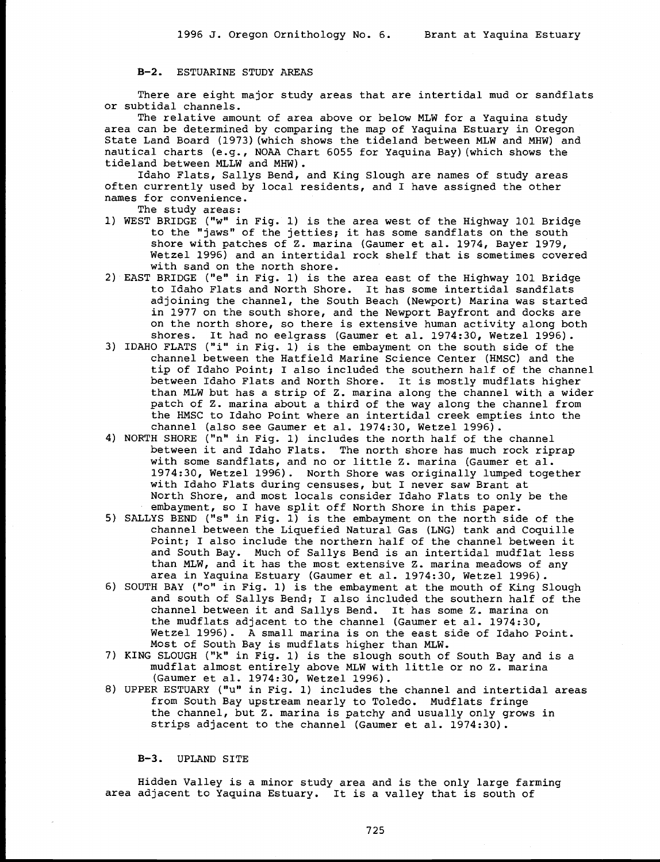B-2. ESTUARINE STUDY AREAS

There are eight major study areas that are intertidal mud or sandflats or subtidal channels.

The relative amount of area above or below MLW for a Yaquina study area can be determined by comparing the map of Yaquina Estuary in Oregon State Land Board (1973)(which shows the tideland between MLW and MHW) and nautical charts (e.g., NOAA Chart 6055 for Yaquina Bay)(which shows the tideland between MLLW and MHW).

Idaho Flats, Sallys Bend, and King Slough are names of study areas often currently used by local residents, and I have assigned the other names for convenience.

- The study areas:
- 1) WEST BRIDGE ("w" in Fig. 1) is the area west of the Highway 101 Bridge to the "jaws" of the jetties; it has some sandflats on the south shore with patches of Z. marina (Gaumer et al. 1974, Bayer 1979, Wetzel 1996) and an intertidal rock shelf that is sometimes covered with sand on the north shore.
- 2) EAST BRIDGE ("e" in Fig. 1) is the area east of the Highway 101 Bridge to Idaho Flats and North Shore. It has some intertidal sandflats adjoining the channel, the South Beach (Newport) Marina was started in 1977 on the south shore, and the Newport Bayfront and docks are on the north shore, so there is extensive human activity along both shores. It had no eelgrass (Gaumer et al. 1974:30, Wetzel 1996).
- 3) IDAHO FLATS ("i" in Fig. 1) is the embayment on the south side of the channel between the Hatfield Marine Science Center (HMSC) and the tip of Idaho Point; I also included the southern half of the channel between Idaho Flats and North Shore. It is mostly mudflats higher than MLW but has a strip of Z. marina along the channel with a wider patch of Z. marina about a third of the way along the channel from the HMSC to Idaho Point where an intertidal creek empties into the channel (also see Gaumer et al. 1974:30, Wetzel 1996).
- 4) NORTH SHORE ("n" in Fig. 1) includes the north half of the channel between it and Idaho Flats. The north shore has much rock riprap with some sandflats, and no or little Z. marina (Gaumer et al. 1974:30, Wetzel 1996). North Shore was originally lumped together with Idaho Flats during censuses, but I never saw Brant at North Shore, and most locals consider Idaho Flats to only be the embayment, so I have split off North Shore in this paper.
- 5) SALLYS BEND ("s" in Fig. 1) is the embayment on the north side of the channel between the Liquefied Natural Gas (LNG) tank and Coquille Point; I also include the northern half of the channel between it and South Bay. Much of Sallys Bend is an intertidal mudflat less than MLW, and it has the most extensive Z. marina meadows of any area in Yaquina Estuary (Gaumer et al. 1974:30, Wetzel 1996).
- 6) SOUTH BAY ("o" in Fig. 1) is the embayment at the mouth of King Slough and south of Sallys Bend; I also included the southern half of the channel between it and Sallys Bend. It has some Z. marina on the mudflats adjacent to the channel (Gaumer et al. 1974:30, Wetzel 1996). A small marina is on the east side of Idaho Point. Most of South Bay is mudflats higher than MLW.
- 7) KING SLOUGH ("k" in Fig. 1) is the slough south of South Bay and is a mudflat almost entirely above MLW with little or no Z. marina (Gaumer et al. 1974:30, Wetzel 1996).
- 8) UPPER ESTUARY ("u" in Fig. 1) includes the channel and intertidal areas from South Bay upstream nearly to Toledo. Mudflats fringe the channel, but Z. marina is patchy and usually only grows in strips adjacent to the channel (Gaumer et al. 1974:30).

B-3. UPLAND SITE

Hidden Valley is a minor study area and is the only large farming area adjacent to Yaquina Estuary. It is a valley that is south of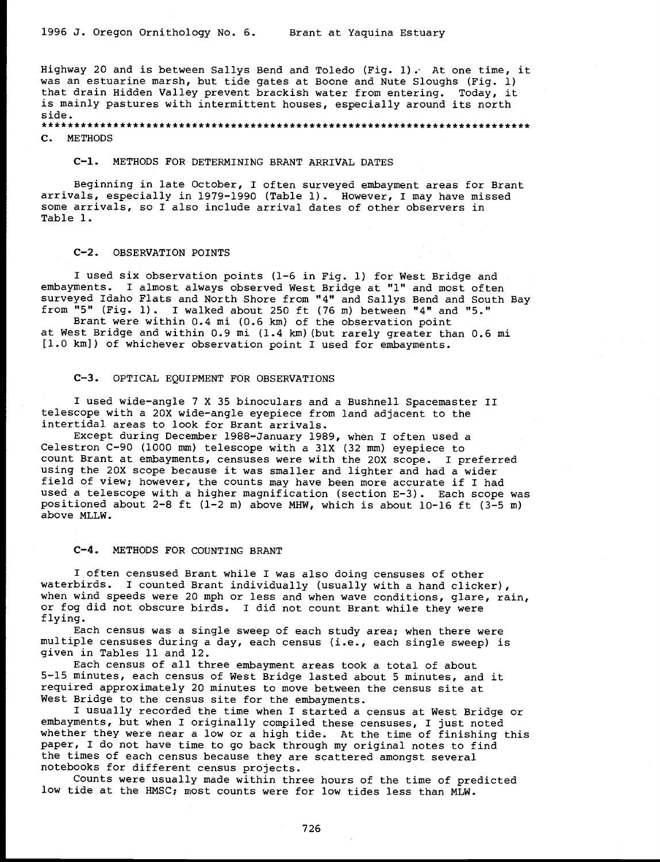Highway 20 and is between Sallys Bend and Toledo (Fig. 1). At one time, it was an estuarine marsh, but tide gates at Boone and Nute Sloughs (Fig. 1) that drain Hidden Valley prevent brackish water from entering. Today, it is mainly pastures with intermittent houses, especially around its north side.

C. METHODS

C-1. METHODS FOR DETERMINING BRANT ARRIVAL DATES

Beginning in late October, I often surveyed embayment areas for Brant arrivals, especially in 1979-1990 (Table 1). However, I may have missed some arrivals, so I also include arrival dates of other observers in Table 1.

#### C-2. OBSERVATION POINTS

I used six observation points (1-6 in Fig. 1) for West Bridge and embayments. I almost always observed West Bridge at "1" and most often

from "5" (Fig. 1). I walked about 250 ft (76 m) between "4" and "5."<br>Brant were within 0.4 mi (0.6 km) of the observation point<br>at West Bridge and within 0.9 mi (1.4 km) (but rarely greater than 0.6 mi<br>[1.0 km]) of whiche

#### C-3. OPTICAL EQUIPMENT FOR OBSERVATIONS

I used wide-angle 7 X 35 binoculars and a Bushnell Spacemaster II telescope with a 20X wide-angle eyepiece from land adjacent to the intertidal areas to look for Brant arrivals.

Except during December 1988-January 1989, when I often used a Celestron C-90 (1000 mm) telescope with a 31X (32 mm) eyepiece to count Brant at embayments, censuses were with the 20X scope. I preferred using the 20X scope because it was smaller and lighter and had a wider field of view; however, the counts may have been more accurate if I had<br>used a telescope with a higher magnification (section E-3). Each scope was<br>positioned about 2-8 ft (1-2 m) above MHW, which is about 10-16 ft (3-5 m)

C-4. METHODS FOR COUNTING BRANT

I often censused Brant while I was also doing censuses of other<br>waterbirds. I counted Brant individually (usually with a hand clicker), waterbirds. I counted Brant individually (usually with a hand clicker),<br>when wind speeds were 20 mph or less and when wave conditions, glare, rain,<br>or fog did not obscure birds. I did not count Brant while they were<br>flying

embayments, but when I originally compiled these censuses, I just noted whether they were near a low or a high tide. At the time of finishing this paper, I do not have time to go back through my original notes to find the times of each census because they are scattered amongst several notebooks for different census projects. Counts were usually made within three hours of the time of predicted

low tide at the HMSC; most counts were for low tides less than MLW.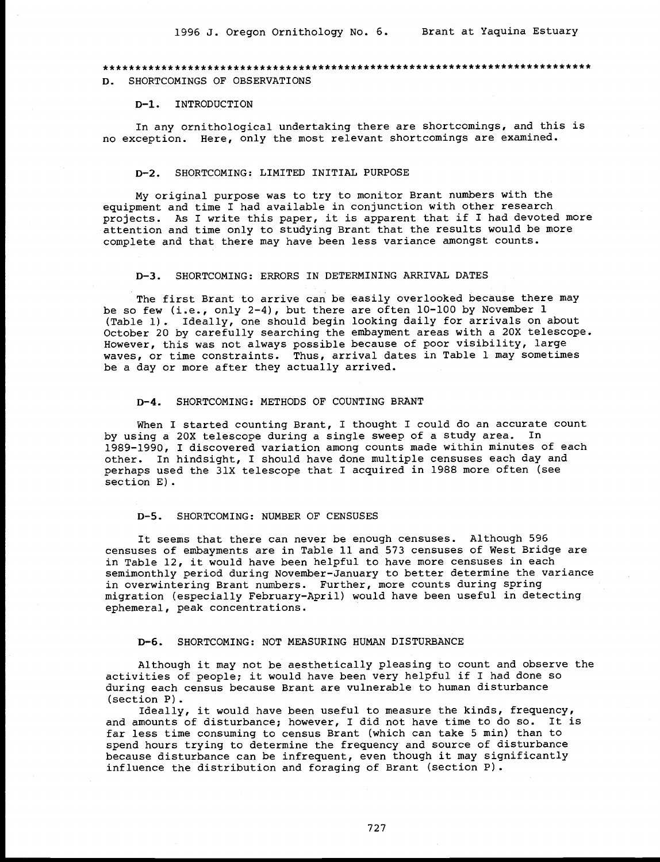# D. SHORTCOMINGS OF OBSERVATIONS

#### D-1. INTRODUCTION

In any ornithological undertaking there are shortcomings, and this is no exception. Here, only the most relevant shortcomings are examined.

#### D-2. SHORTCOMING: LIMITED INITIAL PURPOSE

My original purpose was to try to monitor Brant numbers with the equipment and time I had available in conjunction with other research projects. As I write this paper, it is apparent that if I had devoted more attention and time only to studying Brant that the results would be more complete and that there may have been less variance amongst counts.

#### D-3. SHORTCOMING: ERRORS IN DETERMINING ARRIVAL DATES

The first Brant to arrive can be easily overlooked because there may be so few (i.e., only 2-4), but there are often 10-100 by November 1 (Table 1). Ideally, one should begin looking daily for arrivals on about October 20 by carefully searching the embayment areas with a 20X telescope.<br>However, this was not always possible because of poor visibility, large<br>waves, or time constraints. Thus, arrival dates in Table 1 may sometimes<br>b

#### D-4. SHORTCOMING: METHODS OF COUNTING BRANT

When I started counting Brant, I thought I could do an accurate count by using a 20X telescope during a single sweep of a study area. In 1989-1990, I discovered variation among counts made within minutes of each<br>other. In hindsight, I should have done multiple censuses each day and perhaps used the 31X telescope that I acquired in 1988 more often (see section E).

#### D-5. SHORTCOMING: NUMBER OF CENSUSES

It seems that there can never be enough censuses. Although 596 censuses of embayments are in Table 11 and 573 censuses of West Bridge are in Table 12, it would have been helpful to have more censuses in each semimonthly period during November-January to better determine the variance<br>in overwintering Brant numbers. Further, more counts during spring migration (especially February-April) would have been useful in detecting ephemeral, peak concentrations.

#### D-6. SHORTCOMING: NOT MEASURING HUMAN DISTURBANCE

Although it may not be aesthetically pleasing to count and observe the activities of people; it would have been very helpful if I had done so during each census because Brant are vulnerable to human disturbance

(section P).<br>Ideally, it would have been useful to measure the kinds, frequency,<br>and amounts of disturbance; however, I did not have time to do so. It is far less time consuming to census Brant (which can take 5 min) than to spend hours trying to determine the frequency and source of disturbance because disturbance can be infrequent, even though it may significantly influence the distribution and foraging of Brant (section P).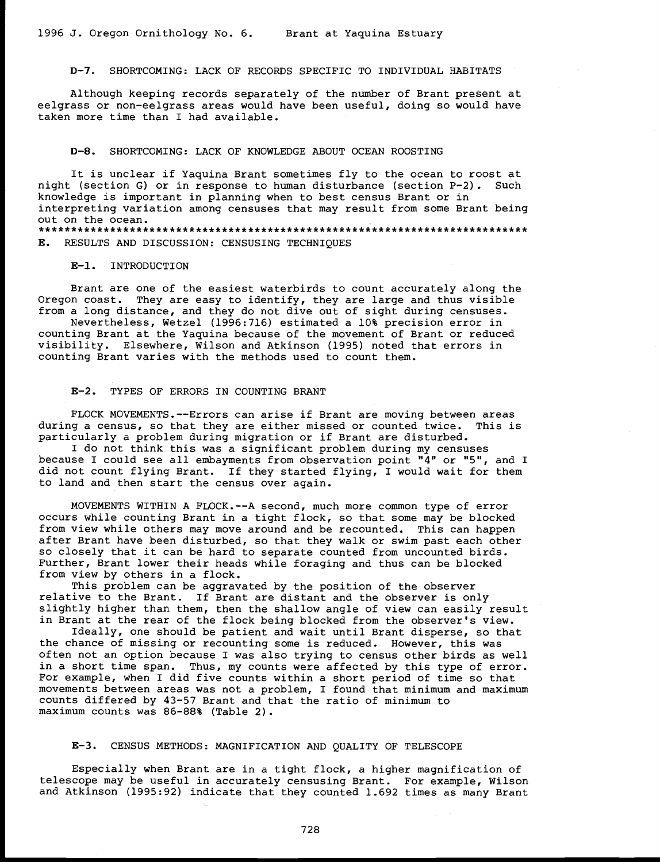D-7. SHORTCOMING: LACK OF RECORDS SPECIFIC TO INDIVIDUAL HABITATS

Although keeping records separately of the number of Brant present at eelgrass or non-eelgrass areas would have been useful, doing so would have taken more time than I had available.

# D-8. SHORTCOMING: LACK OF KNOWLEDGE ABOUT OCEAN ROOSTING

It is unclear if Yaquina Brant sometimes fly to the ocean to roost at night (section G) or in response to human disturbance (section P-2). Such knowledge is important in planning when to best census Brant or in interpreting variation among censuses that may result from some Brant being out on the ocean. \*\*\*\*\*\*\*\*\*\*\*\*\*\*\*\*\*\*\*\*\*\*\*\*\*\*\*\*\*\*\*\*\*\*\*\*\*\*\*\*\*\*\*\*\*\*\*\*\*\*\*\*\*\*\*\*\*\*\*\*\*\*\*\*\*\*\*\*\*\*\*\*\*\*\* E. RESULTS AND DISCUSSION: CENSUSING TECHNIQUES

# E-1. INTRODUCTION

Brant are one of the easiest waterbirds to count accurately along the Oregon coast. They are easy to identify, they are large and thus visible from a long distance, and they do not dive out of sight during censuses. Nevertheless, Wetzel (1996:716) estimated a 10% precision error in

counting Brant at the Yaquina because of the movement of Brant or reduced visibility. Elsewhere, Wilson and Atkinson (1995) noted that errors in counting Brant varies with the methods used to count them.

# E-2. TYPES OF ERRORS IN COUNTING BRANT

FLOCK MOVEMENTS.--Errors can arise if Brant are moving between areas<br>during a census, so that they are either missed or counted twice. This is<br>particularly a problem during migration or if Brant are disturbed.<br>I do not thi

because I could see all embayments from observation point "4" or "5", and I did not count flying Brant. If they started flying, I would wait for them to land and then start the census over again.

MOVEMENTS WITHIN A FLOCK.--A second, much more common type of error occurs while counting Brant in a tight flock, so that some may be blocked from view while others may move around and be recounted. This can happen after Brant have been disturbed, so that they walk or swim past each other<br>so closely that it can be hard to separate counted from uncounted birds.<br>Further, Brant lower their heads while foraging and thus can be blocked<br>fr

This problem can be aggravated by the position of the observer<br>relative to the Brant. If Brant are distant and the observer is only slightly higher than them, then the shallow angle of view can easily result in Brant at the rear of the flock being blocked from the observer's view.

Ideally, one should be patient and wait until Brant disperse, so that the chance of missing or recounting some is reduced. However, this was often not an option because I was also trying to census other birds as well<br>in a short time span. Thus, my counts were affected by this type of error.<br>For example, when I did five counts within a short period of time so th counts differed by 43-57 Brant and that the ratio of minimum to maximum counts was 86-88% (Table 2).

# E-3. CENSUS METHODS: MAGNIFICATION AND QUALITY OF TELESCOPE

Especially when Brant are in a tight flock, a higher magnification of telescope may be useful in accurately censusing Brant. For example, Wilson and Atkinson (1995:92) indicate that they counted 1.692 times as many Brant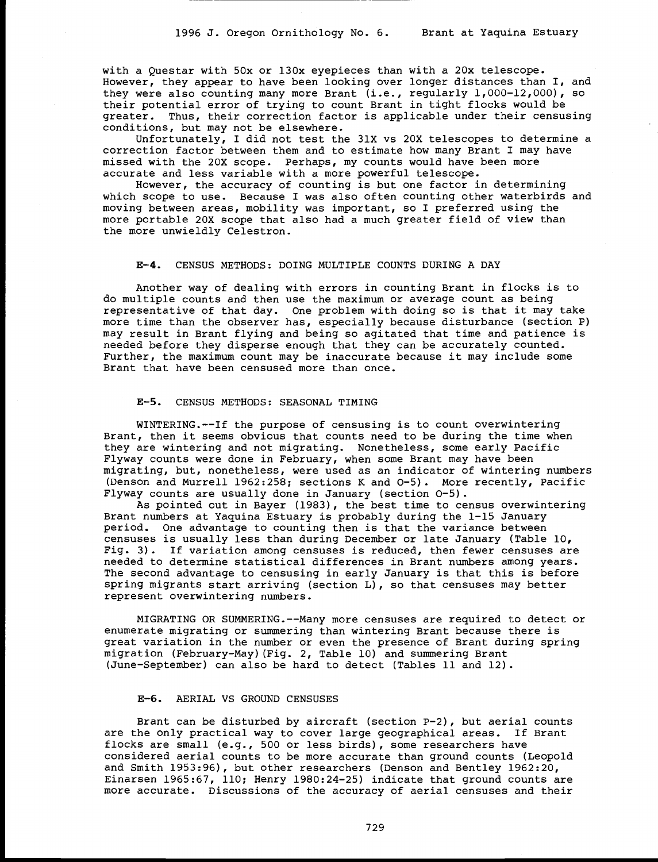with a Questar with 50x or 130x eyepieces than with a 20x telescope.<br>However, they appear to have been looking over longer distances than I, and they were also counting many more Brant (i.e., regularly 1,000-12,000), so their potential error of trying to count Brant in tight flocks would be greater. Thus, their correction factor is applicable under their censusing conditions, but may not be elsewhere.

Unfortunately, I did not test the 31X vs 20X telescopes to determine a correction factor between them and to estimate how many Brant I may have missed with the 20X scope. Perhaps, my counts would have been more accurate and less variable with a more powerful telescope.<br>However, the accuracy o

which scope to use. Because I was also often counting other waterbirds and moving between areas, mobility was important, so I preferred using the more portable 20X scope that also had a much greater field of view than the more unwieldly Celestron.

#### E-4. CENSUS METHODS: DOING MULTIPLE COUNTS DURING A DAY

Another way of dealing with errors in counting Brant in flocks is to do multiple counts and then use the maximum or average count as being representative of that day. One problem with doing so is that it may take<br>more time than the observer has, especially because disturbance (section P)<br>may result in Brant flying and being so agitated that time and patience Further, the maximum count may be inaccurate because it may include some Brant that have been censused more than once.

#### E-5. CENSUS METHODS: SEASONAL TIMING

WINTERING.--If the purpose of censusing is to count overwintering Brant, then it seems obvious that counts need to be during the time when they are wintering and not migrating. Nonetheless, some early Pacific Flyway counts were done in February, when some Brant may have been migrating, but, nonetheless, were used as an indicator of wintering numbers (Denson and Murrell 1962:258; sections K and 0-5). More recently, Pacific

Flyway counts are usually done in January (section  $O-5$ ).<br>As pointed out in Bayer (1983), the best time to census overwintering<br>Brant numbers at Yaquina Estuary is probably during the 1-15 January<br>period. One advantage t Fig. 3). If variation among censuses is reduced, then fewer censuses are needed to determine statistical differences in Brant numbers among years. The second advantage to censusing in early January is that this is before spring migrants start arriving (section L), so that censuses may better represent overwintering numbers.

MIGRATING OR SUMMERING.--Many more censuses are required to detect or<br>enumerate migrating or summering than wintering Brant because there is<br>great variation in the number or even the presence of Brant during spring<br>migrati (June-September) can also be hard to detect (Tables 11 and 12).

#### E-6. AERIAL VS GROUND CENSUSES

Brant can be disturbed by aircraft (section P-2), but aerial counts are the only practical way to cover large geographical areas. If Brant flocks are small (e.g., 500 or less birds), some researchers have considered aerial counts to be more accurate than ground counts (Leopold and Smith 1953:96), but other researchers (Denson and Bentley 1962:20, Einarsen 1965:67, 110; Henry 1980:24-25) indicate that ground counts are more accurate. Discussions of the accuracy of aerial censuses and their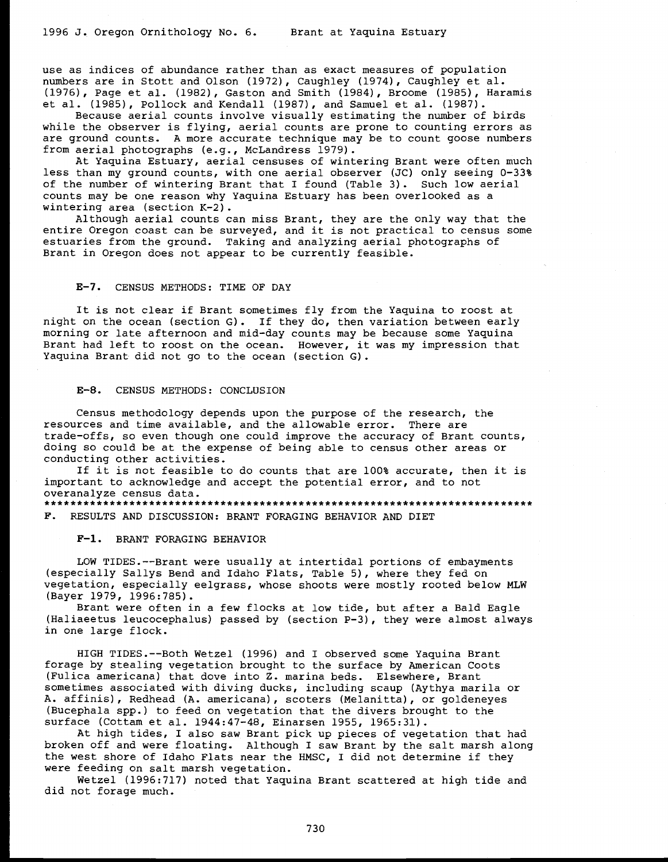use as indices of abundance rather than as exact measures of population numbers are in Stott and Olson (1972), Caughley (1974), Caughley et al.<br>(1976), Page et al. (1982), Gaston and Smith (1984), Broome (1985), Haramis

et al. (1985), Pollock and Kendall (1987), and Samuel et al. (1987).<br>Because aerial counts involve visually estimating the number of birds<br>while the observer is flying, aerial counts are prone to counting errors as<br>are gro

At Yaquina Estuary, aerial censuses of wintering Brant were often much less than my ground counts, with one aerial observer (JC) only seeing 0-33% of the number of wintering Brant that I found (Table 3). Such low aerial counts may be one reason why Yaquina Estuary has been overlooked as a wintering area (section K-2).<br>Although aerial counts can miss Brant, they are the only way that the

entire Oregon coast can be surveyed, and it is not practical to census some estuaries from the ground. Taking and analyzing aerial photographs of Brant in Oregon does not appear to be currently feasible.

# E-7. CENSUS METHODS: TIME OF DAY

It is not clear if Brant sometimes fly from the Yaquina to roost at<br>night on the ocean (section G). If they do, then variation between early<br>morning or late afternoon and mid-day counts may be because some Yaquina<br>Brant ha

# E-8. CENSUS METHODS: CONCLUSION

Census methodology depends upon the purpose of the research, the resources and time available, and the allowable error. There are trade-offs, so even though one could improve the accuracy of Brant counts,<br>doing so could be at the expense of being able to census other areas or<br>conducting other activities.<br>If it is not feasible to do counts that are 10

important to acknowledge and accept the potential error, and to not overanalyze census data. \*\*\*\*\*\*\*\*\*\*\*\*\*\*\*\*\*\*\*\*\*\*\*\*\*\*\*\*\*\*\*\*\*\*\*\*\*\*\*\*\*\*\*\*\*\*\*\*\*\*\*\*\*\*\*\*\*\*\*\*\*\*\*\*\*\*\*\*\*\*\*\*\*\*\*

F. RESULTS AND DISCUSSION: BRANT FORAGING BEHAVIOR AND DIET

#### F-1. BRANT FORAGING BEHAVIOR

LOW TIDES.--Brant were usually at intertidal portions of embayments (especially Sallys Bend and Idaho Flats, Table 5), where they fed on vegetation, especially eelgrass, whose shoots were mostly rooted below MLW<br>(Bayer 1979, 1996:785).

Brant were often in a few flocks at low tide, but after a Bald Eagle (Haliaeetus leucocephalus) passed by (section  $P-3$ ), they were almost always in one large flock.

HIGH TIDES.--Both Wetzel (1996) and I observed some Yaquina Brant forage by stealing vegetation brought to the surface by American Coots (Fulica americana) that dove into Z. marina beds. Elsewhere, Brant<br>sometimes associated with diving ducks, including scaup (Aythya marila or<br>A. affinis), Redhead (A. americana), scoters (Melanitta), or goldeneyes (Bucephala spp.) to feed on vegetation that the divers brought to the surface (Cottam et al. 1944:47-48, Einarsen 1955, 1965:31).

At high tides, I also saw Brant pick up pieces of vegetation that had broken off and were floating. Although I saw Brant by the salt marsh along the west shore of Idaho Flats near the HMSC, I did not determine if they<br>were feeding on salt marsh vegetation.<br>Wetzel (1996:717) noted that Yaquina Brant scattered at high tide and

did not forage much.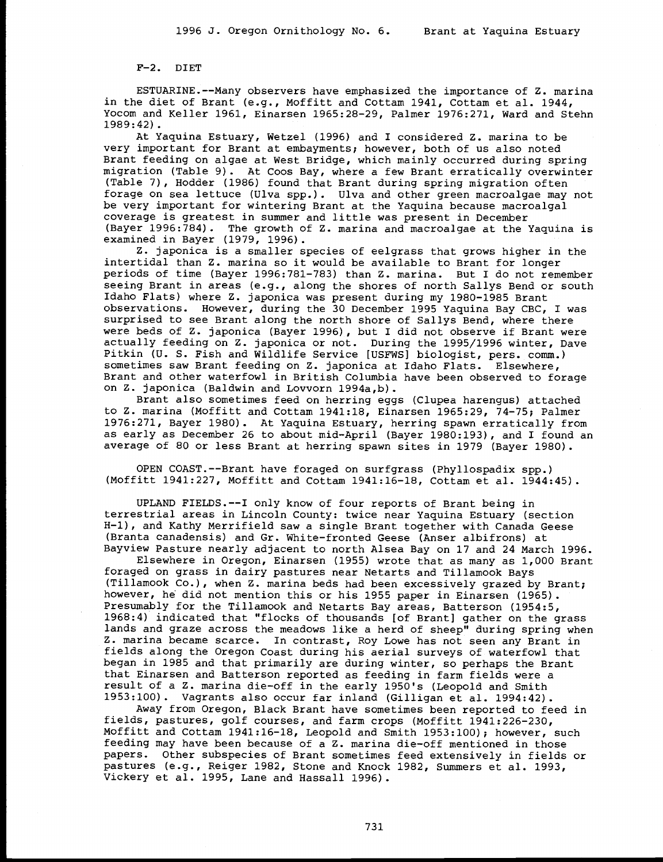F-2. DIET

ESTUARINE.--Many observers have emphasized the importance of Z. marina<br>in the diet of Brant (e.g., Moffitt and Cottam 1941, Cottam et al. 1944,<br>Yocom and Keller 1961, Einarsen 1965:28-29, Palmer 1976:271, Ward and Stehn<br>19

very important for Brant at embayments; however, both of us also noted<br>Brant feeding on algae at West Bridge, which mainly occurred during spring migration (Table 9). At Coos Bay, where a few Brant erratically overwinter (Table 7), Hodder (1986) found that Brant during spring migration often<br>forage on sea lettuce (Ulva spp.). Ulva and other green macroalgae may not be very important for wintering Brant at the Yaquina because macroalgal coverage is greatest in summer and little was present in December

(Bayer 1996:784). The growth of Z. marina and macroalgae at the Yaquina is<br>examined in Bayer (1979, 1996).<br>Z. japonica is a smaller species of eelgrass that grows higher in the<br>intertidal than Z. marina so it would be avai seeing Brant in areas (e.g., along the shores of north Sallys Bend or south Idaho Flats) where Z. japonica was present during my 1980-1985 Brant observations. However, during the 30 December 1995 Yaquina Bay CBC, I was surprised to see Brant along the north shore of Sallys Bend, where there were beds of Z. japonica (Bayer 1996), but I did not observe if Brant were<br>actually feeding on Z. japonica or not. During the 1995/1996 winter, Dave<br>Pitkin (U. S. Fish and Wildlife Service [USFWS] biologist, pers. comm.)<br>

Brant also sometimes feed on herring eggs (Clupea harengus) attached<br>to Z. marina (Moffitt and Cottam 1941:18, Einarsen 1965:29, 74-75; Palmer<br>1976:271, Bayer 1980). At Yaquina Estuary, herring spawn erratically from as early as December 26 to about mid-April (Bayer 1980:193), and I found an average of 80 or less Brant at herring spawn sites in 1979 (Bayer 1980).

OPEN COAST.--Brant have foraged on surfgrass (Phyllospadix spp.) (Moffitt 1941:227, Moffitt and Cottam 1941:16-18, Cottam et al.. 1944:45).

UPLAND FIELDS.--I only know of four reports of Brant being in terrestrial areas in Lincoln County: twice near Yaquina Estuary (section<br>H-1), and Kathy Merrifield saw a single Brant together with Canada Geese (Branta canadensis) and Gr. White-fronted Geese (Anser albifrons) at<br>Bayview Pasture nearly adjacent to north Alsea Bay on 17 and 24 March 1996.<br>Elsewhere in Oregon, Einarsen (1955) wrote that as many as 1,000 Brant<br>forage

(Tillamook Co.), when Z. marina beds had been excessively grazed by Brant; however, he did not mention this or his 1955 paper in Einarsen (1965). Presumably for the Tillamook and Netarts Bay areas, Batterson (1954:5, 1968:4) indicated that "flocks of thousands [of Brant] gather on the grass<br>lands and graze across the meadows like a herd of sheep" during spring when Z. marina became scarce. In contrast, Roy Lowe has not seen any Brant in fields along the Oregon Coast during his aerial surveys of waterfowl that began in 1985 and that primarily are during winter, so perhaps the Brant that Einarsen and Batterson reported as feeding in farm fields were a result of a Z. marina die-off in the early 1950's (Leopold and Smith 1953:100). Vagrants also occur far inland (Gilligan et al. 1994:42).

Away from Oregon, Black Brant have sometimes been reported to feed in fields, pastures, golf courses, and farm crops (Moffitt 1941:226-230, Moffitt and Cottam 1941:16-18, Leopold and Smith 1953:100); however, such feeding may have been because of a Z. marina die-off mentioned in those pastures (e.g., Reiger 1982, Stone and Knock 1982, Summers et al. 1993, Vickery et al. 1995, Lane and Hassall 1996).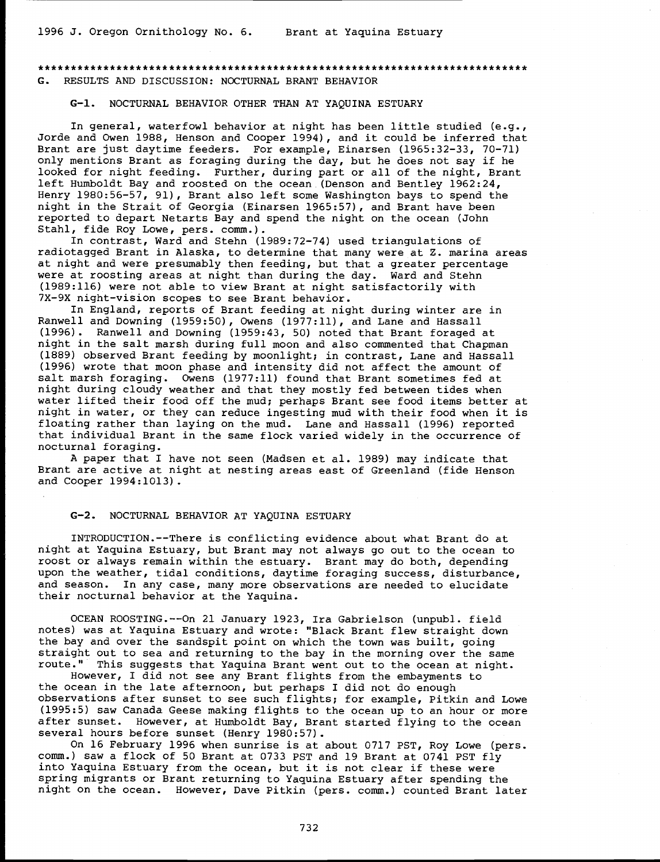# G. RESULTS AND DISCUSSION: NOCTURNAL BRANT BEHAVIOR

# G-1. NOCTURNAL BEHAVIOR OTHER THAN AT YAQUINA ESTUARY

In general, waterfowl behavior at night has been little studied (e.g., Jorde and Owen 1988, Henson and Cooper 1994), and it could be inferred that Brant are just daytime feeders. For example, Einarsen (1965:32-33, 70-71) only mentions Brant as foraging during the day, but he does not say if he looked for night feeding. Further, during part or all of the night, Brant left Humboldt Bay and roosted on the ocean (Denson and Bentley 1962:24, Henry 1980:56-57, 91), Brant also left some Washington bays to spend the night in the Strait of Georgia (Einarsen 1965:57), and Brant have been reported to depart Netarts Bay and spend the night on the ocean (John Stahl, fide Roy Lowe, pers. comm.).

In contrast, Ward and Stehn (1989:72-74) used triangulations of radiotagged Brant in Alaska, to determine that many were at Z. marina areas at night and were presumably then feeding, but that a greater percentage were at roosting areas at night than during the day. Ward and Stehn (1989:116) were not able to view Brant at night satisfactorily with 7X-9X night-vision scopes to see Brant behavior.

In England, reports of Brant feeding at night during winter are in Ranwell and Downing (1959:50), Owens (1977:11), and Lane and Hassall (1996). Ranwell and Downing (1959:43, 50) noted that Brant foraged at night in the salt marsh during full moon and also commented that Chapman (1889) observed Brant feeding by moonlight; in contrast, Lane and Hassall (1996) wrote that moon phase and intensity did not affect the amount of salt marsh foraging. Owens (1977:11) found that Brant sometimes fed at night during cloudy weather and that they mostly fed between tides when water lifted their food off the mud; perhaps Brant see food items better at night in water, or they can reduce ingesting mud with their food when it is floating rather than laying on the mud. Lane and Hassall (1996) reported that individual Brant in the same flock varied widely in the occurrence of nocturnal foraging.

A paper that I have not seen (Madsen et al. 1989) may indicate that Brant are active at night at nesting areas east of Greenland (fide Henson and Cooper 1994:1013).

# G-2. NOCTURNAL BEHAVIOR AT YAQUINA ESTUARY

INTRODUCTION.--There is conflicting evidence about what Brant do at night at Yaquina Estuary, but Brant may not always go out to the ocean to roost or always remain within the estuary. Brant may do both, depending upon the weather, tidal conditions, daytime foraging success, disturbance, and season. In any case, many more observations are needed to elucidate their nocturnal behavior at the Yaquina.

OCEAN ROOSTING.--On 21 January 1923, Ira Gabrielson (unpubl. field notes) was at Yaquina Estuary and wrote: "Black Brant flew straight down the bay and over the sandspit point on which the town was built, going straight out to sea and returning to the bay in the morning over the same route." This suggests that Yaquina Brant went out to the ocean at night.

However, I did not see any Brant flights from the embayments to the ocean in the late afternoon, but perhaps I did not do enough observations after sunset to see such flights; for example, Pitkin and Lowe (1995:5) saw Canada Geese making flights to the ocean up to an hour or more after sunset. However, at Humboldt Bay, Brant started flying to the ocean several hours before sunset (Henry 1980:57).

On 16 February 1996 when sunrise is at about 0717 PST, Roy Lowe (pers. comm.) saw a flock of 50 Brant at 0733 PST and 19 Brant at 0741 PST fly into Yaquina Estuary from the ocean, but it is not clear if these were spring migrants or Brant returning to Yaquina Estuary after spending the night on the ocean. However, Dave Pitkin (pers. comm.) counted Brant later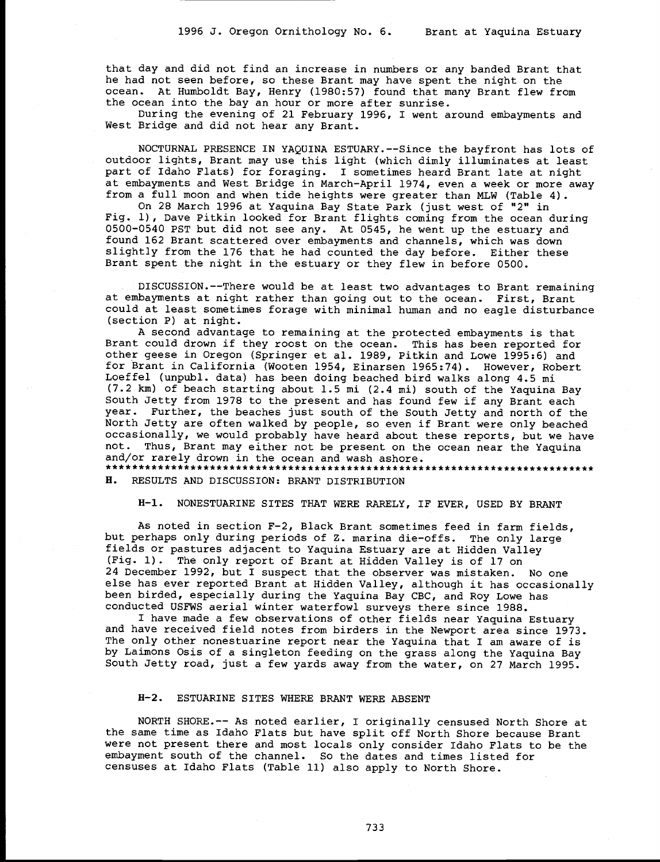that day and did not find an increase in numbers or any banded Brant that he had not seen before, so these Brant may have spent the night on the ocean. At Humboldt Bay, Henry (1980:57) found that many Brant flew from the ocean into the bay an hour or more after sunrise.

During the evening of 21 February 1996, I went around embayments and West Bridge and did not hear any Brant.

NOCTURNAL PRESENCE IN YAQUINA ESTUARY.--Since the bayfront has lots of outdoor lights, Brant may use this light (which dimly illuminates at least part of Idaho Flats) for foraging. I sometimes heard Brant late at night at embayments and West Bridge in March-April 1974, even a week or more away from a full moon and when tide heights were greater than MLW (Table 4).

On 28 March 1996 at Yaquina Bay State Park (just west of "2" in Fig. 1), Dave Pitkin looked for Brant flights coming from the ocean during 0500-0540 PST but did not see any. At 0545, he went up the estuary and found 162 Brant scattered over embayments and channels, which was down slightly from the 176 that he had counted the day before. Either these Brant spent the night in the estuary or they flew in before 0500.

DISCUSSION.--There would be at least two advantages to Brant remaining at embayments at night rather than going out to the ocean. First, Brant could at least sometimes forage with minimal human and no eagle disturbance (section P) at night.

A second advantage to remaining at the protected embayments is that Brant could drown if they roost on the ocean. This has been reported for other geese in Oregon (Springer et al. 1989, Pitkin and Lowe 1995:6) and for Brant in California (Wooten 1954, Einarsen 1965:74). However, Robert Loeffel (unpubl. data) has been doing beached bird walks along 4.5 mi (7.2 km) of beach starting about 1.5 mi (2.4 mi) south of the Yaquina Bay South Jetty from 1978 to the present and has found few if any Brant each year. Further, the beaches just south of the South Jetty and north of the North Jetty are often walked by people, so even if Brant were only beached occasionally, we would probably have heard about these reports, but we have not. Thus, Brant may either not be present on the ocean near the Yaquina and/or rarely drown in the ocean and wash ashore. \*\*\*\*\*\*\*\*\*\*\*\*\*\*\*\*\*\*\*\*\*\*\*\*\*\*\*\*\*\*\*\*\*\*\*\*\*\*\*\*\*\*\*\*\*\*\*\*\*\*\*\*\*\*\*\*\*\*\*\*\*\*\*\*\*\*\*\*\*\*\*\*\*\*\*

H. RESULTS AND DISCUSSION: BRANT DISTRIBUTION

H-1. NONESTUARINE SITES THAT WERE RARELY, IF EVER, USED BY BRANT

As noted in section F-2, Black Brant sometimes feed in farm fields, but perhaps only during periods of Z. marina die-offs. The only large fields or pastures adjacent to Yaquina Estuary are at Hidden Valley (Fig. 1). The only report of Brant at Hidden Valley is of 17 on 24 December 1992, but I suspect that the observer was mistaken. No one else has ever reported Brant at Hidden Valley, although it has occasionally been birded, especially during the Yaquina Bay CBC, and Roy Lowe has conducted USFWS aerial winter waterfowl surveys there since 1988.

I have made a few observations of other fields near Yaquina Estuary and have received field notes from birders in the Newport area since 1973. The only other nonestuarine report near the Yaquina that I am aware of is by Laimons Osis of a singleton feeding on the grass along the Yaquina Bay South Jetty road, just a few yards away from the water, on 27 March 1995.

#### H-2. ESTUARINE SITES WHERE BRANT WERE ABSENT

NORTH SHORE.-- As noted earlier, I originally censused North Shore at the same time as Idaho Flats but have split off North Shore because Brant were not present there and most locals only consider Idaho Flats to be the embayment south of the channel. So the dates and times listed for censuses at Idaho Flats (Table 11) also apply to North Shore.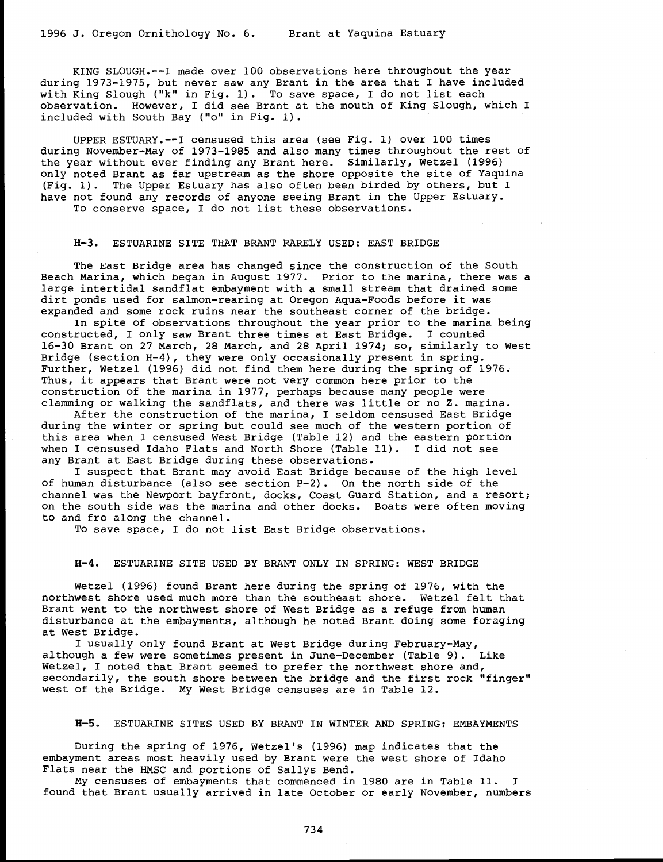KING SLOUGH.--I made over 100 observations here throughout the year during 1973-1975, but never saw any Brant in the area that I have included with King Slough ("k" in Fig. 1). To save space, I do not list each observation. However, I did see Brant at the mouth of King Slough, which I included with South Bay ("o" in Fig. 1).

UPPER ESTUARY.--I censused this area (see Fig. 1) over 100 times during November-May of 1973-1985 and also many times throughout the rest of the year without ever finding any Brant here. Similarly, Wetzel (1996) only noted Brant as far upstream as the shore opposite the site of Yaquina (Fig. 1). The Upper Estuary has also often been birded by others, but I have not found any records of anyone seeing Brant in the Upper Estuary. To conserve space, I do not list these observations.

#### H-3. ESTUARINE SITE THAT BRANT RARELY USED: EAST BRIDGE

The East Bridge area has changed since the construction of the South Beach Marina, which began in August 1977. Prior to the marina, there was a large intertidal sandflat embayment with a small stream that drained some dirt ponds used for salmon-rearing at Oregon Aqua-Foods before it was<br>expanded and some rock ruins near the southeast corner of the bridge.<br>In spite of observations throughout the year prior to the marina being

constructed, I only saw Brant three times at East Bridge. I counted 16-30 Brant on 27 March, 28 March, and 28 April 1974; so, similarly to West Bridge (section H-4), they were only occasionally present in spring. Further, Wetzel (1996) did not find them here during the spring of 1976. Thus, it appears that Brant were not very common here prior to the

construction of the marina in 1977, perhaps because many people were<br>clamming or walking the sandflats, and there was little or no Z. marina.<br>After the construction of the marina, I seldom censused East Bridge<br>during the w this area when I censused West Bridge (Table 12) and the eastern portion when I censused Idaho Flats and North Shore (Table 11). I did not see any Brant at East Bridge during these observations.

I suspect that Brant may avoid East Bridge because of the high level of human disturbance (also see section P-2). On the north side of the channel was the Newport bayfront, docks, Coast Guard Station, and a resort; on the south side was the marina and other docks. Boats were often moving to and fro along the channel.

To save space, I do not list East Bridge observations.

#### H-4. ESTUARINE SITE USED BY BRANT ONLY IN SPRING: WEST BRIDGE

Wetzel (1996) found Brant here during the spring of 1976, with the northwest shore used much more than the southeast shore. Wetzel felt that Brant went to the northwest shore of West Bridge as a refuge from human disturbance at the embayments, although he noted Brant doing some foraging

at West Bridge. I usually only found Brant at West Bridge during February-May, although a few were sometimes present in June-December (Table 9). Like Wetzel, I noted that Brant seemed to prefer the northwest shore and, secondarily, the south shore between the bridge and the first rock "finger" west of the Bridge. My West Bridge censuses are in Table 12.

#### H-5. ESTUARINE SITES USED BY BRANT IN WINTER AND SPRING: EMBAYMENTS

During the spring of 1976, Wetzel's (1996) map indicates that the embayment areas most heavily used by Brant were the west shore of Idaho

Flats near the HMSC and portions of Sallys Bend.<br>My censuses of embayments that commenced in 1980 are in Table 11. found that Brant usually arrived in late October or early November, numbers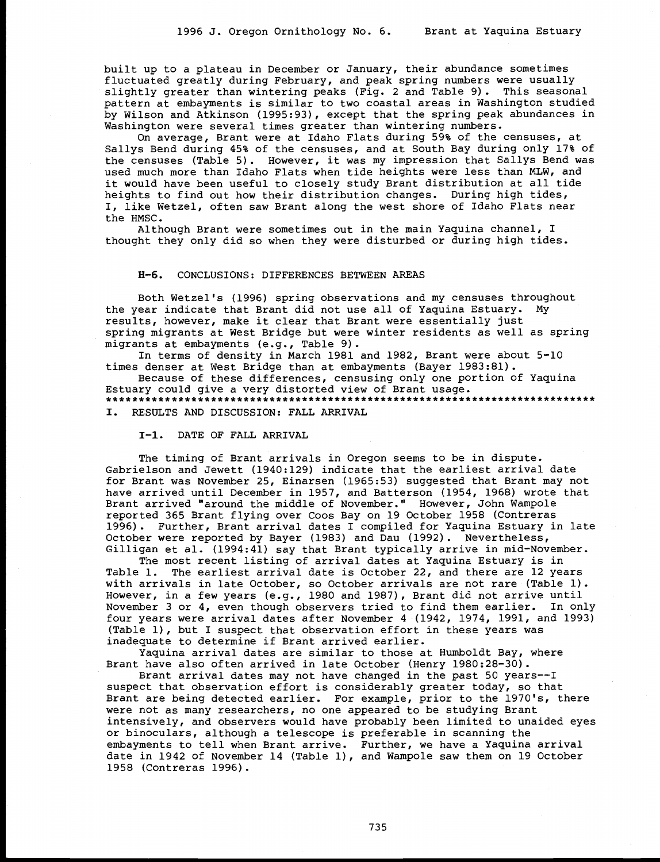built up to a plateau in December or January, their abundance sometimes fluctuated greatly during February, and peak spring numbers were usually slightly greater than wintering peaks (Fig. 2 and Table 9). This seasonal pattern at embayments is similar to two coastal areas in Washington studied by Wilson and Atkinson (1995:93), except that the spring peak abundances in Washington were several times greater than wintering numbers.

On average, Brant were at Idaho Flats during 59% of the censuses, at Sallys Bend during 45% of the censuses, and at South Bay during only 17% of the censuses (Table 5). However, it was my impression that Sallys Bend was used much more than Idaho Flats when tide heights were less than MLW, and it would have been useful to closely study Brant distribution at all tide heights to find out how their distribution changes. During high tides, I, like Wetzel, often saw Brant along the west shore of Idaho Flats near the HMSC.

Although Brant were sometimes out in the main Yaquina channel, I thought they only did so when they were disturbed or during high tides.

#### H-6. CONCLUSIONS: DIFFERENCES BETWEEN AREAS

Both Wetzel's (1996) spring observations and my censuses throughout the year indicate that Brant did not use all of Yaquina Estuary. My results, however, make it clear that Brant were essentially just spring migrants at West Bridge but were winter residents as well as spring migrants at embayments (e.g., Table 9).

In terms of density in March 1981 and 1982, Brant were about 5-10 times denser at West Bridge than at embayments (Bayer 1983:81).

Because of these differences, censusing only one portion of Yaquina Estuary could give a very distorted view of Brant usage. 

I. RESULTS AND DISCUSSION: FALL ARRIVAL

I-1. DATE OF FALL ARRIVAL

The timing of Brant arrivals in Oregon seems to be in dispute. Gabrielson and Jewett (1940:129) indicate that the earliest arrival date for Brant was November 25, Einarsen (1965:53) suggested that Brant may not have arrived until December in 1957, and Batterson (1954, 1968) wrote that Brant arrived "around the middle of November." However, John Wampole reported 365 Brant flying over Coos Bay on 19 October 1958 (Contreras 1996). Further, Brant arrival dates I compiled for Yaquina Estuary in late October were reported by Bayer (1983) and Dau (1992). Nevertheless, Gilligan et al. (1994:41) say that Brant typically arrive in mid-November.

The most recent listing of arrival dates at Yaquina Estuary is in Table 1. The earliest arrival date is October 22, and there are 12 years with arrivals in late October, so October arrivals are not rare (Table 1). However, in a few years (e.g., 1980 and 1987), Brant did not arrive until November 3 or 4, even though observers tried to find them earlier. In only four years were arrival dates after November 4 (1942, 1974, 1991, and 1993) (Table 1), but I suspect that observation effort in these years was inadequate to determine if Brant arrived earlier.

Yaquina arrival dates are similar to those at Humboldt Bay, where Brant have also often arrived in late October (Henry 1980:28-30).

Brant arrival dates may not have changed in the past 50 years--I suspect that observation effort is considerably greater today, so that Brant are being detected earlier. For example, prior to the 1970's, there were not as many researchers, no one appeared to be studying Brant intensively, and observers would have probably been limited to unaided eyes or binoculars, although a telescope is preferable in scanning the embayments to tell when Brant arrive. Further, we have a Yaquina arrival date in 1942 of November 14 (Table 1), and Wampole saw them on 19 October 1958 (Contreras 1996).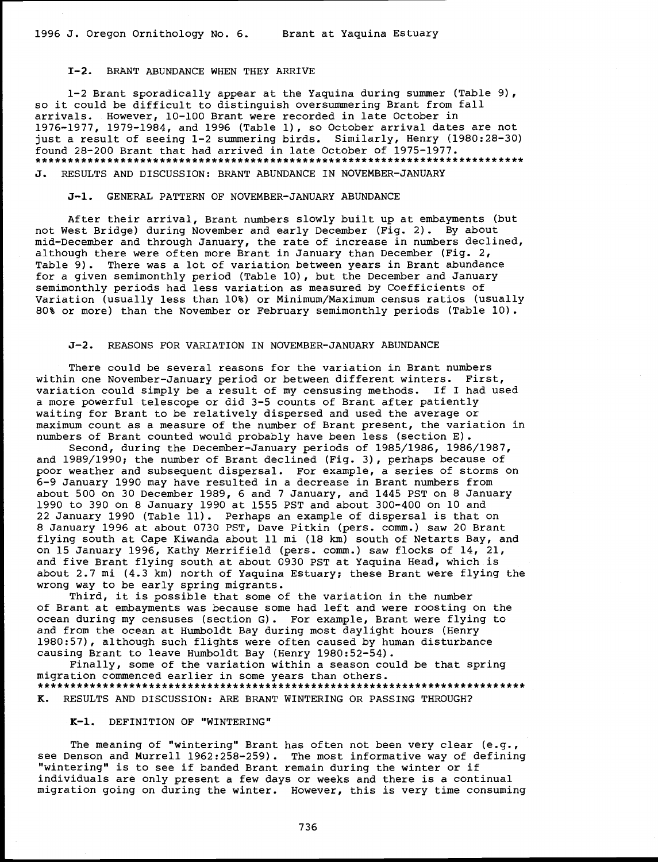# 1-2. BRANT ABUNDANCE WHEN THEY ARRIVE

1-2 Brant sporadically appear at the Yaquina during summer (Table 9), so it could be difficult to distinguish oversummering Brant from fall arrivals. However, 10-100 Brant were recorded in late October in 1976-1977, 1979-1984, and 1996 (Table 1), so October arrival dates are not just a result of seeing 1-2 summering birds. Similarly, Henry (1980:28-30) found 28-200 Brant that had arrived in late October of 1975-1977. J. RESULTS AND DISCUSSION: BRANT ABUNDANCE IN NOVEMBER-JANUARY

# J-1. GENERAL PATTERN OF NOVEMBER-JANUARY ABUNDANCE

After their arrival, Brant numbers slowly built up at embayments (but not West Bridge) during November and early December (Fig. 2). By about mid-December and through January, the rate of increase in numbers declined, although there were often more Brant in January than December (Fig. 2, Table 9). There was a lot of variation between years in Brant abundance for a given semimonthly period (Table 10), but the December and January semimonthly periods had less variation as measured by Coefficients of Variation (usually less than 10%) or Minimum/Maximum census ratios (usually 80% or more) than the November or February semimonthly periods (Table 10).

#### J-2. REASONS FOR VARIATION IN NOVEMBER-JANUARY ABUNDANCE

There could be several reasons for the variation in Brant numbers within one November-January period or between different winters. First, variation could simply be a result of my censusing methods. If I had used a more powerful telescope or did 3-5 counts of Brant after patiently waiting for Brant to be relatively dispersed and used the average or maximum count as a measure of the number of Brant present, the variation in numbers of Brant counted would probably have been less (section E).

Second, during the December-January periods of 1985/1986, 1986/1987, and 1989/1990; the number of Brant declined (Fig. 3), perhaps because of poor weather and subsequent dispersal. For example, a series of storms on 6-9 January 1990 may have resulted in a decrease in Brant numbers from about 500 on 30 December 1989, 6 and 7 January, and 1445 PST on 8 January 1990 to 390 on 8 January 1990 at 1555 PST and about 300-400 on 10 and 22 January 1990 (Table 11). Perhaps an example of dispersal is that on 8 January 1996 at about 0730 PST, Dave Pitkin (pers. comm.) saw 20 Brant flying south at Cape Kiwanda about 11 mi (18 km) south of Netarts Bay, and on 15 January 1996, Kathy Merrifield (pers. comm.) saw flocks of 14, 21, and five Brant flying south at about 0930 PST at Yaquina Head, which is about 2.7 mi (4.3 km) north of Yaquina Estuary; these Brant were flying the wrong way to be early spring migrants.

Third, it is possible that some of the variation in the number of Brant at embayments was because some had left and were roosting on the ocean during my censuses (section G). For example, Brant were flying to and from the ocean at Humboldt Bay during most daylight hours (Henry 1980:57), although such flights were often caused by human disturbance causing Brant to leave Humboldt Bay (Henry 1980:52-54).

Finally, some of the variation within a season could be that spring migration commenced earlier in some years than others. \*\*\*\*\*\*\*\*\*\*\*\*\*\*\*\*\*\*\*\*\*\*\*\*\*\*\*\*\*\*\*\*\*\*\*\*\*\*\*\*\*\*\*\*\*\*\*\*\*\*\*\*\*\*\*\*\*\*\*\*\*\*\*\*\*\*\*\*\*\*\*\*\*\*\* K. RESULTS AND DISCUSSION: ARE BRANT WINTERING OR PASSING THROUGH?

# K-l. DEFINITION OF "WINTERING"

The meaning of "wintering" Brant has often not been very clear (e.g., see Denson and Murrell 1962:258-259). The most informative way of defining "wintering" is to see if banded Brant remain during the winter or if individuals are only present a few days or weeks and there is a continual migration going on during the winter. However, this is very time consuming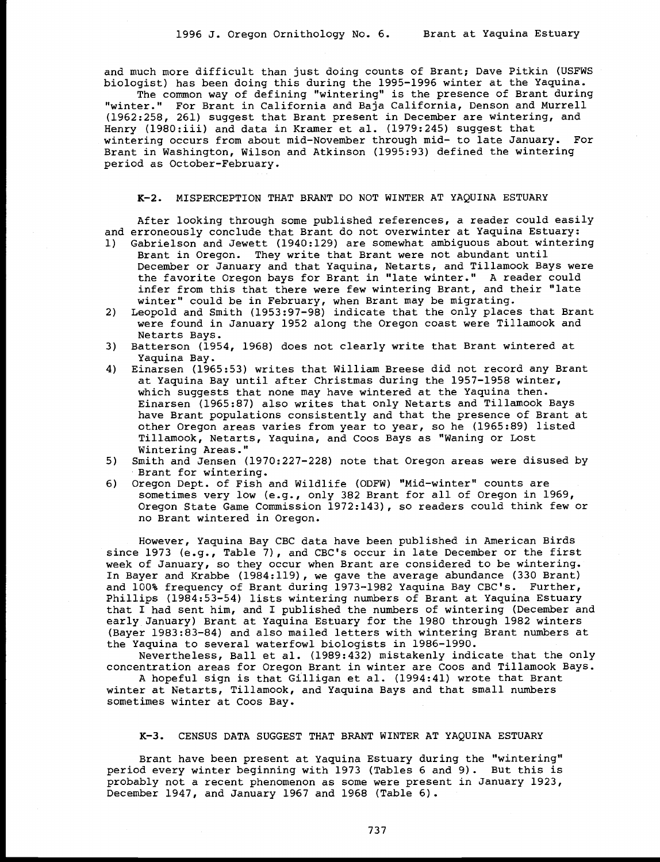and much more difficult than just doing counts of Brant; Dave Pitkin (USFWS biologist) has been doing this during the 1995-1996 winter at the Yaquina.

The common way of defining "wintering" is the presence of Brant during "winter." For Brant in California and Baja California, Denson and Murrell (1962:258, 261) suggest that Brant present in December are wintering, and Henry (1980:iii) and data in Kramer et al. (1979:245) suggest that wintering occurs from about mid-November through mid- to late January. For Brant in Washington, Wilson and Atkinson (1995:93) defined the wintering period as October-February.

#### K-2. MISPERCEPTION THAT BRANT DO NOT WINTER AT YAQUINA ESTUARY

After looking through some published references, a reader could easily and erroneously conclude that Brant do not overwinter at Yaquina Estuary:

- 1) Gabrielson and Jewett (1940:129) are somewhat ambiguous about wintering Brant in Oregon. They write that Brant were not abundant until December or January and that Yaquina, Netarts, and Tillamook Bays were the favorite Oregon bays for Brant in "late winter." A reader could infer from this that there were few wintering Brant, and their "late winter" could be in February, when Brant may be migrating.
- 2) Leopold and Smith (1953:97-98) indicate that the only places that Brant were found in January 1952 along the Oregon coast were Tillamook and Netarts Bays.
- 3) Batterson (1954, 1968) does not clearly write that Brant wintered at<br>Yaquina Bay.<br>4) Einarsen (1965:53) writes that William Breese did not record any Brant
- 4) Einarsen (1965:53) writes that William Breese did not record any Brant<br>at Yaquina Bay until after Christmas during the 1957-1958 winter,<br>which suggests that none may have wintered at the Yaquina then.<br>Einarsen (1965:87) Tillamook, Netarts, Yaquina, and Coos Bays as "Waning or Lost Wintering Areas."
- 5) Smith and Jensen (1970:227-228) note that Oregon areas were disused by Brant for wintering.
- 6) Oregon Dept. of Fish and Wildlife (ODFW) "Mid-winter" counts are sometimes very low (e.g., only 382 Brant for all of Oregon in 1969,<br>Oregon State Game Commission 1972:143), so readers could think few or no Brant wintered in Oregon.

However, Yaquina Bay CBC data have been published in American Birds since 1973 (e.g., Table 7), and CBC's occur in late December or the first week of January, so they occur when Brant are considered to be wintering. In Bayer and Krabbe (1984:119), we gave the average abundance (330 Brant) and 100% frequency of Brant during 1973-1982 Yaquina Bay CBC's. Further, Phillips (1984:53-54) lists wintering numbers of Brant at Yaquina Estuary that I had sent him, and I published the numbers of wintering (December and early January) Brant at Yaquina Estuary for the 1980 through 1982 winters (Bayer 1983:83-84) and also mailed letters with wintering Brant numbers at the Yaquina to several waterfowl biologists in 1986-1990.

Nevertheless, Ball et al. (1989:432) mistakenly indicate that the only concentration areas for Oregon Brant in winter are Coos and Tillamook Bays. A hopeful sign is that Gilligan et al. (1994:41) wrote that Brant

winter at Netarts, Tillamook, and Yaquina Bays and that small numbers sometimes winter at Coos Bay.

#### K-3. CENSUS DATA SUGGEST THAT BRANT WINTER AT YAQUINA ESTUARY

Brant have been present at Yaquina Estuary during the "wintering" period every winter beginning with 1973 (Tables 6 and 9). But this is probably not a recent phenomenon as some were present in January 1923, December 1947, and January 1967 and 1968 (Table 6).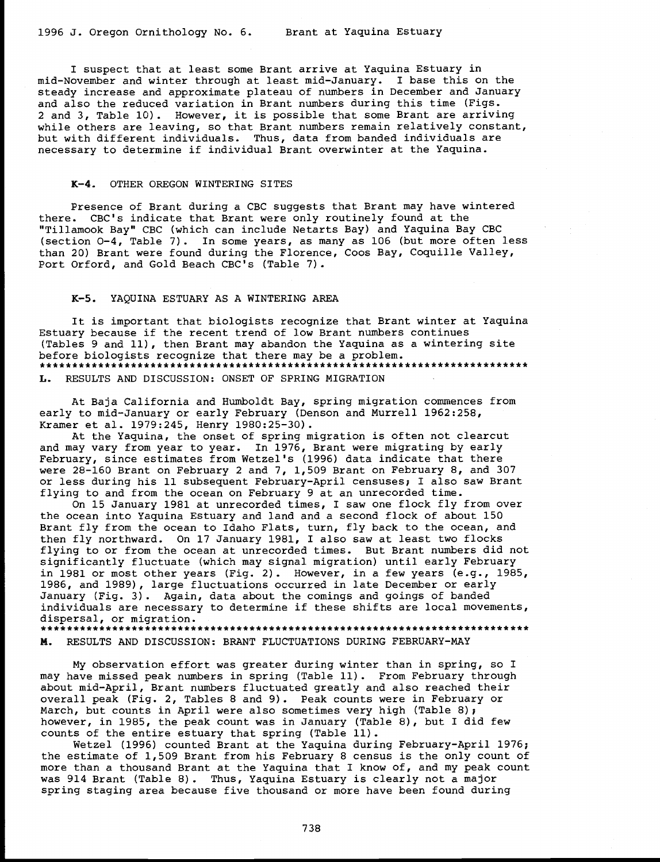I suspect that at least some Brant arrive at Yaquina Estuary in mid-November and winter through at least mid-January. I base this on the steady increase and approximate plateau of numbers in December and January and also the reduced variation in Brant numbers during this time (Figs. 2 and 3, Table 10). However, it is possible that some Brant are arriving while others are leaving, so that Brant numbers remain relatively constant, but with different individuals. Thus, data from banded individuals are necessary to determine if individual Brant overwinter at the Yaquina.

#### K-4. OTHER OREGON WINTERING SITES

Presence of Brant during a CBC suggests that Brant may have wintered there. CBC's indicate that Brant were only routinely found at the "Tillamook Bay" CBC (which can include Netarts Bay) and Yaquina Bay CBC (section 0-4, Table 7). In some years, as many as 106 (but more often less than 20) Brant were found during the Florence, Coos Bay, Coquille Valley, Port Orford, and Gold Beach CBC's (Table 7).

#### K-5. YAQUINA ESTUARY AS A WINTERING AREA

It is important that biologists recognize that Brant winter at Yaquina Estuary because if the recent trend of low Brant numbers continues (Tables 9 and 11), then Brant may abandon the Yaquina as a wintering site before biologists recognize that there may be a problem. L. RESULTS AND DISCUSSION: ONSET OF SPRING MIGRATION

At Baja California and Humboldt Bay, spring migration commences from early to mid-January or early February (Denson and Murrell 1962:258, Kramer et al. 1979:245, Henry 1980:25-30).

At the Yaquina, the onset of spring migration is often not clearcut and may vary from year to year. In 1976, Brant were migrating by early February, since estimates from Wetzel's (1996) data indicate that there were 28-160 Brant on February 2 and 7, 1,509 Brant on February 8, and 307 or less during his 11 subsequent February-April censuses; I also saw Brant flying to and from the ocean on February 9 at an unrecorded time.

On 15 January 1981 at unrecorded times, I saw one flock fly from over the ocean into Yaquina Estuary and land and a second flock of about 150 Brant fly from the ocean to Idaho Flats, turn, fly back to the ocean, and then fly northward. On 17 January 1981, I also saw at least two flocks flying to or from the ocean at unrecorded times. But Brant numbers did not significantly fluctuate (which may signal migration) until early February in 1981 or most other years (Fig. 2). However, in a few years (e.g., 1985, 1986, and 1989), large fluctuations occurred in late December or early January (Fig. 3). Again, data about the comings and goings of banded individuals are necessary to determine if these shifts are local movements, dispersal, or migration. \*\*\*\*\*\*\*\*\*\*\*\*\*\*\*\*\*\*\*\*\*\*\*\*\*\*\*\*\*\*\*\*\*\*\*\*\*\*\*\*\*\*\*\*\*\*\*\*\*\*\*\*\*\*\*\*\*\*\*\*\*\*\*\*\*\*\*\*\*\*\*\*\*\*\*

M. RESULTS AND DISCUSSION: BRANT FLUCTUATIONS DURING FEBRUARY-MAY

My observation effort was greater during winter than in spring, so I may have missed peak numbers in spring (Table 11). From February through about mid-April, Brant numbers fluctuated greatly and also reached their overall peak (Fig. 2, Tables 8 and 9). Peak counts were in February or March, but counts in April were also sometimes very high (Table 8); however, in 1985, the peak count was in January (Table 8), but I did few counts of the entire estuary that spring (Table 11).

Wetzel (1996) counted Brant at the Yaquina during February-April 1976; the estimate of 1,509 Brant from his February 8 census is the only count of more than a thousand Brant at the Yaquina that I know of, and my peak count was 914 Brant (Table 8). Thus, Yaquina Estuary is clearly not a major spring staging area because five thousand or more have been found during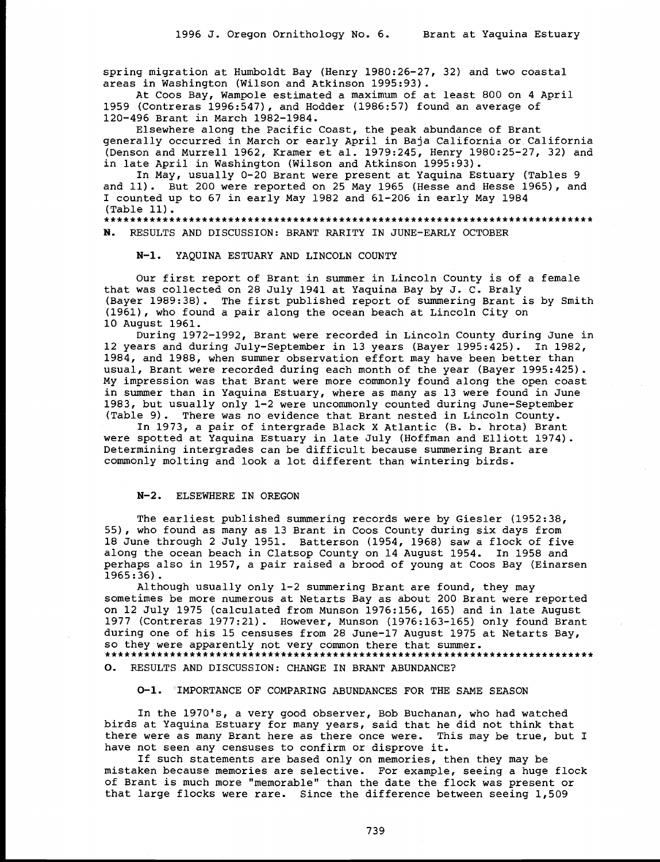spring migration at Humboldt Bay (Henry 1980:26-27, 32) and two coastal areas in Washington (Wilson and Atkinson 1995:93).

At Coos Bay, Wampole estimated a maximum of at least 800 on 4 April 1959 (Contreras 1996:547), and Hodder (1986:57) found an average of 120-496 Brant in March 1982-1984.

Elsewhere along the Pacific Coast, the peak abundance of Brant generally occurred in March or early April. in Baja California or. California (Denson and Murrell 1962, Kramer et al. 1979:245, Henry 1980:25-27, 32) and in late April in Washington (Wilson and Atkinson 1995:93).

In May, usually 0-20 Brant were present at Yaquina Estuary (Tables 9 and 11). But 200 were reported on 25 May 1965 (Hesse and Hesse 1965), and I counted up to 67 in early May 1982 and 61-206 in early May 1984 (Table 11). \*\*\*\*\*\*\*\*\*\*\*\*\*\*\*\*\*\*\*\*\*\*\*\*\*\*\*\*\*\*\*\*\*\*\*\*\*\*\*\*\*\*\*\*\*\*\*\*\*\*\*\*\*\*\*\*\*\*\*\*\*\*\*\*\*\*\*\*\*\*\*\*\*\*\*

N. RESULTS AND DISCUSSION: BRANT RARITY IN JUNE-EARLY OCTOBER

N-1. YAQUINA ESTUARY AND LINCOLN COUNTY

Our first report of Brant in summer in Lincoln County is of a female that was collected on 28 July 1941 at Yaquina Bay by J. C. Braly (Bayer 1989:38). The first published report of summering Brant is by Smith (1961), who found a pair along the ocean beach at Lincoln City on 10 August 1961.

During 1972-1992, Brant were recorded in Lincoln County during June in 12 years and during July-September in 13 years (Bayer 1995:425). In 1982, 1984, and 1988, when summer observation effort may have been better than usual, Brant were recorded during each month of the year (Bayer 1995:425). My impression was that Brant were more commonly found along the open coast in summer than in Yaquina Estuary, where as many as 13 were found in June 1983, but usually only 1-2 were uncommonly counted during June-September (Table 9). There was no evidence that Brant nested in Lincoln County.

In 1973, a pair of intergrade Black X Atlantic (B. b. hrota) Brant were spotted at Yaquina Estuary in late July (Hoffman and Elliott 1974). Determining intergrades can be difficult because summering Brant are commonly molting and look a lot different than wintering birds.

#### N-2. ELSEWHERE IN OREGON

The earliest published summering records were by Giesler (1952:38, 55), who found as many as 13 Brant in Coos County during six days from 18 June through 2 July 1951. Batterson (1954, 1968) saw a flock of five along the ocean beach in Clatsop County on 14 August 1954. In 1958 and perhaps also in 1957, a pair raised a brood of young at Coos Bay (Einarsen 1965:36).

Although usually only 1-2 summering Brant are found, they may sometimes be more numerous at Netarts Bay as about 200 Brant were reported on 12 July 1975 (calculated from Munson 1976:156, 165) and in late August 1977 (Contreras 1977:21). However, Munson (1976:163-165) only found Brant during one of his 15 censuses from 28 June-17 August 1975 at Netarts Bay, so they were apparently not very common there that summer. 0. RESULTS AND DISCUSSION: CHANGE IN BRANT ABUNDANCE?

0-1. `IMPORTANCE OF COMPARING ABUNDANCES FOR THE SAME SEASON

In the 1970's, a very good observer, Bob Buchanan, who had watched birds at Yaquina Estuary for many years, said that he did not think that there were as many Brant here as there once were. This may be true, but I have not seen any censuses to confirm or disprove it.

If such statements are based only on memories, then they may be mistaken because memories are selective. For example, seeing a huge flock of Brant is much more "memorable" than the date the flock was present or that large flocks were rare. Since the difference between seeing 1,509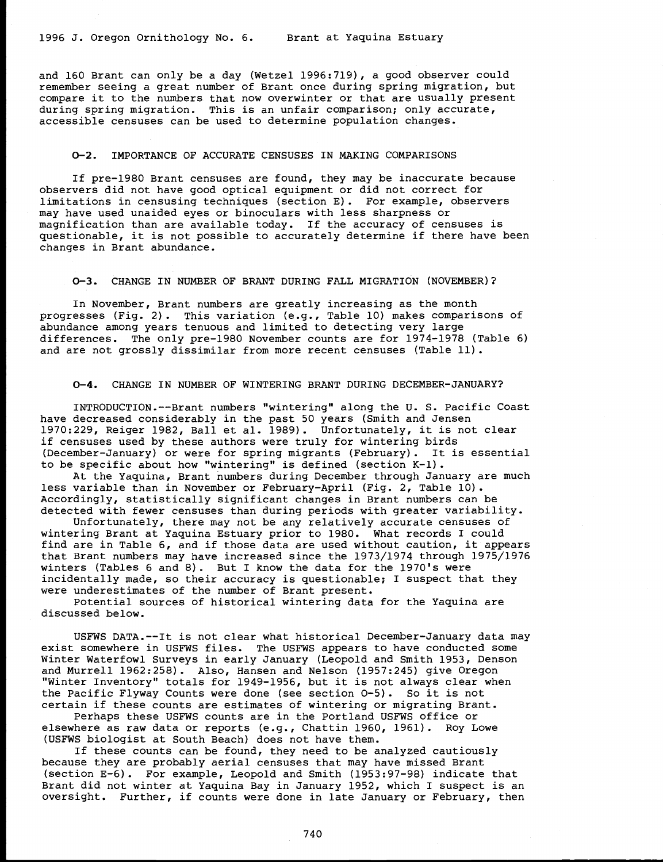and 160 Brant can only be a day (Wetzel 1996:719), a good observer could remember seeing a great number of Brant once during spring migration, but compare it to the numbers that now overwinter or that are usually present<br>during spring migration. This is an unfair comparison; only accurate,<br>accessible censuses can be used to determine population changes.

#### 0-2. IMPORTANCE OF ACCURATE CENSUSES IN MAKING COMPARISONS

If pre-1980 Brant censuses are found, they may be inaccurate because observers did not have good optical equipment or did not correct for may have used unaided eyes or binoculars with less sharpness or magnification than are available today. If the accuracy of censuses is questionable, it is not possible to accurately determine if there have been changes in Brant abundance.

0-3. CHANGE IN NUMBER OF BRANT DURING FALL MIGRATION (NOVEMBER)?

In November, Brant numbers are greatly increasing as the month progresses (Fig. 2). This variation (e.g., Table 10) makes comparisons of abundance among years tenuous and limited to detecting very large differences. The only pre-1980 November counts are for 1974-1978 (Table 6) and are not grossly dissimilar from more recent censuses (Table 11).

# 0-4. CHANGE IN NUMBER OF WINTERING BRANT DURING DECEMBER-JANUARY?

INTRODUCTION.--Brant numbers "wintering" along the U. S. Pacific Coast have decreased considerably in the past 50 years (Smith and Jensen 1970:229, Reiger 1982, Ball et al. 1989). Unfortunately, it is not clear if censuses used by these authors were truly for wintering birds (December-January) or were for spring migrants (February). It is essential to be specific about how "wintering" is defined (section K-1). At the Yaquina, Brant numbers during December through January are much

less variable than in November or February-April (Fig. 2, Table 10). Accordingly, statistically significant changes in Brant numbers can be detected with fewer censuses than during periods with greater variability.<br>Unfortunately, there may not be any relatively accurate censuses of

wintering Brant at Yaquina Estuary prior to 1980. What records I could find are in Table 6, and if those data are used without caution, it appears<br>that Brant numbers may have increased since the 1973/1974 through 1975/1976 winters (Tables 6 and 8). But I know the data for the 1970's were<br>incidentally made, so their accuracy is questionable; I suspect that they<br>were underestimates of the number of Brant present.<br>Potential sources of historica

discussed below.

USFWS DATA.--It is not clear what historical December-January data may exist somewhere in USFWS files. The USFWS appears to have conducted some Winter Waterfowl Surveys in early January (Leopold and Smith 1953, Denson and Murrell 1962:258). Also, Hansen and Nelson (1957:245) give Oregon<br>"Winter Inventory" totals for 1949-1956, but it is not always clear when the Pacific Flyway Counts were done (see section 0-5). So it is not certain if these counts are estimates of wintering or migrating Brant.

Perhaps these USFWS counts are in the Portland USFWS office or elsewhere as raw data or reports (e.g., Chattin 1960, 1961). Roy Lowe (USFWS biologist at South Beach) does not have them.

If these counts can be found, they need to be analyzed cautiously because they are probably aerial censuses that may have missed Brant (section E-6). For example, Leopold and Smith (1953:97-98) indicate that Brant did not winter at Yaquina Bay in January 1952, which I suspect is an oversight. Further, if counts were done in late January or February, then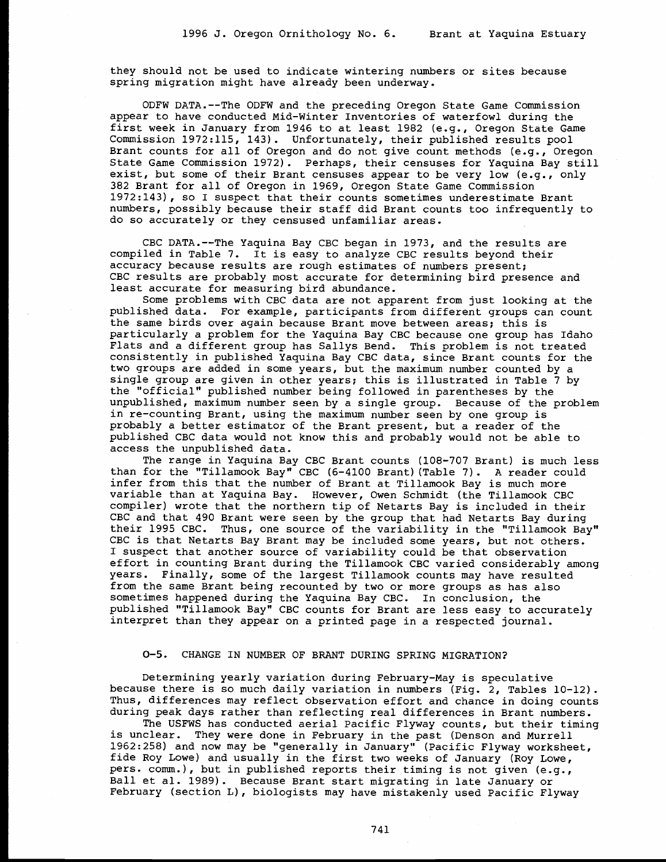they should not be used to indicate wintering numbers or sites because spring migration might have already been underway.

ODFW DATA.--The ODFW and the preceding Oregon State Game Commission appear to have conducted Mid-Winter Inventories of waterfowl during the first week in January from 1946 to at least 1982 (e.g., Oregon State Game Commission 1972:115, 143). Unfortunately, their published results pool<br>Brant counts for all of Oregon and do not give count methods (e.g., Oregon<br>State Game Commission 1972). Perhaps, their censuses for Yaquina Bay still exist, but some of their Brant censuses appear to be very low (e.g., only 382 Brant for all of Oregon in 1969, Oregon State Game Commission 1972:143), so I suspect that their counts sometimes underestimate Brant numbers, possibly because their staff did Brant counts too infrequently to do so accurately or they censused unfamiliar areas.

CBC DATA.--The Yaquina Bay CBC began in 1973, and the results are compiled in Table 7. It is easy to analyze CBC results beyond their accuracy because results are rough estimates of numbers present;<br>CBC results are probably most accurate for determining bird presence and<br>least accurate for measuring bird abundance.

Some problems with CBC data are not apparent from just looking at the published data. For example, participants from different groups can count the same birds over again because Brant move between areas; this is particularly a problem for the Yaquina Bay CBC because one group has Idaho Flats and a different group has Sallys Bend. This problem is not treated consistently in published Yaquina Bay CBC data, since Brant counts for the two groups are added in some years, but the maximum number counted by a single group are given in other years; this is illustrated in Table 7 by the "official" published number being followed in parentheses by the unpublished, maximum number seen by a single group. Because of the problem in re-counting Brant, using the maximum number seen by one group is probably a better estimator of the Brant present, but a reader of the published CBC data would not know this and probably would not be able to access the unpublished data.

The range in Yaquina Bay CBC Brant counts (108-707 Brant) is much less than for the "Tillamook Bay" CBC (6-4100 Brant)(Table 7). A reader could infer from this that the number of Brant at Tillamook Bay is much more<br>variable than at Yaquina Bay. However, Owen Schmidt (the Tillamook CBC compiler) wrote that the northern tip of Netarts Bay is included in their<br>CBC and that 490 Brant were seen by the group that had Netarts Bay during<br>their 1995 CBC. Thus, one source of the variability in the "Tillamook Bay" CBC is that Netarts Bay Brant may be included some years, but not others.<br>I suspect that another source of variability could be that observation effort in counting Brant during the Tillamook CBC varied considerably among years. Finally, some of the largest Tillamook counts may have resulted from the same Brant being recounted by two or more groups as has also sometimes happened during the Yaquina Bay CBC. In conclusion, the published "Tillamook Bay" CBC counts for Brant are less easy to accurately interpret than they appear on a printed page in a respected journal.

#### 0-5. CHANGE IN NUMBER OF BRANT DURING SPRING MIGRATION?

Determining yearly variation during February-May is speculative because there is so much daily variation in numbers (Fig. 2, Tables 10-12). Thus, differences may reflect observation effort and chance in doing counts<br>during peak days rather than reflecting real differences in Brant numbers.<br>The USFWS has conducted aerial Pacific Flyway counts, but their timing<br>

1962:258) and now may be "generally in January" (Pacific Flyway worksheet, Fide Roy Lowe) and usually in the first two weeks of January (Roy Lowe,<br>pers. comm.), but in published reports their timing is not given (e.g.,<br>Ball et al. 1989). Because Brant start migrating in late January or<br>February (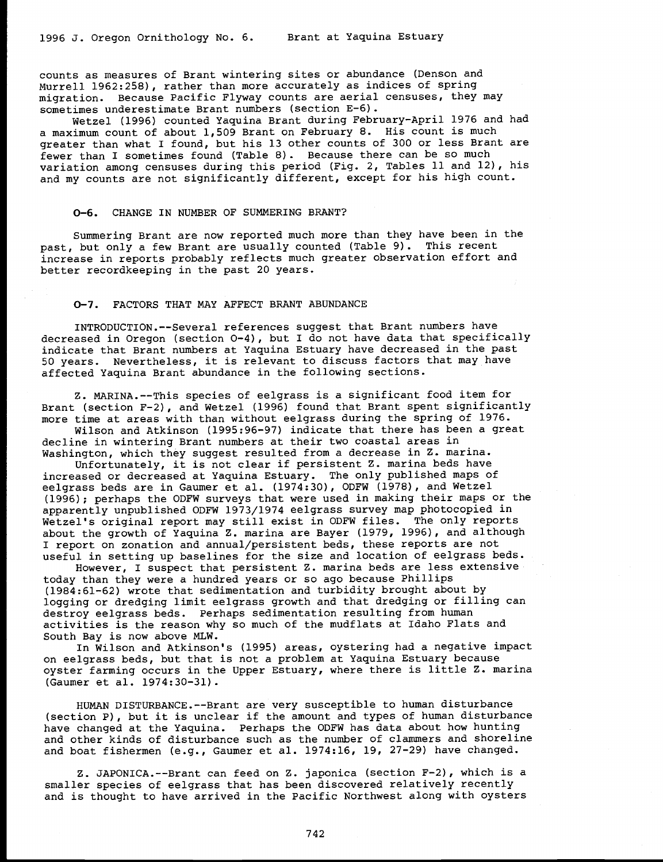counts as measures of Brant wintering sites or abundance (Denson and Murrell 1962:258), rather than more accurately as indices of spring migration. Because Pacific Flyway counts are aerial censuses, they may sometimes underestimate Brant numbers (section E-6).

Wetzel (1996) counted Yaquina Brant during February-April 1976 and had a maximum count of about 1,509 Brant on February 8. His count is much greater than what I found, but his 13 other counts of 300 or less Brant are fewer than I sometimes found (Table 8). Because there can be so much<br>variation among censuses during this period (Fig. 2, Tables 11 and 12), his and my counts are not significantly different, except for his high count.

# 0-6. CHANGE IN NUMBER OF SUMMERING BRANT?

Summering Brant are now reported much more than they have been in the past, but only a few Brant are usually counted (Table 9). This recent increase in reports probably reflects much greater observation effort and better recordkeeping in the past 20 years.

#### 0-7. FACTORS THAT MAY AFFECT BRANT ABUNDANCE

INTRODUCTION.--Several references suggest that Brant numbers have decreased in Oregon (section 0-4), but I do not have data that specifically indicate that Brant numbers at Yaquina Estuary have decreased in the past <sup>50</sup> years. Nevertheless, it is relevant to discuss factors that may have affected Yaquina Brant abundance in the following sections.

Z. MARINA.--This species of eelgrass is a significant food item for<br>Brant (section F-2), and Wetzel (1996) found that Brant spent significantly<br>more time at areas with than without eelgrass during the spring of 1976.<br>Wilso

Washington, which they suggest resulted from a decrease in Z. marina.<br>Unfortunately, it is not clear if persistent Z. marina beds have<br>increased or decreased at Yaquina Estuary. The only published maps of eelgrass beds are in Gaumer et al. (1974:30), ODFW (1978), and Wetzel (1996); perhaps the ODFW surveys that were used in making their maps or the apparently unpublished ODFW 1973/1974 eelgrass survey map photocopied in Wetzel's original report may still exist in ODFW files. The only reports<br>about the growth of Yaquina Z. marina are Bayer (1979, 1996), and although<br>I report on zonation and annual/persistent beds, these reports are not useful in setting up baselines for the size and location of eelgrass beds.

However, I suspect that persistent Z. marina beds are less extensive today than they were a hundred years or so ago because Phillips (1984:61-62) wrote that sedimentation and turbidity brought about by logging or dredging limit eelgrass growth and that dredging or filling can destroy eelgrass beds. Perhaps sedimentation resulting from human activities is the reason why so much of the mudflats at Idaho Flats and<br>South Bay is now above MLW.<br>In Wilson and Atkinson's (1995) areas, oystering had a negative impact<br>on eelgrass beds, but that is not a problem at Yaqu

oyster farming occurs in the Upper Estuary, where there is little Z. marina (Gaumer et al. 1974:30-31).

HUMAN DISTURBANCE.--Brant are very susceptible to human disturbance (section P), but it is unclear if the amount and types of human disturbance<br>have changed at the Yaquina. Perhaps the ODFW has data about how hunting and other kinds of disturbance such as the number of clammers and shoreline and boat fishermen (e.g., Gaumer et al. 1974:16, 19, 27-29) have changed.

Z. JAPONICA.--Brant can feed on Z. japonica (section F-2), which is a smaller species of eelgrass that has been discovered relatively recently and is thought to have arrived in the Pacific Northwest along with oysters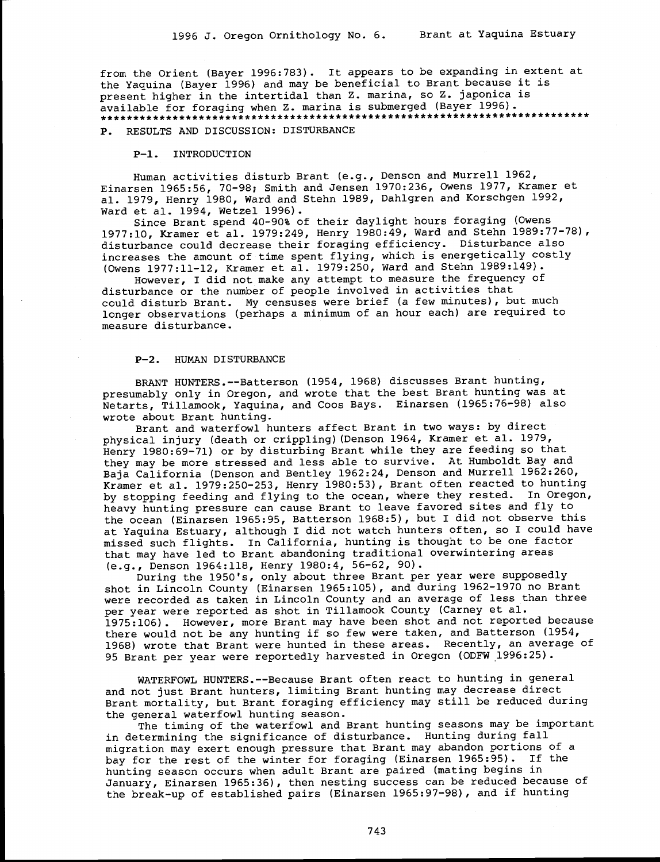from the Orient (Bayer 1996:783). It appears to be expanding in extent at the Yaquina (Bayer 1996) and may be beneficial to Brant because it is present higher in the intertidal than Z. marina, so Z. japonica is available for foraging when Z. marina is submerged (Bayer 1996). \*\*\*\*\*\*\*\*\*\*\*\*\*\*\*\*\*\*\*\*\*\*\*\*\*\*\*\*\*\*\*\*\*\*\*\*\*\*\*\*\*\*\*\*\*\*\*\*\*\*\*\*\*\*\*\*\*\*\*\*\*\*\*\*\*\*\*\*\*\*\*\*\*\*\*

P. RESULTS AND DISCUSSION: DISTURBANCE

P-1. INTRODUCTION

Human activities disturb Brant (e.g., Denson and Murrell 1962, Einarsen 1965:56, 70-98; Smith and Jensen 1970:236, Owens 1977, Kramer et al. 1979, Henry 1980, Ward and Stehn 1989, Dahlgren and Korschgen 1992, Ward et al. 1994, Wetzel 1996).

Since Brant spend 40-90% of their daylight hours foraging (Owens 1977:10, Kramer et al. 1979:249, Henry 1980:49, Ward and Stehn 1989:77-78), disturbance could decrease their foraging efficiency. Disturbance also increases the amount of time spent flying, which is energetically costly (Owens 1977:11-12, Kramer et al. 1979:250, Ward and Stehn 1989:149).

However, I did not make any attempt to measure the frequency of disturbance or the number of people involved in activities that could disturb Brant. My censuses were brief (a few minutes), but much longer observations (perhaps a minimum of an hour each) are required to measure disturbance.

#### P-2. HUMAN DISTURBANCE

BRANT HUNTERS.--Batterson (1954, 1968) discusses Brant hunting, presumably only in Oregon, and wrote that the best Brant hunting was at Netarts, Tillamook, Yaquina, and Coos Bays. Einarsen (1965:76-98) also wrote about Brant hunting.

Brant and waterfowl hunters affect Brant in two ways: by direct physical injury (death or crippling)(Denson 1964, Kramer et al. 1979, Henry 1980:69-71) or by disturbing Brant while they are feeding so that they may be more stressed and less able to survive. At Humboldt Bay and Baja California (Denson and Bentley 1962:24, Denson and Murrell 1962:260, Kramer et al. 1979:250-253, Henry 1980:53), Brant often reacted to hunting by stopping feeding and flying to the ocean, where they rested. In Oregon, heavy hunting pressure can cause Brant to leave favored sites and fly to the ocean (Einarsen 1965:95, Batterson 1968:5), but I did not observe this at Yaquina Estuary, although I did not watch hunters often, so I could have missed such flights. In California, hunting is thought to be one factor that may have led to Brant abandoning traditional overwintering areas (e.g., Denson 1964:118, Henry 1980:4, 56-62, 90).

During the 1950's, only about three Brant per year were supposedly shot in Lincoln County (Einarsen 1965:105), and during 1962-1970 no Brant were recorded as taken in Lincoln County and an average of less than three per year were reported as shot in Tillamook County (Carney et al. 1975:106). However, more Brant may have been shot and not reported because there would not be any hunting if so few were taken, and Batterson (1954, 1968) wrote that Brant were hunted in these areas. Recently, an average of 95 Brant per year were reportedly harvested in Oregon (ODFW 1996:25).

WATERFOWL HUNTERS.--Because Brant often react to hunting in general and not just Brant hunters, limiting Brant hunting may decrease direct Brant mortality, but Brant foraging efficiency may still be reduced during the general waterfowl hunting season.

The timing of the waterfowl and Brant hunting seasons may be important in determining the significance of disturbance. Hunting during fall migration may exert enough pressure that Brant may abandon portions of a bay for the rest of the winter for foraging (Einarsen 1965:95). If the hunting season occurs when adult Brant are paired (mating begins in January, Einarsen 1965:36), then nesting success can be reduced because of the break-up of established pairs (Einarsen 1965:97-98), and if hunting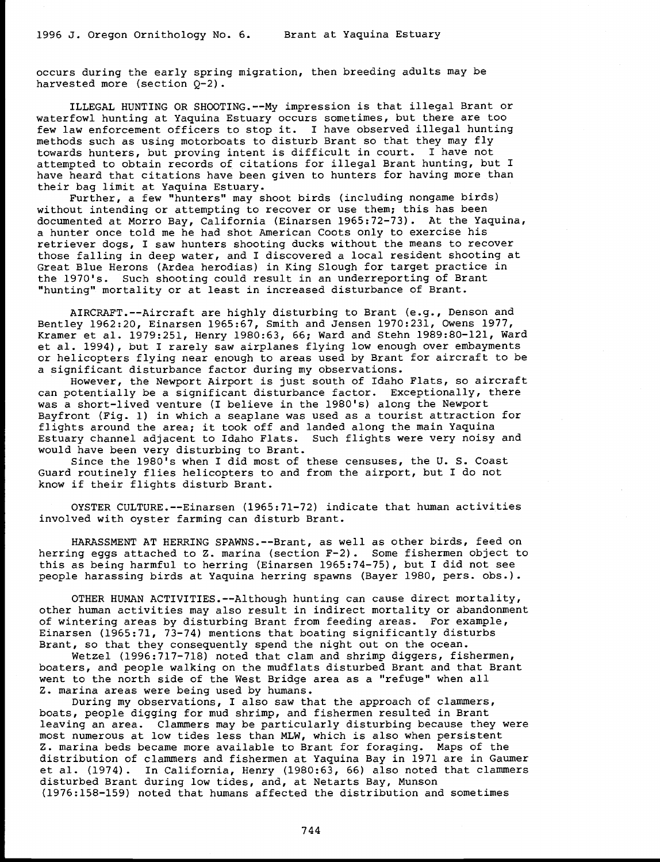occurs during the early spring migration, then breeding adults may be harvested more (section  $Q-2$ ).

ILLEGAL HUNTING OR SHOOTING.--My impression is that illegal Brant or waterfowl hunting at Yaquina Estuary occurs sometimes, but there are too few law enforcement officers to stop it. I have observed illegal hunting methods such as using motorboats to disturb Brant so that they may fly towards hunters, but proving intent is difficult in court. I have not<br>attempted to obtain records of citations for illegal Brant hunting, but I have heard that citations have been given to hunters for having more than their bag limit at Yaquina Estuary.

Further, a few "hunters" may shoot birds (including nongame birds) without intending or attempting to recover or use them; this has been documented at Morro Bay, California (Einarsen 1965:72-73). At the Yaquina, a hunter once told me he had shot American Coots only to exercise his retriever dogs, I saw hunters shooting ducks without the means to recover those falling in deep water, and I discovered a local resident shooting at Great Blue Herons (Ardea herodias) in King Slough for target practice in the 1970's. Such shooting could result in an underreporting of Brant "hunting" mortality or at least in increased disturbance of Brant.

AIRCRAFT.--Aircraft are highly disturbing to Brant (e.g., Denson and<br>Bentley 1962:20, Einarsen 1965:67, Smith and Jensen 1970:231, Owens 1977,<br>Kramer et al. 1979:251, Henry 1980:63, 66; Ward and Stehn 1989:80-121, Ward<br>et a significant disturbance factor during my observations.

However, the Newport Airport is just south of Idaho Flats, so aircraft can potentially be a significant disturbance factor. Exceptionally, there was a short-lived venture (I believe in the 1980's) along the Newport Bayfront (Fig. 1) in which a seaplane was used as a tourist attraction for fli Estuary channel adjacent to Idaho Flats. Such flights were very noisy and<br>would have been very disturbing to Brant.<br>Since the 1980's when I did most of these censuses, the U.S. Coast

Guard routinely flies helicopters to and from the airport, but I do not know if their flights disturb Brant.

OYSTER CULTURE.--Einarsen (1965:71-72) indicate that human activities involved with oyster farming can disturb Brant.

HARASSMENT AT HERRING SPAWNS.--Brant, as well as other birds, feed on herring eggs attached to Z. marina (section F-2). Some fishermen object to this as being harmful to herring (Einarsen 1965:74-75), but I did not see people harassing birds at Yaquina herring spawns (Bayer 1980, pers. obs.).

OTHER HUMAN ACTIVITIES.--Although hunting can cause direct mortality,<br>other human activities may also result in indirect mortality or abandonment<br>of wintering areas by disturbing Brant from feeding areas. For example,<br>Eina

Wetzel (1996:717-718) noted that clam and shrimp diggers, fishermen,<br>boaters, and people walking on the mudflats disturbed Brant and that Brant<br>went to the north side of the West Bridge area as a "refuge" when all<br>Z. marin

During my observations, I also saw that the approach of clammers, boats, people digging for mud shrimp, and fishermen resulted in Brant<br>leaving an area. Clammers may be particularly disturbing because they were most numerous at low tides less than MLW, which is also when persistent<br>Z. marina beds became more available to Brant for foraging. Maps of the<br>distribution of clammers and fishermen at Yaquina Bay in 1971 are in Gaumer<br>et disturbed Brant during low tides, and, at Netarts Bay, Munson (1976:158-159) noted that humans affected the distribution and sometimes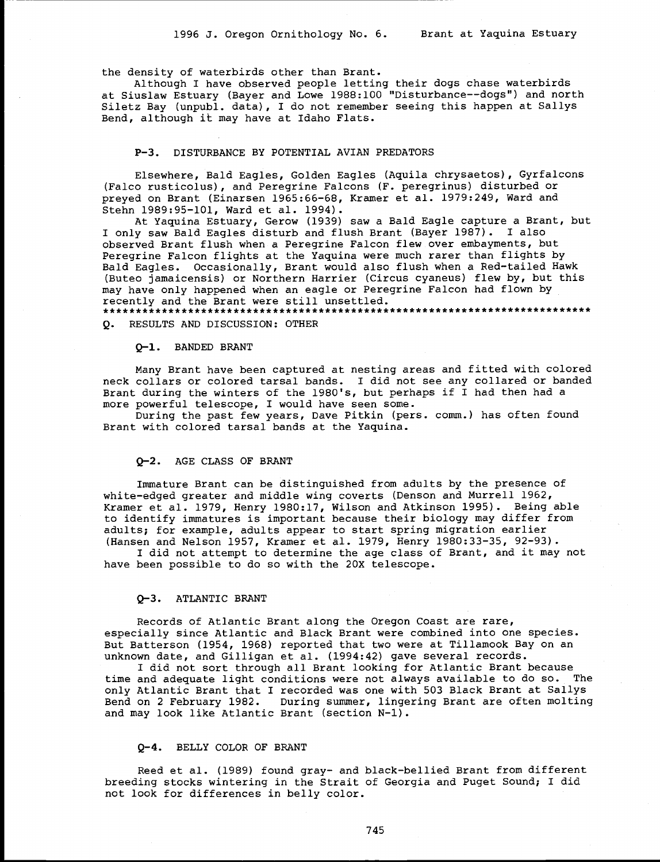the density of waterbirds other than Brant.

Although I have observed people letting their dogs chase waterbirds at Siuslaw Estuary (Bayer and Lowe 1988:100 "Disturbance--dogs") and north Siletz Bay (unpubl. data), I do not remember seeing this happen at Sallys Bend, although it may have at Idaho Flats.

#### P-3. DISTURBANCE BY POTENTIAL AVIAN PREDATORS

Elsewhere, Bald Eagles, Golden Eagles (Aquila chrysaetos), Gyrfalcons (Falco rusticolus), and Peregrine Falcons (F. peregrinus) disturbed or preyed on Brant (Einarsen 1965:66-68, Kramer et al. 1979:249, Ward and Stehn 1989:95-101, Ward et al. 1994).

At Yaquina Estuary, Gerow (1939) saw a Bald Eagle capture a Brant, but I only saw Bald Eagles disturb and flush Brant (Bayer 1987). I also observed Brant flush when a Peregrine Falcon flew over embayments, but Peregrine Falcon flights at the Yaquina were much rarer than flights by Bald Eagles. Occasionally, Brant would also flush when a Red-tailed Hawk (Buteo jamaicensis) or Northern Harrier (Circus cyaneus) flew by, but this may have only happened when an eagle or Peregrine Falcon had flown by recently and the Brant were still unsettled. \*\*\*\*\*\*\*\*\*\*\*\*\*\*\*\*\*\*\*\*\*\*\*\*\*\*\*\*\*\*\*\*\*\*\*\*\*\*\*\*\*\*\*\*\*\*\*\*\*\*\*\*\*\*\*\*\*\*\*\*\*\*\*\*\*\*\*\*\*\*\*\*\*\*\*

Q. RESULTS AND DISCUSSION: OTHER

#### Q-1. BANDED BRANT

Many Brant have been captured at nesting areas and fitted with colored neck collars or colored tarsal bands. I did not see any collared or banded Brant during the winters of the 1980's, but perhaps if I had then had a more powerful telescope, I would have seen some.

During the past few years, Dave Pitkin (pers. comm.) has often found Brant with colored tarsal bands at the Yaquina.

# Q-2. AGE CLASS OF BRANT

Immature Brant can be distinguished from adults by the presence of white-edged greater and middle wing coverts (Denson and Murrell 1962, Kramer et al. 1979, Henry 1980:17, Wilson and Atkinson 1995). Being able to identify immatures is important because their biology may differ from adults; for example, adults appear to start spring migration earlier (Hansen and Nelson 1957, Kramer et al. 1979, Henry 1980:33-35, 92-93).

I did not attempt to determine the age class of Brant, and it may not have been possible to do so with the 20X telescope.

# Q-3. ATLANTIC BRANT

Records of Atlantic Brant along the Oregon Coast are rare, especially since Atlantic and Black Brant were combined into one species. But Batterson (1954, 1968) reported that two were at Tillamook Bay on an unknown date, and Gilligan et al. (1994:42) gave several records.

I did not sort through all Brant looking for Atlantic Brant because time and adequate light conditions were not always available to do so. The only Atlantic Brant that I recorded was one with 503 Black Brant at Sallys Bend on 2 February 1982. During summer, lingering Brant are often molting and may look like Atlantic Brant (section N-1).

#### Q-4. BELLY COLOR OF BRANT

Reed et al. (1989) found gray- and black-bellied Brant from different breeding stocks wintering in the Strait of Georgia and Puget Sound; I did not look for differences in belly color.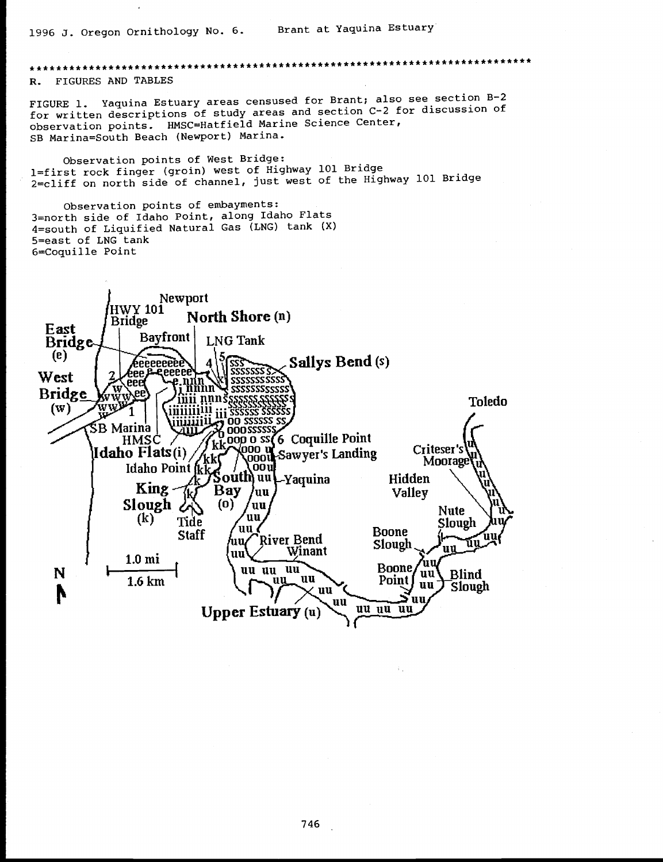# \*\*\*\*\*\*\*\*\*\*\*\*\*\*\*\*\*\*\*\*\*\*\*\*\*\*\*\*

FIGURES AND TABLES  $R_{-}$ 

FIGURE 1. Yaquina Estuary areas censused for Brant; also see section B-2 for written descriptions of study areas and section C-2 for discussion of observation points. HMSC=Hatfield Marine Science Center, SB Marina=South Beach (Newport) Marina.

Observation points of West Bridge: 1=first rock finger (groin) west of Highway 101 Bridge 2=cliff on north side of channel, just west of the Highway 101 Bridge

Observation points of embayments: 3=north side of Idaho Point, along Idaho Flats 4=south of Liquified Natural Gas (LNG) tank (X) 5=east of LNG tank 6=Coquille Point

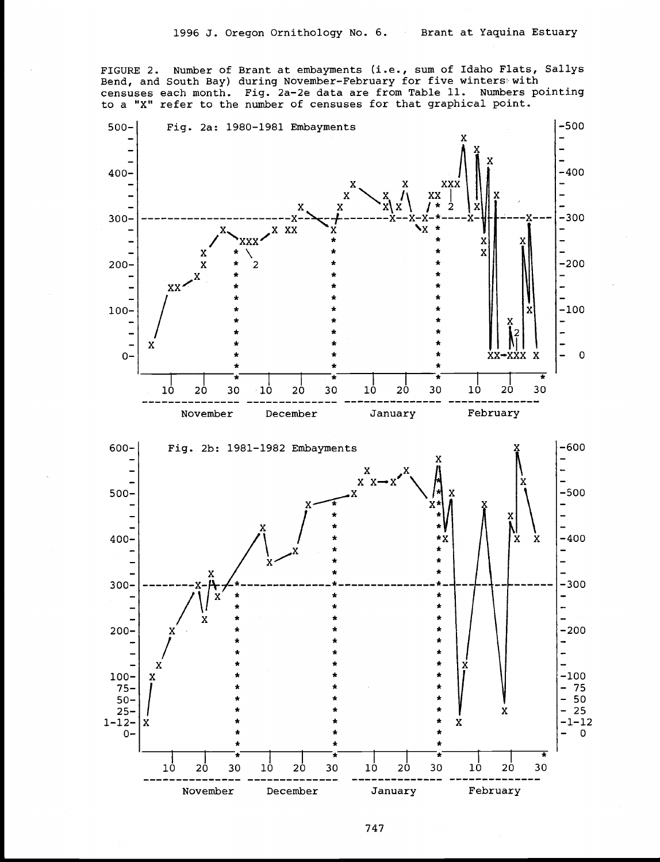FIGURE 2. Number of Brant at embayments (i.e., sum of Idaho Flats, Sallys Bend, and South Bay) during November-February for five winters with censuses each month. Fig. 2a-2e data are from Table 11. Numbers pointing to a "X" refer to the number of censuses for that graphical point.



747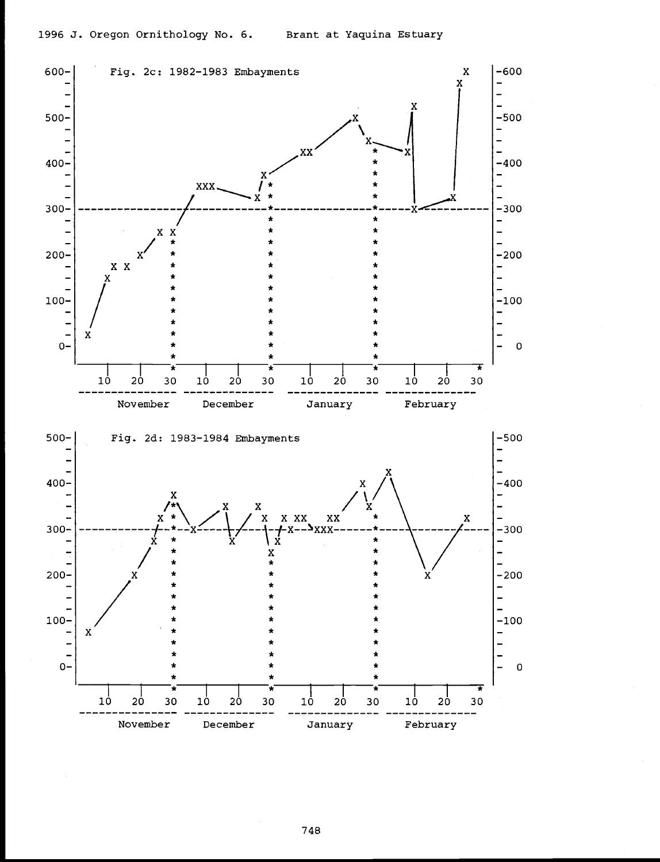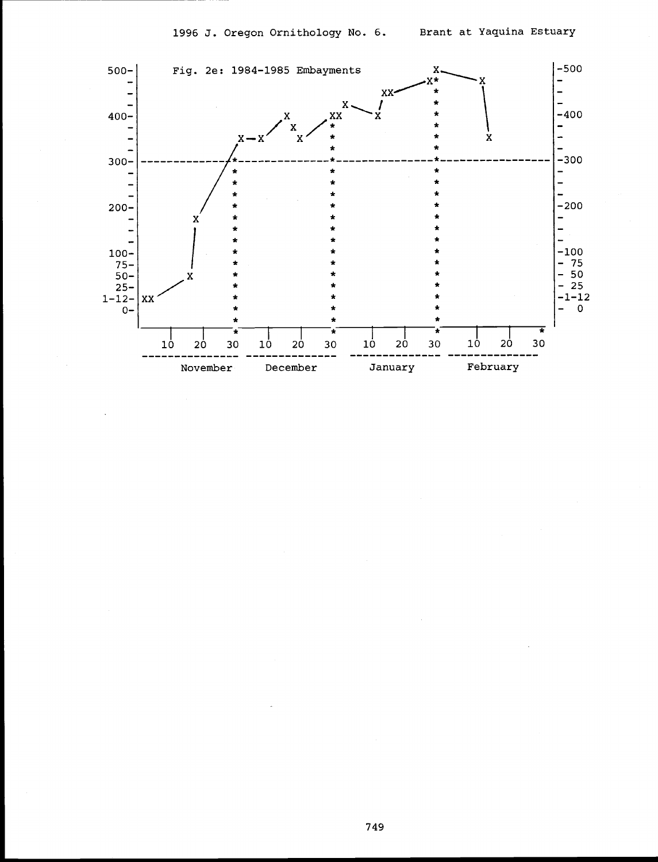

749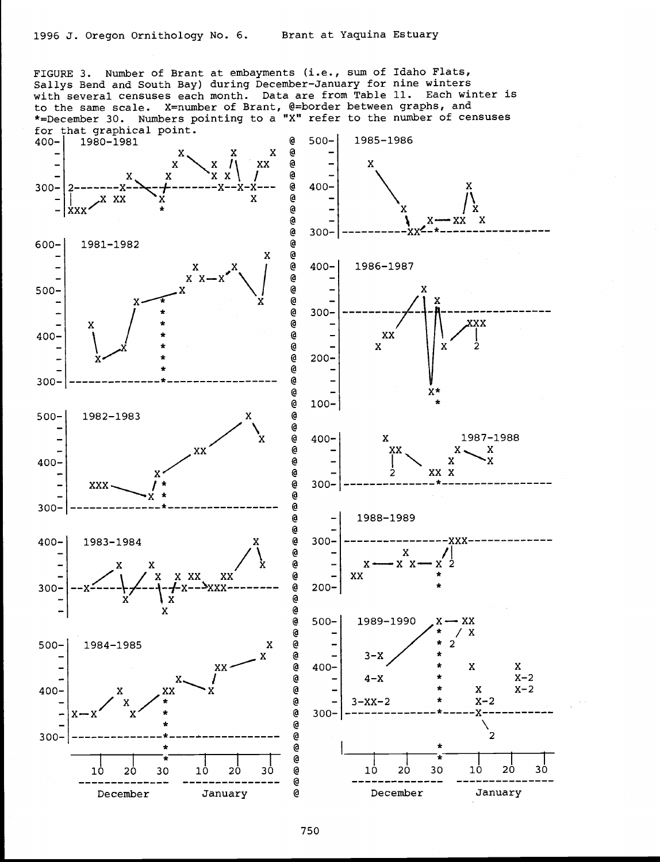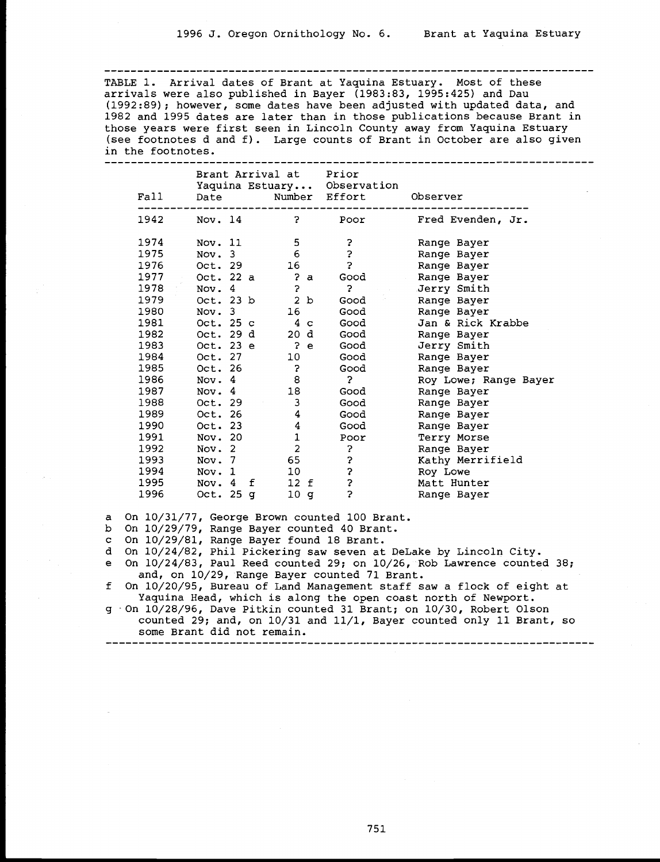TABLE 1. Arrival dates of Brant at Yaquina Estuary. Most of these arrivals were also published in Bayer  $(1983.83, 1995.425)$  and Dau (1992:89); however, some dates have been adjusted with updated data, and 1982 and 1995 dates are later than in those publications because Brant in those years were first seen in Lincoln County away from Yaquina Estuary (see footnotes d and f). Large counts of Brant in October are also given in the footnotes.

|        |                    | Brant Arrival at | Prior                       |                       |
|--------|--------------------|------------------|-----------------------------|-----------------------|
|        |                    |                  | Yaquina Estuary Observation |                       |
| Fall   | Date               |                  | Number Effort               | Observer              |
| 1942   | Nov. 14            | $\mathbf{P}$     | Poor                        | Fred Evenden, Jr.     |
| 1974   | Nov. 11            | 5                | ?                           | Range Bayer           |
| 1975   | Nov. 3             | 6                | $\ddot{\phantom{0}}$        | Range Bayer           |
| 1976   | Oct. 29            | 16               | $\ddot{\phantom{0}}$        | Range Bayer           |
| 1977 - | Oct. 22 a          | 2a               | Good                        | Range Bayer           |
| 1978   | Nov. 4             | 5                | ?                           | Jerry Smith           |
| 1979   | Oct. 23 b          | 2 b              | Good                        | Range Bayer           |
| 1980   | Nov. 3             | 16               | Good                        | Range Bayer           |
| 1981   | Oct. 25 c          | $4\,c$           | Good                        | Jan & Rick Krabbe     |
| 1982   | Oct. 29 d          | 20 d             | Good                        | Range Bayer           |
| 1983   | Oct. 23 e          | $P$ e            | Good                        | Jerry Smith           |
| 1984   | Oct. 27            | 10               | Good                        | Range Bayer           |
| 1985   | Oct. 26            | 3                | Good                        | Range Bayer           |
| 1986   | Nov. 4             | 8                | $\mathbf{P}$                | Roy Lowe; Range Bayer |
| 1987   | Nov. 4             | 18               | Good                        | Range Bayer           |
| 1988   | Oct. 29            | 3                | Good                        | Range Bayer           |
| 1989   | Oct. 26            | 4                | Good                        | Range Bayer           |
| 1990   | Oct. 23            | 4                | Good                        | Range Bayer           |
| 1991   | Nov. 20            | $\mathbf{1}$     | Poor                        | Terry Morse           |
| 1992   | Nov. 2             | $\overline{2}$   | 2                           | Range Bayer           |
| 1993   | Nov. 7             | 65               | 3                           | Kathy Merrifield      |
| 1994   | Nov. 1             | 10               | Ş                           | Roy Lowe              |
| 1995   | Nov. $4 \text{ f}$ | 12 f             | \$                          | Matt Hunter           |
| 1996   | Oct. $25q$         | 10 <sub>g</sub>  | $\ddot{\phantom{0}}$        | Range Bayer           |

a On 10/31/77, George Brown counted 100 Brant.

b On 10/29/79, Range Bayer counted 40 Brant.

c On 10/29/81, Range Bayer found 18 Brant.

d On 10/24/82, Phil Pickering saw seven at DeLake by Lincoln City.

e On 10/24/83, Paul Reed counted 29; on 10/26, Rob Lawrence counted 38;<br>and, on 10/29, Range Bayer counted 71 Brant.<br>f On 10/20/95, Bureau of Land Management staff saw a flock of eight at<br>Yaquina Head, which is along the o

g On 10/28/96, Dave Pitkin counted 31 Brant; on 10/30, Robert Olson counted 29; and, on  $10/31$  and  $11/1$ , Bayer counted only 11 Brant, so some Brant did not remain. ---------------------------------------------------------------------------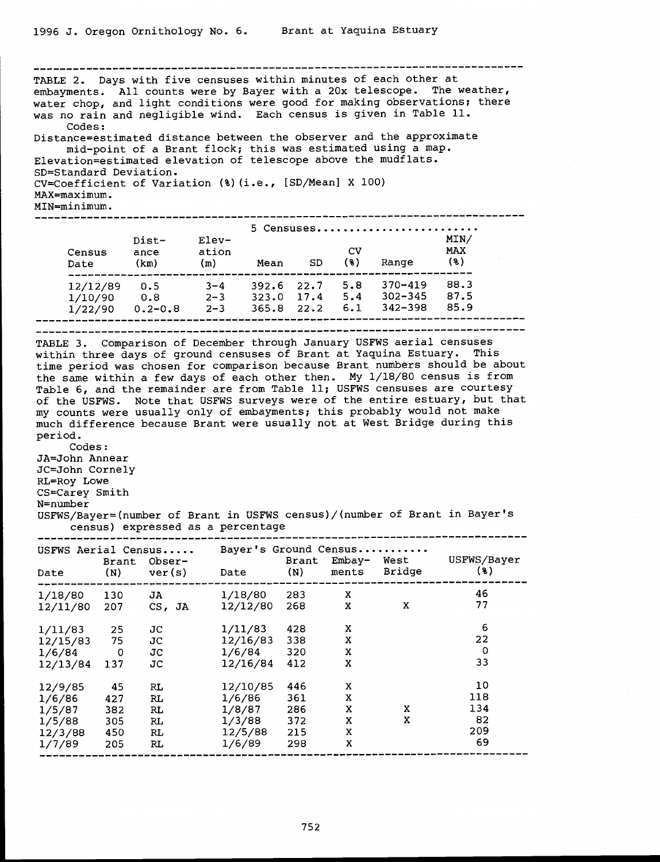--------------------------------------------- ----------------------------- TABLE 2. Days with five censuses within minutes of each other at embayments. All counts were by Bayer with a 20x telescope. The weather, water chop, and light conditions were good for making observations; there was no rain and negligible wind. Each census is given in Table 11. Codes: Distance=estimated distance between the observer and the approximate mid-point of a Brant flock; this was estimated using a map. Elevation=estimated elevation of telescope above the mudflats. SD=Standard Deviation. CV=Coefficient of Variation (%)(i.e., [SD/Mean] X 100) MAX=maximum. MIN=minimum. --------------------------------------------------------------------------- 5 Censuses......................... Dist- Elev- MIN/ Census ance ation CV MAX Date (km) (m) Mean SD (\$) Range (%) -------------------------------------------------------------- 12/12/89 0.5 3-4 392.6 22.7 5.8 370-419 88.3  $1/10/90$  0.8 2-3 323.0 17.4 5.4 302-345 87.5 1/22/90 0.2-0.8 2-3 365.8 22.2 6.1 342-398 85.9 --------------------------------------------------------------------------- TABLE 3. Comparison of December through January USFWS aerial censuses within three days of ground censuses of Brant at Yaquina Estuary. This time period was chosen for comparison because Brant numbers should be about the same within a few days of each other then. My 1/18/80 census is from Table 6, and the remainder are from Table 11; USFWS censuses are courtesy of the USFWS. Note that USFWS surveys were of the entire estuary, but that my counts were usually only of embayments; this probably would not make much difference because Brant were usually not at West Bridge during this period. Codes: JA=John Annear JC=John Cornely RL=Roy Lowe CS=Carey Smith N=number USFWS/Bayer=(number of Brant in USFWS census)/(number of Brant in Bayer's census) expressed as a percentage --------------------------------------------------------------------------- USFWS Aerial Census..... Bayer's Ground Census ........... Brant Obser- Brant Embay- West USFWS/Bayer Date (N) ver(s) Date (N) ments Bridge (%) --------------------------------------------------------------------------- 1/18/80 130 JA 1/18/80 283 <sup>X</sup> 46 12/11/80 207 CS, JA 12/12/80 268 X X 77 1/11/83 25 JC 1/11/83 428 X 6 12/15/83 75 JC 12/16/83 338 X 22 1/6/84 0 JC 1/6/84 320 X 0 12/13/84 137 JC 12/16/84 412 X 33 12/9/85 45 RL 12/10/85 446 X 10 1/6/86 427 RL 1/6/86 361 X 118 1/5/87 382 RL 1/8/87 286 X X 134 1/5/88 305 RL 1/3/88 372 X X 82 12/3/88 450 RL 12/5/88 215 X 209 1/7/89 <sup>205</sup> RL 1/6/89 <sup>298</sup> <sup>X</sup> <sup>69</sup> ---------------------------------------------------------------------------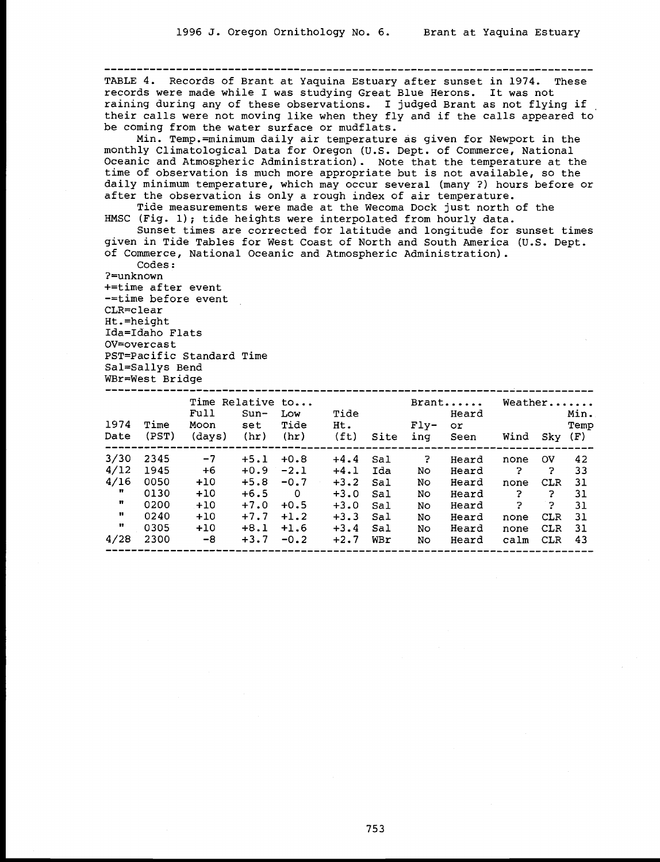TABLE 4. Records of Brant at Yaquina Estuary after sunset in 1974. These records were made while I was studying Great Blue Herons. It was not raining during any of these observations. I judged Brant as not flying if their calls were not moving like when they fly and if the calls appeared to be coming from the water surface or mudflats.

Min. Temp.=minimum daily air temperature as given for Newport in the monthly Climatological Data for Oregon (U.S. Dept. of Commerce, National Oceanic and Atmospheric Administration). Note that the temperature at the time of observation is much more appropriate but is not available, so the daily minimum temperature, which may occur several (many ?) hours before or after the observation is only a rough index of air temperature.

Tide measurements were made at the Wecoma Dock just north of the<br>HMSC (Fig. 1); tide heights were interpolated from hourly data.<br>Sunset times are corrected for latitude and longitude for sunset times<br>given in Tide Tables f

?=unknown +=time after event -=time before event CLR=clear Ht.=height Ida=Idaho Flats OV=overcast PST=Pacific Standard Time Sal=Sallys Bend WBr=West Bridge

|              |               | Time Relative to       |                       |                          |                                  |      | Weather       |                      |              |           |              |
|--------------|---------------|------------------------|-----------------------|--------------------------|----------------------------------|------|---------------|----------------------|--------------|-----------|--------------|
| 1974<br>Date | Time<br>(PST) | Full<br>Moon<br>(days) | $Sun-$<br>set<br>(hr) | Low<br>Tide<br>(hr)      | Tide<br>Ht.<br>(f <sub>t</sub> ) | Site | $Flv-$<br>ing | Heard<br>or.<br>Seen | Wind         | Sky (F)   | Min.<br>Temp |
| 3/30         | 2345          | $-7$                   | $+5.1$                | $+0.8$                   | $+4.4$                           | Sal  | 2             | Heard                | none         | <b>OV</b> | 42           |
| 4/12         | 1945          | +6                     |                       | $+0.9 -2.1$              | $+4.1$                           | Ida  | No.           | Heard                | $\mathbb{R}$ | 2         | 33           |
| 4/16         | 0050          | $+10$                  | $+5.8$                | $-0.7$                   | $+3.2$                           | Sal  | No            | Heard                | none         | CLR       | -31          |
| n            | 0130          | $+10$                  | $+6.5$                | $\overline{\phantom{0}}$ | $+3.0$                           | Sal  | No            | Heard                | 2            | 2         | -31          |
| n            | 0200          | $+10$                  | $+7.0$                | $+0.5$                   | $+3.0$                           | Sal  | No.           | Heard                | -2.          | 2         | 31           |
| n            | 0240          | $+10$                  | $+7.7$                | $+1.2$                   | $+3.3$                           | Sal  | No.           | Heard                | none         | CLR       | -31          |
| Ħ            | 0305          | $+10$                  | $+8.1$                | $+1.6$                   | $+3.4$                           | Sal  | No.           | Heard                | none         | CLR       | -31          |
| 4/28         | 2300          | $-8$                   | $+3.7$                | $-0.2$                   | $+2.7$                           | WBr  | No            | Heard                | calm         | CLR       | 43           |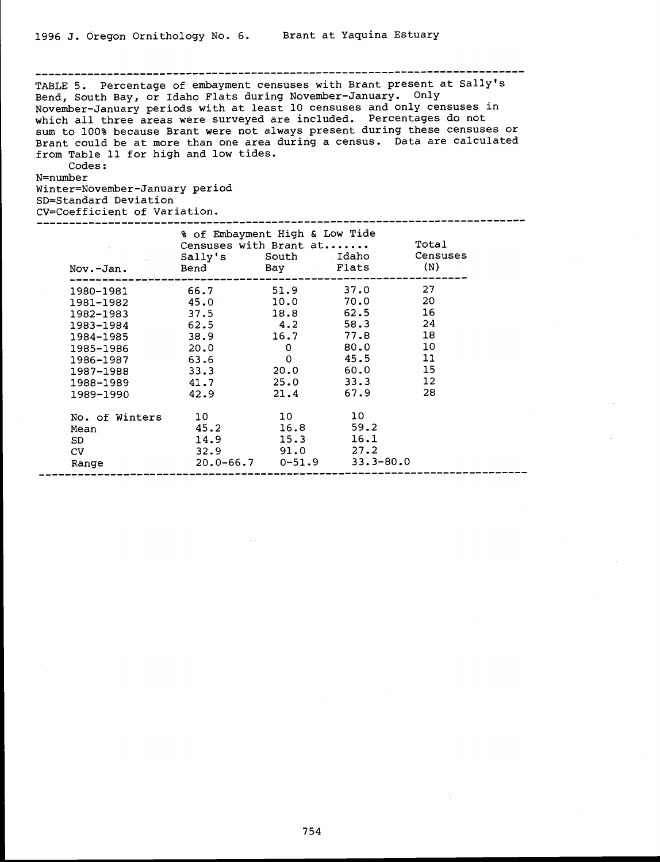------------------------------------------------------- ------------------- TABLE 5. Percentage of embayment censuses with Brant present at Sally's<br>Bend, South Bay, or Idaho Flats during November-January. Only November-January periods with at least 10 censuses and only censuses in<br>which all three areas were surveyed are included. Percentages do not<br>sum to 100% because Brant were not always present during these censuses or Brant could be at more than one area during a census. Data are calculated from Table 11 for high and low tides.

# Codes:

N=number

# Winter=November-January period SD=Standard Deviation CV=Coefficient of Variation.

|                | % of Embayment High & Low Tide<br>Censuses with Brant at<br>Sally's South Idaho |                          |               | Total<br>Censuses |
|----------------|---------------------------------------------------------------------------------|--------------------------|---------------|-------------------|
| Nov.-Jan.      | Bend                                                                            | Bay Flats                |               | (N)               |
| 1980-1981      | 66.7 51.9 37.0                                                                  |                          |               | 27                |
| 1981-1982 45.0 |                                                                                 |                          | $10.0$ 70.0   | 20                |
| 1982-1983      | 37.5                                                                            |                          | 18.8 62.5     | 16                |
| 1983-1984      | 62.5                                                                            | 4.2                      | 58.3          | 24                |
| 1984-1985      | 38.9                                                                            |                          | $16.7$ 77.8   | 18                |
| 1985-1986      | 20.0                                                                            | $\mathbf{O}$             | 80.0          | 10                |
| 1986-1987      | 63.6                                                                            | $\mathbf{O}$             | 45.5          | 11                |
| 1987-1988      | 33.3                                                                            |                          | $20.0$ 60.0   | 15                |
| 1988-1989      | 41.7                                                                            |                          | $25.0$ $33.3$ | 12                |
| 1989-1990      | 42.9                                                                            | 21.4                     | 67.9          | 28                |
| No. of Winters | 10 -                                                                            | 10                       | 10            |                   |
| Mean           | 45.2                                                                            | 16.8                     | 59.2          |                   |
| SD.            | 14.9                                                                            | 15.3                     | 16.1          |                   |
| CV             | 32.9                                                                            | 91.0                     | 27.2          |                   |
| Range          |                                                                                 | $20.0 - 66.7$ $0 - 51.9$ | $33.3 - 80.0$ |                   |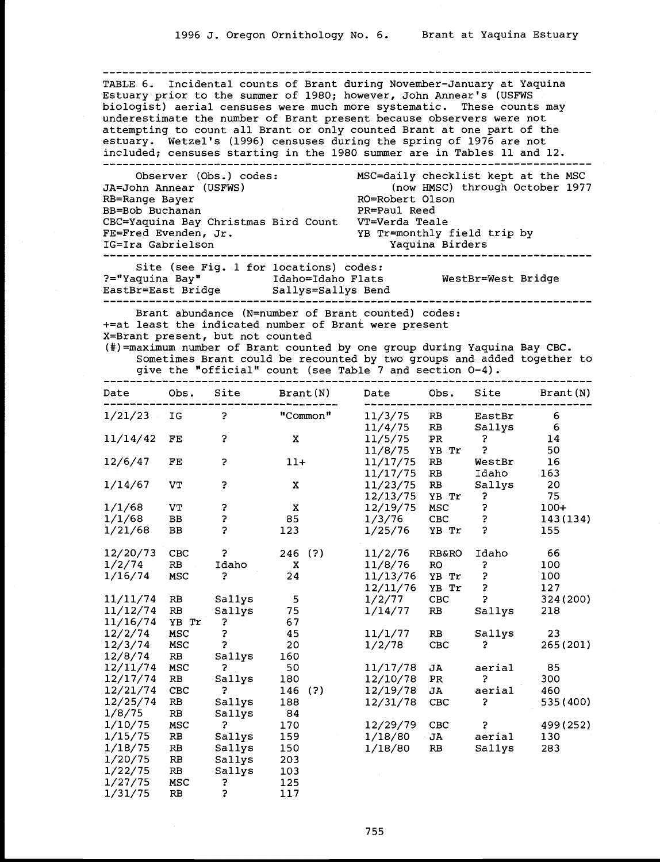TABLE 6. Incidental counts of Brant during November-January at Yaquina Estuary prior to the summer of 1980; however, John Annear's (USFWS biologist) aerial censuses were much more systematic. These counts may underestimate the number of Brant present because observers were not attempting to count all Brant or only counted Brant at one part of the estuary. Wetzel's (1996) censuses during the spring of 1976 are not included; censuses starting in the 1980 summer are in Tables 11 and 12.

| Observer (Obs.) codes:<br>JA=John Annear (USFWS)                                | MSC=daily checklist kept at the MSC<br>(now HMSC) through October 1977 |
|---------------------------------------------------------------------------------|------------------------------------------------------------------------|
| RB=Range Bayer                                                                  | RO=Robert Olson                                                        |
| BB=Bob Buchanan                                                                 | PR=Paul Reed                                                           |
| CBC=Yaquina Bay Christmas Bird Count VT=Verda Teale                             |                                                                        |
| FE=Fred Evenden, Jr.                                                            | YB Tr=monthly field trip by                                            |
| IG=Ira Gabrielson                                                               | Yaquina Birders                                                        |
| Site (see Fig. 1 for locations) codes:<br>?="Yaquina Bay"<br>EastBr=East Bridge | WestBr=West Bridge<br>Idaho=Idaho Flats<br>Sallys=Sallys Bend          |

Brant abundance (N=number of Brant counted) codes: +=at least the indicated number of Brant were present<br>X=Brant present, but not counted<br>(#)=maximum number of Brant counted by one group during Yaquina Bay CBC.

Sometimes Brant could be recounted by two groups and added together to give the "official" count (see Table 7 and section 0-4).

| Date     | Obs.          | Site                 | Brant (N)   | Date     | Obs.                   | Site   | Brant(N)  |
|----------|---------------|----------------------|-------------|----------|------------------------|--------|-----------|
| 1/21/23  | IG            | $\ddot{\phantom{0}}$ | "Common"    | 11/3/75  | RB                     | EastBr | 6         |
|          |               |                      |             | 11/4/75  | RB                     | Sallys | $6\,$     |
| 11/14/42 | FE            | ?                    | X           | 11/5/75  | PR                     | ?      | 14        |
|          |               |                      |             | 11/8/75  | YB<br>Tr               | 2      | 50        |
| 12/6/47  | FE            | 2                    | $11+$       | 11/17/75 | RB                     | WestBr | 16        |
|          |               |                      |             | 11/17/75 | RB                     | Idaho  | 163       |
| 1/14/67  | VT            | 3                    | $\mathbf x$ | 11/23/75 | RB                     | Sallys | 20        |
|          |               |                      |             | 12/13/75 | YB Tr                  | 7      | 75        |
| 1/1/68   | VT            | 3                    | $\mathbf X$ | 12/19/75 | MSC                    | 3      | $100+$    |
| 1/1/68   | BB            | 3                    | 85          | 1/3/76   | <b>CBC</b>             | ?      | 143 (134) |
| 1/21/68  | BB            | 5                    | 123         | 1/25/76  | YB Tr                  | Ş.     | 155       |
| 12/20/73 | CBC           | 2                    | 246 (?)     | 11/2/76  | <b>RB&amp;RO</b>       | Idaho  | 66        |
| 1/2/74   | RB            | Idaho                | X           | 11/8/76  | <b>RO</b>              | 3      | 100       |
| 1/16/74  | MSC           | 2                    | 24          | 11/13/76 | YB Tr                  | ?      | 100       |
|          |               |                      |             | 12/11/76 | YB Tr                  | 3      | 127       |
| 11/11/74 | RB            | Sallys               | 5           | 1/2/77   | CBC                    | 3      | 324 (200) |
| 11/12/74 | RB            | Sallys               | 75          | 1/14/77  | $\mathbf{R}\mathbf{B}$ | Sallys | 218       |
| 11/16/74 | YB Tr         | ?                    | 67          |          |                        |        |           |
| 12/2/74  | MSC           | 3                    | 45          | 11/1/77  | RB                     | Sallys | 23        |
| 12/3/74  | MSC           | 5                    | 20          | 1/2/78   | CBC                    | 3      | 265 (201) |
| 12/8/74  | RB            | Sallys               | 160         |          |                        |        |           |
| 12/11/74 | MSC           | $\mathbf{P}$         | 50          | 11/17/78 | JA                     | aerial | 85        |
| 12/17/74 | RB            | Sallys               | 180         | 12/10/78 | PR                     | 2      | 300       |
| 12/21/74 | <b>CBC</b>    | 2                    | 146<br>(?)  | 12/19/78 | JA                     | aerial | 460       |
| 12/25/74 | $\mathbf{RB}$ | Sallys               | 188         | 12/31/78 | CBC                    | ?      | 535 (400) |
| 1/8/75   | RB            | Sallys               | 84          |          |                        |        |           |
| 1/10/75  | MSC           | 2                    | 170         | 12/29/79 | CBC                    | 2      | 499 (252) |
| 1/15/75  | RB            | Sallys               | 159         | 1/18/80  | JA                     | aerial | 130       |
| 1/18/75  | RB            | Sallys               | 150         | 1/18/80  | RB                     | Sallys | 283       |
| 1/20/75  | RB            | Sallys               | 203         |          |                        |        |           |
| 1/22/75  | RB            | Sallys               | 103         |          |                        |        |           |
| 1/27/75  | <b>MSC</b>    | ?                    | 125         |          |                        |        |           |
| 1/31/75  | RB            | 5                    | 117         |          |                        |        |           |

755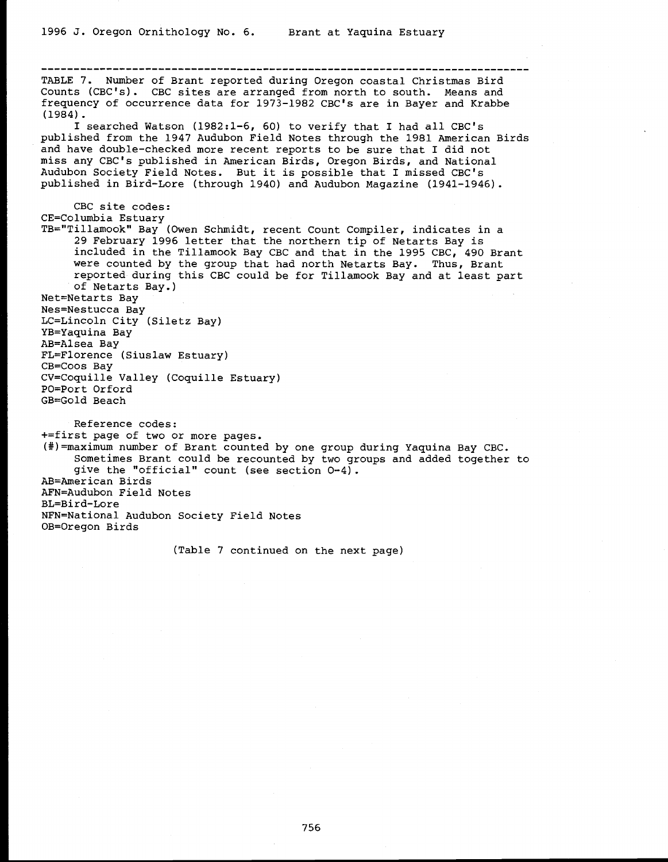TABLE 7. Number of Brant reported during Oregon coastal Christmas Bird Counts (CBC's). CBC sites are arranged from north to south. Means and frequency of occurrence data for 1973-1982 CBC's are in Bayer and Krabbe (1984).<br>I searched Watson (1982:1-6, 60) to verify that I had all CBC's<br>published from the 1947 Audubon Field Notes through the 1981 American Birds<br>and have double-checked more recent reports to be sure that I did not<br>mis Audubon Society Field Notes. But it is possible that I missed CBC's published in Bird-Lore (through 1940) and Audubon Magazine (1941-1946). CBC site codes: CE=Columbia Estuary TB="Tillamook" Bay (Owen Schmidt, recent Count Compiler, indicates in a 29 February 1996 letter that the northern tip of Netarts Bay is included in the Tillamook Bay CBC and that in the 1995 CBC, 490 Brant<br>were counted by the group that had north Netarts Bay. Thus, Brant Were counted by the group that had north Netarts Bay. Thus, Brant<br>reported during this CBC could be for Tillamook Bay and at least part<br>of Netarts Bay.)<br>Net-Netarts Bay<br>Net-Netarts Bay<br>IC-Lincoln City (Siletz Bay)<br>IC-Linco

GB=Gold Beach

Reference codes:<br>+=first page of two or more pages. (#)=maximum number of Brant counted by one group during Yaquina Bay CBC.<br>Sometimes Brant could be recounted by two groups and added together to<br>give the "official" count (see section  $0-4$ ).<br>AB=American Birds AFN=Audubon Field Notes BL=Bird-Lore NFN=National Audubon Society Field Notes OB=Oregon Birds

(Table 7 continued on the next page)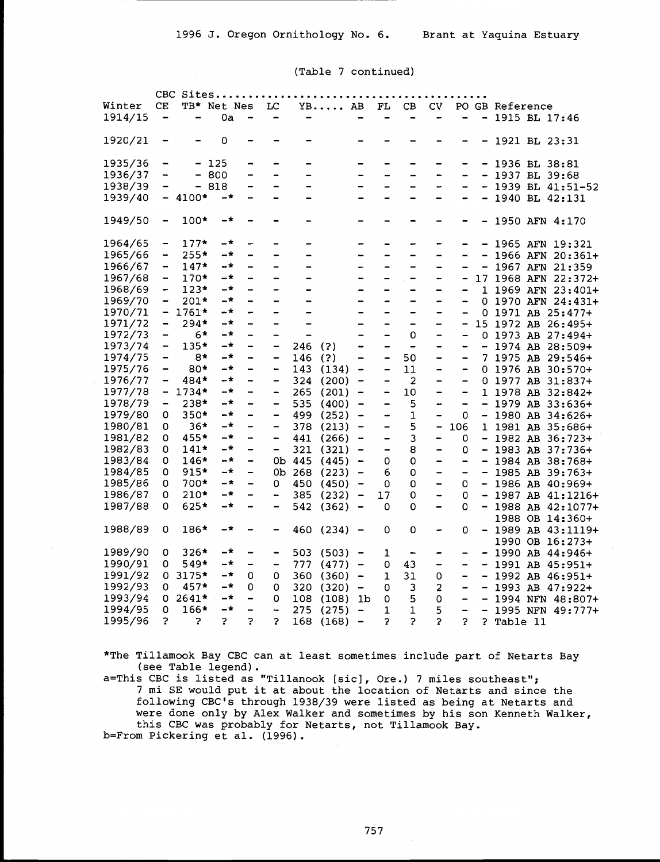#### (Table 7 continued)

|         |                              | CBC Sites                |                |                              |                              |                              |                  |                              |                              |                              |                              |                              |                              |                  |                       |  |
|---------|------------------------------|--------------------------|----------------|------------------------------|------------------------------|------------------------------|------------------|------------------------------|------------------------------|------------------------------|------------------------------|------------------------------|------------------------------|------------------|-----------------------|--|
| Winter  | CE                           |                          | TB* Net Nes LC |                              |                              |                              | YB AB FL CB      |                              |                              |                              | CV <sub>.</sub>              |                              |                              | PO GB Reference  |                       |  |
|         |                              |                          |                |                              |                              |                              |                  |                              |                              |                              |                              |                              |                              |                  |                       |  |
| 1914/15 | $\qquad \qquad \blacksquare$ | $\overline{\phantom{0}}$ | 0a             | $\qquad \qquad \blacksquare$ | $\qquad \qquad \blacksquare$ | $\qquad \qquad \blacksquare$ |                  | -                            | $\overline{\phantom{a}}$     | $\overline{\phantom{0}}$     | -                            | -                            | $\qquad \qquad \blacksquare$ | 1915 BL 17:46    |                       |  |
| 1920/21 |                              |                          | 0              |                              |                              |                              |                  |                              |                              |                              |                              |                              |                              | - 1921 BL 23:31  |                       |  |
| 1935/36 | -                            |                          | $-125$         | -                            | -                            |                              |                  |                              |                              |                              |                              |                              |                              | $-1936 BL 38:81$ |                       |  |
| 1936/37 | $\qquad \qquad \blacksquare$ |                          | $-800$         | -                            |                              | -                            |                  | -                            |                              |                              | -                            | $\overline{\phantom{0}}$     |                              | $-1937 BL 39:68$ |                       |  |
| 1938/39 | $\overline{\phantom{a}}$     |                          | - 818          | -                            | -                            | -                            |                  | -                            | $\overline{\phantom{0}}$     | -                            | -                            | -                            |                              |                  | $-1939$ BL $41:51-52$ |  |
| 1939/40 |                              | $-4100*$                 | $-*$           |                              | -                            | $\overline{\phantom{0}}$     |                  |                              |                              |                              | -                            | -                            |                              |                  |                       |  |
|         |                              |                          |                |                              |                              |                              |                  |                              |                              |                              |                              |                              |                              |                  | $-1940$ BL $42:131$   |  |
| 1949/50 | $\overline{\phantom{m}}$     | $100*$                   | -*             |                              |                              |                              |                  |                              |                              |                              |                              |                              |                              |                  | - 1950 AFN 4:170      |  |
| 1964/65 | $\qquad \qquad \blacksquare$ | $177*$                   | -*             | -                            | -                            | -                            |                  | -                            |                              | ÷                            |                              | -                            |                              |                  | - 1965 AFN 19:321     |  |
| 1965/66 | $\hbox{\small -}$            | $255*$                   | $-*$           | -                            | $\overline{a}$               | -                            |                  | -                            |                              | -                            | -                            | -                            | $\overline{\phantom{a}}$     |                  | 1966 AFN 20:361+      |  |
| 1966/67 | $\qquad \qquad \blacksquare$ | $147*$                   | $-*$           | -                            | $\qquad \qquad -$            | $\overline{\phantom{0}}$     |                  | -                            | $\qquad \qquad \blacksquare$ | $\qquad \qquad$              | $\overline{\phantom{0}}$     |                              | -                            |                  | 1967 AFN 21:359       |  |
| 1967/68 | $\blacksquare$               | $170*$                   | $-*$           | $\overline{\phantom{0}}$     | $\overline{\phantom{0}}$     | $\overline{\phantom{0}}$     |                  | $\overline{\phantom{0}}$     | $\overline{a}$               | $\qquad \qquad \blacksquare$ | -                            | -                            |                              |                  | 17 1968 AFN 22:372+   |  |
| 1968/69 | $\blacksquare$               | $123*$                   | -*             | $\qquad \qquad -$            | $\overline{\phantom{0}}$     |                              |                  | -                            | $\qquad \qquad \blacksquare$ | $\qquad \qquad \blacksquare$ | -                            | -                            |                              |                  | 1 1969 AFN 23:401+    |  |
| 1969/70 | $\qquad \qquad \blacksquare$ | $201*$                   | $-*$           | -                            |                              |                              |                  |                              | $\overline{a}$               |                              | -                            | -                            |                              |                  | 0 1970 AFN 24:431+    |  |
| 1970/71 |                              | - 1761*                  | $-*$           | $\overline{\phantom{0}}$     | $\qquad \qquad \blacksquare$ | $\overline{\phantom{0}}$     |                  | $\qquad \qquad \blacksquare$ | $\overline{\phantom{0}}$     | -                            | $\overline{\phantom{0}}$     | -                            |                              |                  | 0 1971 AB 25:477+     |  |
| 1971/72 | $\qquad \qquad \blacksquare$ | 294*                     | $-*$           | -                            | $\overline{\phantom{0}}$     |                              |                  | $\qquad \qquad \blacksquare$ | $\qquad \qquad -$            | $\overline{\phantom{a}}$     | -                            | -                            |                              |                  | 15 1972 AB 26:495+    |  |
| 1972/73 | $\blacksquare$               | 6*                       | -*             | -                            | $\overline{\phantom{0}}$     | $\overline{\phantom{0}}$     |                  | $\qquad \qquad \blacksquare$ | $\overline{a}$               | 0                            |                              |                              |                              |                  |                       |  |
|         |                              |                          | -*             |                              |                              |                              |                  |                              |                              |                              | -                            | $\qquad \qquad \blacksquare$ |                              |                  | 0 1973 AB $27:494+$   |  |
| 1973/74 | $\overline{\phantom{a}}$     | $135*$                   |                | -                            | -                            | 246                          | (?)              | -                            | $\qquad \qquad \blacksquare$ | $\qquad \qquad \blacksquare$ | -                            | -                            |                              |                  | $-1974$ AB 28:509+    |  |
| 1974/75 | $\overline{\phantom{m}}$     | 8*                       | $-+$           | -                            | $\qquad \qquad -$            | 146                          | (?)              | $\overline{\phantom{a}}$     | $\ddot{\phantom{1}}$         | 50                           | $\qquad \qquad \blacksquare$ | $\qquad \qquad \blacksquare$ |                              |                  | 7 1975 AB 29:546+     |  |
| 1975/76 | $\overline{\phantom{m}}$     | 80*                      | $-*$           | -                            | -                            | 143                          | (134)            | $\overline{\phantom{a}}$     | $\overline{\phantom{a}}$     | 11                           | -                            | $\qquad \qquad \blacksquare$ |                              |                  | $0$ 1976 AB 30:570+   |  |
| 1976/77 | $\qquad \qquad \blacksquare$ | 484*                     | -*             | -                            | -                            |                              | 324 (200)        | $\overline{\phantom{0}}$     | $\qquad \qquad -$            | 2                            | $\qquad \qquad -$            | -                            |                              |                  | 0 1977 AB 31:837+     |  |
| 1977/78 |                              | $-1734*$                 | $-*$           | -                            | $\overline{\phantom{0}}$     | 265                          | (201)            | $\overline{\phantom{a}}$     | $\qquad \qquad \blacksquare$ | 10                           | -                            | $\overline{\phantom{a}}$     |                              |                  | 1 1978 AB 32:842+     |  |
| 1978/79 | $\overline{\phantom{m}}$     | 238*                     | -*             | -                            | -                            | 535                          | $(400) -$        |                              |                              | 5                            | -                            | $\qquad \qquad \blacksquare$ |                              |                  | $-1979$ AB 33:636+    |  |
| 1979/80 | 0                            | $350*$                   | -*             | $\overline{\phantom{0}}$     | $\qquad \qquad \blacksquare$ |                              | 499 (252)        | $\overline{\phantom{a}}$     | $\qquad \qquad \blacksquare$ | $\mathbf 1$                  | $\qquad \qquad \blacksquare$ | 0                            |                              |                  | $-1980$ AB 34:626+    |  |
| 1980/81 | 0                            | $36*$                    | $-*$           | -                            | $\qquad \qquad \blacksquare$ | 378                          | (213)            | $\overline{\phantom{a}}$     | $\qquad \qquad \blacksquare$ | 5                            | -                            | 106                          |                              |                  | 1 1981 AB 35:686+     |  |
| 1981/82 | 0                            | 455*                     | $-*$           | -                            | $\frac{1}{2}$                |                              | $441(266) -$     |                              | $\qquad \qquad -$            | 3                            |                              | 0                            |                              |                  | $-1982$ AB 36:723+    |  |
| 1982/83 | 0                            | $141*$                   | $-*$           | -                            | -                            | 321                          | $(321) -$        |                              | $\overline{\phantom{a}}$     | 8                            | -                            | 0                            |                              |                  | $-1983$ AB 37:736+    |  |
| 1983/84 | 0                            | $146*$                   | $ \star$       | $\qquad \qquad -$            |                              |                              | 0b 445 (445) -   |                              | 0                            | $\mathsf O$                  | $\qquad \qquad -$            | $\qquad \qquad \blacksquare$ |                              |                  | $-1984$ AB 38:768+    |  |
| 1984/85 | 0                            | $915*$                   | $-+$           | -                            |                              |                              | $0b$ 268 (223) - |                              | 6                            | 0                            | $\qquad \qquad \blacksquare$ | $\overline{\phantom{a}}$     |                              |                  | $-$ 1985 AB 39:763+   |  |
| 1985/86 | 0                            | 700*                     | $-*$           | -                            | 0                            |                              | 450 (450) -      |                              | $\mathsf O$                  | 0                            | $\qquad \qquad \blacksquare$ | 0                            |                              |                  | $-$ 1986 AB 40:969+   |  |
| 1986/87 | 0                            | $210*$                   | $-*$           | -                            | -                            |                              | 385 (232) -      |                              | 17                           | 0                            | $\qquad \qquad \blacksquare$ | 0                            |                              |                  | $-$ 1987 AB 41:1216+  |  |
| 1987/88 | 0                            | 625*                     | -*             | -                            | -                            | 542                          | $(362) -$        |                              | 0                            | 0                            | $\qquad \qquad$              | 0                            |                              |                  | $-$ 1988 AB 42:1077+  |  |
|         |                              |                          |                |                              |                              |                              |                  |                              |                              |                              |                              |                              |                              |                  | 1988 OB 14:360+       |  |
| 1988/89 | 0                            | 186*                     | $ \star$       |                              | -                            |                              | $460(234) -$     |                              | 0                            | 0                            | -                            | 0                            |                              |                  | $-1989$ AB $43:1119+$ |  |
|         |                              |                          |                |                              |                              |                              |                  |                              |                              |                              |                              |                              |                              |                  | 1990 OB 16:273+       |  |
| 1989/90 | 0                            | $326*$                   | -*             | -                            | $\overline{\phantom{a}}$     |                              | $503(503) -$     |                              | 1                            | $\blacksquare$               | $\overline{\phantom{0}}$     | $\qquad \qquad \blacksquare$ |                              |                  | $-$ 1990 AB 44:946+   |  |
| 1990/91 | 0                            | 549*                     | $-*$           | -                            | $\overline{\phantom{a}}$     |                              | $777(477) -$     |                              | 0                            | 43                           | -                            |                              |                              |                  | - 1991 AB 45:951+     |  |
| 1991/92 |                              | $0.3175*$                | -*             | 0                            | 0                            |                              | $360(360) -$     |                              | 1                            | 31                           | 0                            | -                            |                              |                  | $-$ 1992 AB 46:951+   |  |
| 1992/93 | 0                            | $457*$                   | $-*$           | 0                            | 0                            |                              | 320 (320)        | $\overline{\phantom{a}}$     | 0                            | 3                            | $\overline{a}$               | -                            |                              |                  | $-$ 1993 AB 47:922+   |  |
| 1993/94 |                              | $0.2641*$                | $-{\star}$     | -                            | 0                            |                              | 108 (108) 1b     |                              | 0                            | 5                            | $\mathsf O$                  | $\qquad \qquad \blacksquare$ |                              |                  | $-1994$ NFN $48:807+$ |  |
| 1994/95 | 0                            | $166*$                   | $-*$           | -                            | -                            | 275                          | (275)            | $\qquad \qquad -$            | 1                            | $\mathbf{1}$                 | 5                            | -                            |                              |                  | $-$ 1995 NFN 49:777+  |  |
| 1995/96 | 2                            | ?                        | $\overline{?}$ | 3                            | 5                            | 168                          | $(168)$ -        |                              | $\overline{z}$               | $\overline{P}$               | $\overline{\mathbf{r}}$      | 2                            |                              | ? Table 11       |                       |  |
|         |                              |                          |                |                              |                              |                              |                  |                              |                              |                              |                              |                              |                              |                  |                       |  |

\*The Tillamook Bay CBC can at least sometimes include part of Netarts Bay

a=This CBC is listed as "Tillanook [sic], Ore.) 7 miles southeast";<br>7 mi SE would put it at about the location of Netarts and since the following CBC's through 1938/39 were listed as being at Netarts and were done only by Alex Walker and sometimes by his son Kenneth Walker, this CBC was probably for Netarts, not Tillamook Bay. b=From Pickering et al. (1996).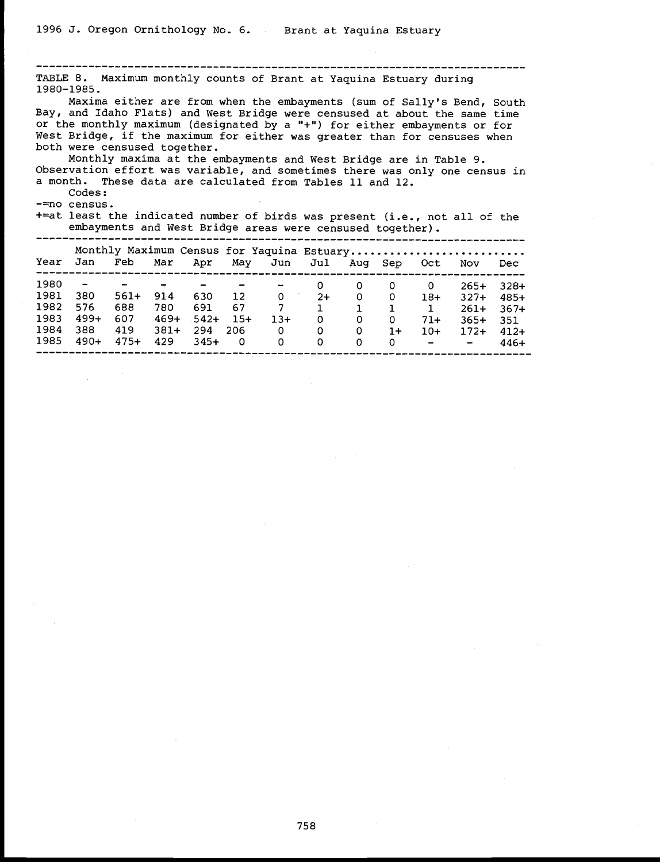--------------------------------------------------------------------------- TABLE 8. Maximum monthly counts of Brant at Yaquina Estuary during 1980-1985. Maxima either are from when the embayments (sum of Sally's Bend, South Bay, and Idaho Flats) and West Bridge were censused at about the same time or the monthly maximum (designated by a "+") for either embayments or for We Monthly maxima at the embayments and West Bridge are in Table 9. Observation effort was variable, and sometimes there was only one census in a month. These data are calculated from Tables 11 and 12. Codes: -=no census. +=at least the indicated number of birds was present (i.e., not all of the embayments and West Bridge areas were censused together). embayments and West Bridge areas were censused together). --------------------------------------------------------------------------- Monthly Maximum Census for Yaquina Estuary ........................... Year Jan Feb Mar Apr May Jun Jul Aug Sep Oct Nov Dec --------------------------------------------------------------------------- 1980 - - - - - 0 0 0 0 265+ 328+ 1981 380 561+ 914 630 12 0 2+ 0 <sup>0</sup> 18+ 327+ 485+ 1982 576 688 780 691 67 <sup>7</sup> 1 <sup>1</sup> <sup>1</sup> <sup>1</sup> 261+ 367+ 1983 499+ 607 469+ 542+ 15+ 13+ 0 0 0 71+ 365+ 351 1984 388 419 381+ 294 206 0 0 <sup>0</sup> 1+ 10+ 172+ 412+ 1985 490+ 475+ 429 345+ 0 0 0 0 0 0 - - 446+<br>1985 490+ 475+ 429 345+ 0 0 0 0 0 - - 446+ -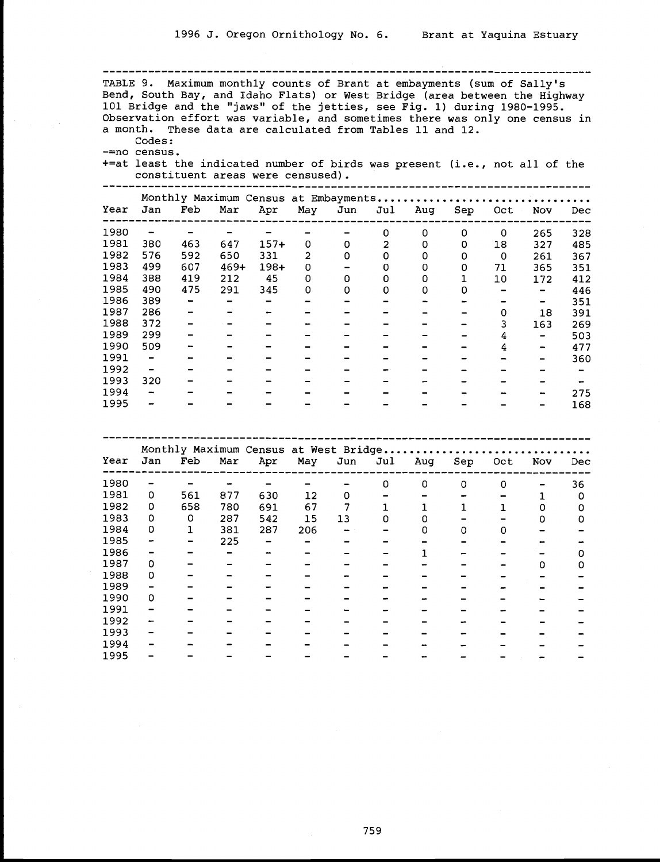TABLE 9. Maximum monthly counts of Brant at embayments (sum of Sally's Bend, South Bay, and Idaho Flats) or West Bridge (area between the Highway 101 Bridge and the "jaws" of the jetties, see Fig. 1) during 1980-1995.<br>Observation effort was variable, and sometimes there was only one census in a month. These data are calculated from Tables 11 and 12. Codes: -=no census. +=at least the indicated number of birds was present (i.e., not all of the constituent areas were censused). --------------------------------------------------------------------------- Monthly Maximum Census at Embayments................................. Year Jan Feb Mar Apr May Jun Jul Aug Sep Oct Nov Dec --------------------------------------------------------------------------- - - - - - - <sup>0</sup> <sup>0</sup> <sup>0</sup> <sup>0</sup> <sup>265</sup> <sup>328</sup> 380 463 647 157+ 0 0 <sup>2</sup> 0 0 18 327 485 576 592 650 331 <sup>2</sup> 0 0 0 0 0 261 367 499 607 469+ 198+ 0 - 0 0 0 71 365 351 388 419 212 45 0 0 0 0 1 10 172 412 <sup>1985</sup> <sup>490</sup> <sup>475</sup> <sup>291</sup> <sup>345</sup> <sup>0</sup> <sup>0</sup> <sup>0</sup> <sup>0</sup> <sup>0</sup> - - <sup>446</sup>  $389$  - - - - - - - - - - - - 351

| 1986 | 389                      | -                        | $\overline{\phantom{0}}$ |                          |                          |        |                          |                          |                          | -                        | $\overline{\phantom{0}}$                                                                                                                                     | 351                      |  |
|------|--------------------------|--------------------------|--------------------------|--------------------------|--------------------------|--------|--------------------------|--------------------------|--------------------------|--------------------------|--------------------------------------------------------------------------------------------------------------------------------------------------------------|--------------------------|--|
| 1987 | 286                      |                          | -                        | -                        |                          |        |                          | $\overline{\phantom{0}}$ | $\overline{\phantom{0}}$ | 0                        | 18                                                                                                                                                           | 391                      |  |
| 1988 | 372                      | -                        |                          | -                        | -                        | $\sim$ | $\overline{\phantom{0}}$ | -                        | $\qquad \qquad$          | 3                        | 163                                                                                                                                                          | 269                      |  |
| 1989 | 299                      | $\overline{\phantom{a}}$ | $\overline{\phantom{0}}$ |                          | -                        |        | -                        | -                        | $\hskip1.6cm$            | 4                        | $\hskip1.6pt\hskip1.6pt\hskip1.6pt\hskip1.6pt\hskip1.6pt\hskip1.6pt\hskip1.6pt\hskip1.6pt\hskip1.6pt\hskip1.6pt\hskip1.6pt\hskip1.6pt\hskip1.6pt$            | 503                      |  |
| 1990 | 509                      |                          | -                        |                          | $\sim$                   | -      | -                        | -                        | $\overline{\phantom{0}}$ | 4                        | $\overline{\phantom{m}}$                                                                                                                                     | 477                      |  |
| 1991 | $\overline{\phantom{a}}$ | $\overline{\phantom{a}}$ | $\overline{\phantom{a}}$ | $\overline{\phantom{0}}$ | -                        |        | -                        | -                        |                          | $\overline{\phantom{a}}$ | $\hskip1.6pt\hskip1.6pt\hskip1.6pt\hskip1.6pt\hskip1.6pt\hskip1.6pt\hskip1.6pt\hskip1.6pt\hskip1.6pt\hskip1.6pt\hskip1.6pt\hskip1.6pt\hskip1.6pt\hskip1.6pt$ | 360                      |  |
| 1992 | $\overline{\phantom{m}}$ |                          | -                        |                          | -                        |        |                          | -                        |                          | -                        |                                                                                                                                                              | $\overline{\phantom{a}}$ |  |
| 1993 | 320                      |                          | $\overline{\phantom{a}}$ | -                        |                          |        | -                        | -                        |                          | -                        |                                                                                                                                                              | $\blacksquare$           |  |
| 1994 | $\qquad \qquad$          |                          | -                        |                          |                          |        | $\overline{\phantom{0}}$ | -                        |                          | $\overline{\phantom{a}}$ | $\bullet$                                                                                                                                                    | 275                      |  |
| 1995 | $\qquad \qquad$          |                          | -                        |                          | $\overline{\phantom{a}}$ |        |                          | -                        |                          | -                        | $\qquad \qquad$                                                                                                                                              | 168                      |  |
|      |                          |                          |                          |                          |                          |        |                          |                          |                          |                          |                                                                                                                                                              |                          |  |

|      |     |     |     | Monthly Maximum Census at West Bridge |     |     |     |     |     |     |     |     |
|------|-----|-----|-----|---------------------------------------|-----|-----|-----|-----|-----|-----|-----|-----|
| Year | Jan | Feb | Mar | Apr                                   | May | Jun | Jul | Aug | Sep | Oct | Nov | Dec |
| 1980 |     |     |     |                                       |     |     | 0   | 0   | 0   | 0   | -   | 36  |
| 1981 | 0   | 561 | 877 | 630                                   | 12  | 0   |     |     |     |     |     | 0   |
| 1982 | 0   | 658 | 780 | 691                                   | 67  |     |     |     |     |     | 0   |     |
| 1983 | 0   | 0   | 287 | 542                                   | 15  | 13  | 0   |     |     |     | O   |     |
| 1984 | 0   |     | 381 | 287                                   | 206 |     |     | 0   | 0   | 0   |     |     |
| 1985 | -   | -   | 225 |                                       | -   |     |     |     |     |     |     |     |
| 1986 |     |     |     |                                       |     |     |     |     |     |     |     |     |
| 1987 | 0   |     |     |                                       |     |     |     |     |     |     | 0   | 0   |
| 1988 | 0   |     |     |                                       |     |     |     |     |     |     |     |     |
| 1989 |     |     |     |                                       |     |     |     |     |     |     |     |     |
| 1990 | 0   |     |     |                                       |     |     |     |     |     |     |     |     |
| 1991 | -   |     |     |                                       |     |     |     |     |     |     |     |     |
| 1992 |     |     |     |                                       |     |     |     |     |     |     |     |     |
| 1993 |     |     |     |                                       |     |     |     |     |     |     |     |     |
| 1994 |     |     |     |                                       |     |     |     |     |     |     |     |     |
| 1995 |     |     |     |                                       |     |     |     |     |     |     |     |     |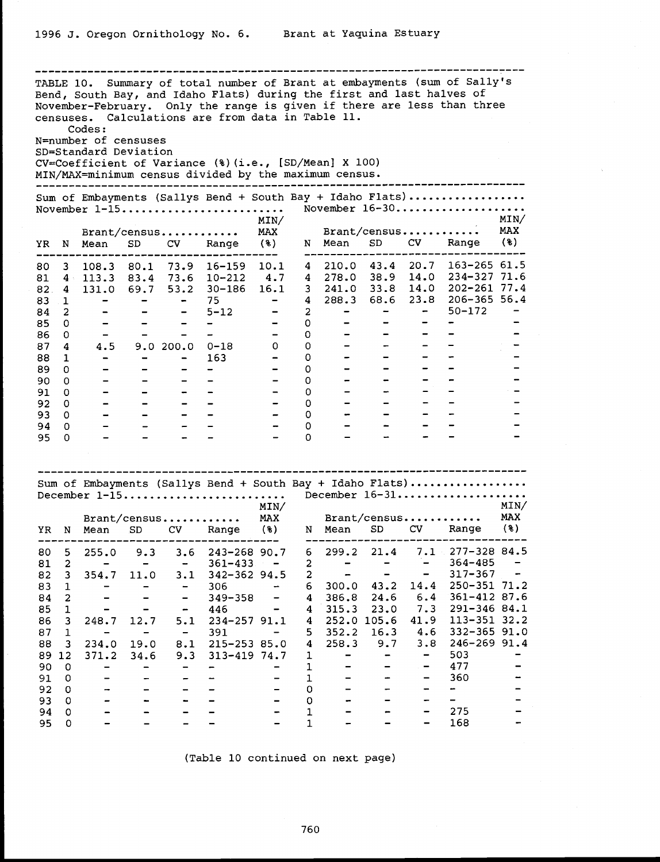|           |                         | Codes:<br>N=number of censuses<br>SD=Standard Deviation |                              |                              | Bend, South Bay, and Idaho Flats) during the first and last halves of<br>censuses. Calculations are from data in Table 11.<br>CV=Coefficient of Variance (%) (i.e., [SD/Mean] X 100) |                                                                                                                                                                                                                                                                                                                                                                                                                                                                            |                |                          |                          |                              | TABLE 10. Summary of total number of Brant at embayments (sum of Sally's<br>November-February. Only the range is given if there are less than three |               |
|-----------|-------------------------|---------------------------------------------------------|------------------------------|------------------------------|--------------------------------------------------------------------------------------------------------------------------------------------------------------------------------------|----------------------------------------------------------------------------------------------------------------------------------------------------------------------------------------------------------------------------------------------------------------------------------------------------------------------------------------------------------------------------------------------------------------------------------------------------------------------------|----------------|--------------------------|--------------------------|------------------------------|-----------------------------------------------------------------------------------------------------------------------------------------------------|---------------|
|           |                         |                                                         |                              |                              | MIN/MAX=minimum census divided by the maximum census.                                                                                                                                |                                                                                                                                                                                                                                                                                                                                                                                                                                                                            |                |                          |                          |                              |                                                                                                                                                     |               |
|           |                         |                                                         |                              |                              | November $1-15$                                                                                                                                                                      | MIN/                                                                                                                                                                                                                                                                                                                                                                                                                                                                       |                |                          |                          |                              | Sum of Embayments (Sallys Bend + South Bay + Idaho Flats)<br>November 16-30                                                                         | MIN/          |
| ΥR        | N                       | Mean                                                    | SD                           | Brant/census<br>CV           | Range                                                                                                                                                                                | MAX<br>(%)                                                                                                                                                                                                                                                                                                                                                                                                                                                                 | N              | Mean                     | Brant/census<br>SD       | CV                           | Range                                                                                                                                               | MAX<br>$($ 8) |
| 80        | 3                       | 108.3                                                   | 80.1                         |                              | 73.9 16-159                                                                                                                                                                          | 10.1                                                                                                                                                                                                                                                                                                                                                                                                                                                                       |                | --------------           |                          |                              | ------------------<br>4 210.0 43.4 20.7 163-265 61.5                                                                                                |               |
| 81        | 4:                      | 113.3                                                   |                              |                              | 83.4 73.6 10-212                                                                                                                                                                     | 4.7                                                                                                                                                                                                                                                                                                                                                                                                                                                                        |                | 4 278.0 38.9 14.0        |                          |                              | 234-327 71.6                                                                                                                                        |               |
| 82.       | 4                       | 131.0                                                   | 69.7                         |                              | 53.2 30-186 16.1                                                                                                                                                                     |                                                                                                                                                                                                                                                                                                                                                                                                                                                                            |                | $3\quad 241.0\quad 33.8$ |                          | 14.0                         | 202-261 77.4                                                                                                                                        |               |
| 83        | 1                       | -                                                       | $\overline{\phantom{0}}$     | $\overline{\phantom{m}}$     | 75                                                                                                                                                                                   | $\blacksquare$                                                                                                                                                                                                                                                                                                                                                                                                                                                             | $4\phantom{0}$ | 288.3                    | 68.6 23.8                |                              | $206 - 365$ 56.4                                                                                                                                    |               |
| 84        | $\mathbf{2}$            |                                                         |                              | -                            | $5 - 12$                                                                                                                                                                             |                                                                                                                                                                                                                                                                                                                                                                                                                                                                            | $\overline{2}$ | -                        | $\overline{\phantom{a}}$ | -                            | $50 - 172$                                                                                                                                          |               |
| 85        | 0                       | $\qquad \qquad \blacksquare$                            |                              |                              | -                                                                                                                                                                                    | $\blacksquare$                                                                                                                                                                                                                                                                                                                                                                                                                                                             | 0              |                          |                          |                              |                                                                                                                                                     |               |
| 86        | 0                       | $\overline{\phantom{m}}$                                |                              |                              |                                                                                                                                                                                      | $\sim$ $-$                                                                                                                                                                                                                                                                                                                                                                                                                                                                 | $\mathbf 0$    |                          |                          |                              |                                                                                                                                                     |               |
| 87        | 4                       | 4.5                                                     |                              | 9.0 200.0                    | 0-18                                                                                                                                                                                 | 0                                                                                                                                                                                                                                                                                                                                                                                                                                                                          | 0              | -                        | -                        | -                            |                                                                                                                                                     |               |
| 88        | $\mathbf{1}$            | -                                                       | $\overline{\phantom{a}}$     |                              | 163                                                                                                                                                                                  | $\div$                                                                                                                                                                                                                                                                                                                                                                                                                                                                     | 0              |                          |                          |                              |                                                                                                                                                     |               |
| 89        | 0                       |                                                         |                              |                              | -                                                                                                                                                                                    |                                                                                                                                                                                                                                                                                                                                                                                                                                                                            | 0              |                          |                          |                              |                                                                                                                                                     |               |
| 90        | 0                       |                                                         |                              |                              |                                                                                                                                                                                      | $\qquad \qquad -$                                                                                                                                                                                                                                                                                                                                                                                                                                                          | 0              |                          |                          |                              |                                                                                                                                                     |               |
| 91        | 0                       | $\overline{\phantom{a}}$                                |                              |                              |                                                                                                                                                                                      | $\blacksquare$                                                                                                                                                                                                                                                                                                                                                                                                                                                             | 0              |                          | -                        |                              |                                                                                                                                                     |               |
| 92        | 0                       | $\overline{\phantom{0}}$                                |                              |                              |                                                                                                                                                                                      |                                                                                                                                                                                                                                                                                                                                                                                                                                                                            | 0              |                          |                          |                              |                                                                                                                                                     |               |
| 93.       | 0                       |                                                         |                              |                              |                                                                                                                                                                                      |                                                                                                                                                                                                                                                                                                                                                                                                                                                                            | 0              |                          |                          |                              |                                                                                                                                                     |               |
| 94<br>95. | 0<br>0                  |                                                         |                              |                              |                                                                                                                                                                                      |                                                                                                                                                                                                                                                                                                                                                                                                                                                                            | $\circ$<br>0   |                          |                          |                              |                                                                                                                                                     |               |
|           |                         |                                                         |                              | Brant/census                 | December $1-15$                                                                                                                                                                      | MIN/<br><b>MAX</b>                                                                                                                                                                                                                                                                                                                                                                                                                                                         |                |                          | Brant/census             |                              | Sum of Embayments (Sallys Bend + South Bay + Idaho Flats)<br>December 16-31                                                                         | MIN/<br>MAX   |
|           |                         | YR N Mean                                               | SD                           | CV                           | Range                                                                                                                                                                                | (%)                                                                                                                                                                                                                                                                                                                                                                                                                                                                        |                | N Mean                   | SD                       | CV                           | Range                                                                                                                                               | (%)           |
| 80        | 5                       | 255.0                                                   | 9.3                          | 3.6                          | 243-268 90.7                                                                                                                                                                         |                                                                                                                                                                                                                                                                                                                                                                                                                                                                            | 6              | 299.2                    | 21.4                     | 7.1                          | 277-328 84.5                                                                                                                                        |               |
| 81        | $\overline{a}$          |                                                         | $\blacksquare$               | $\overline{\phantom{m}}$     | $361 - 433$                                                                                                                                                                          | $\sim$ .                                                                                                                                                                                                                                                                                                                                                                                                                                                                   | $\overline{2}$ | $\qquad \qquad =$        | $\overline{\phantom{0}}$ | -                            | $364 - 485$                                                                                                                                         |               |
| 82        | 3                       | 354.7                                                   | 11.0                         | 3.1                          | 342-362 94.5                                                                                                                                                                         |                                                                                                                                                                                                                                                                                                                                                                                                                                                                            | $\overline{a}$ | $\overline{\phantom{m}}$ | -                        | -                            | $317 - 367$                                                                                                                                         | -             |
| 83        | $\mathbf{1}$            | -                                                       | $\qquad \qquad \blacksquare$ | $\qquad \qquad \blacksquare$ | 306                                                                                                                                                                                  | $\frac{1}{2} \left( \frac{1}{2} \right) \left( \frac{1}{2} \right) \left( \frac{1}{2} \right) \left( \frac{1}{2} \right) \left( \frac{1}{2} \right) \left( \frac{1}{2} \right) \left( \frac{1}{2} \right) \left( \frac{1}{2} \right) \left( \frac{1}{2} \right) \left( \frac{1}{2} \right) \left( \frac{1}{2} \right) \left( \frac{1}{2} \right) \left( \frac{1}{2} \right) \left( \frac{1}{2} \right) \left( \frac{1}{2} \right) \left( \frac{1}{2} \right) \left( \frac$ | 6              | 300.0                    | 43.2                     | 14.4                         | 250-351 71.2                                                                                                                                        |               |
| 84        | $\overline{c}$          |                                                         |                              | -                            | 349-358                                                                                                                                                                              | -                                                                                                                                                                                                                                                                                                                                                                                                                                                                          | 4              | 386.8                    | 24.6                     | 6.4                          | 361-412 87.6                                                                                                                                        |               |
| 85        | $\mathbf{1}$            |                                                         |                              | -                            | 446                                                                                                                                                                                  | $\qquad \qquad \blacksquare$                                                                                                                                                                                                                                                                                                                                                                                                                                               | 4              | 315.3                    | 23.0                     | 7.3                          | 291-346 84.1                                                                                                                                        |               |
| 86        | 3                       | 248.7                                                   | 12.7                         | 5.1                          | 234-257 91.1                                                                                                                                                                         |                                                                                                                                                                                                                                                                                                                                                                                                                                                                            | 4              | 252.0 105.6              |                          | 41.9                         | 113-351 32.2                                                                                                                                        |               |
| 87        | $\mathbf 1$             | $\blacksquare$                                          | $\blacksquare$               | $ \,$                        | 391                                                                                                                                                                                  | $-$                                                                                                                                                                                                                                                                                                                                                                                                                                                                        | 5.             | 352.2                    | 16.3                     | 4.6                          | 332-365 91.0                                                                                                                                        |               |
| 88        | $\overline{\mathbf{3}}$ | 234.0                                                   | 19.0                         | 8.1                          | 215-253 85.0                                                                                                                                                                         |                                                                                                                                                                                                                                                                                                                                                                                                                                                                            | $\overline{4}$ | 258.3                    | 9.7                      | 3.8                          | 246-269 91.4                                                                                                                                        |               |
| 89 12     |                         | 371.2                                                   | 34.6                         | 9.3                          | $313 - 419$ 74.7                                                                                                                                                                     |                                                                                                                                                                                                                                                                                                                                                                                                                                                                            | $\mathbf{1}$   |                          | -                        | -                            | 503                                                                                                                                                 |               |
| 90        | $\overline{O}$          | -                                                       |                              |                              | -                                                                                                                                                                                    |                                                                                                                                                                                                                                                                                                                                                                                                                                                                            | $\mathbf{1}$   |                          |                          | $\qquad \qquad \blacksquare$ | 477                                                                                                                                                 |               |
| 91        | 0                       |                                                         |                              |                              |                                                                                                                                                                                      |                                                                                                                                                                                                                                                                                                                                                                                                                                                                            | $\mathbf{1}$   |                          |                          | $\overline{\phantom{0}}$     | 360                                                                                                                                                 | -             |
| 92        | O                       | -                                                       | -                            | -                            |                                                                                                                                                                                      |                                                                                                                                                                                                                                                                                                                                                                                                                                                                            | 0              |                          | -                        | -                            | ⊷                                                                                                                                                   |               |
| 93        | $\circ$                 |                                                         |                              |                              |                                                                                                                                                                                      |                                                                                                                                                                                                                                                                                                                                                                                                                                                                            | O              |                          |                          |                              | $\overline{\phantom{0}}$                                                                                                                            |               |
| 94        | $\mathbf 0$             |                                                         |                              |                              |                                                                                                                                                                                      |                                                                                                                                                                                                                                                                                                                                                                                                                                                                            | 1              |                          |                          |                              | 275                                                                                                                                                 |               |
| 95        | $\mathbf 0$             |                                                         |                              |                              |                                                                                                                                                                                      |                                                                                                                                                                                                                                                                                                                                                                                                                                                                            | 1              |                          |                          |                              | 168                                                                                                                                                 |               |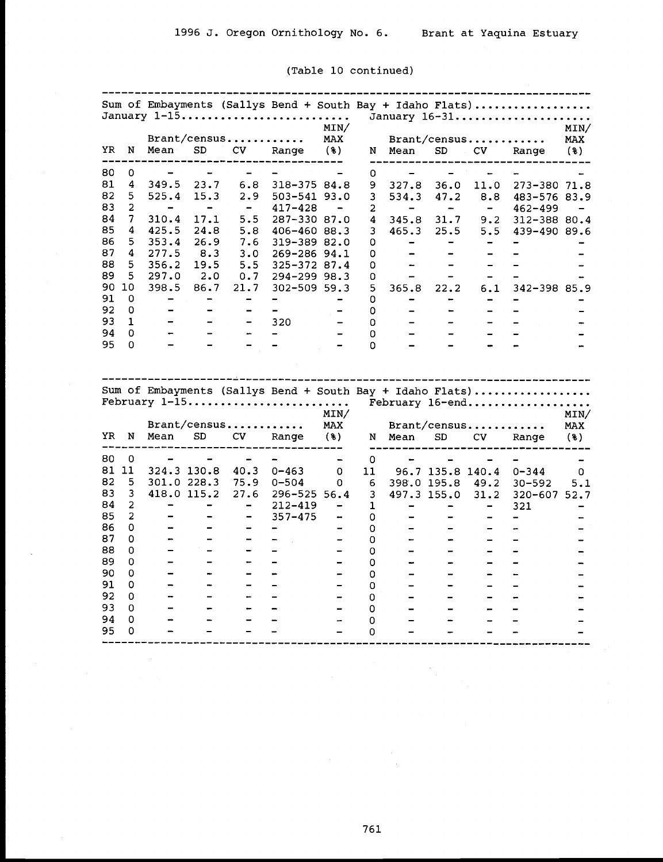|          |                |                              |                              |                              | Sum of Embayments (Sallys Bend + South Bay + Idaho Flats)<br>January 1-15 | MIN/                         |        |                              |                              |                              | January 16-31                                                                | MIN/       |
|----------|----------------|------------------------------|------------------------------|------------------------------|---------------------------------------------------------------------------|------------------------------|--------|------------------------------|------------------------------|------------------------------|------------------------------------------------------------------------------|------------|
|          |                |                              |                              | Brant/census                 |                                                                           | MAX                          |        |                              | Brant/census                 |                              |                                                                              | <b>MAX</b> |
| YR       | N              | Mean                         | SD                           | CV                           | Range                                                                     | (3)                          | N      | Mean<br>-------------        | SD                           | CV.                          | Range                                                                        | $(*)$      |
| 80       | 0              | $\overline{\phantom{0}}$     |                              |                              |                                                                           |                              | 0      |                              |                              |                              |                                                                              |            |
| 81       | 4              | 349.5                        | 23.7                         | 6.8                          | 318-375 84.8                                                              |                              | 9.     | 327.8                        | 36.0                         | 11.0                         | 273-380 71.8                                                                 |            |
| 82       | 5              | 525.4                        | 15.3                         | 2.9                          | $503 - 541$ 93.0                                                          |                              | 3      | 534.3                        | 47.2                         | 8.8                          | 483-576 83.9                                                                 |            |
| 83       | 2              | -                            | $\blacksquare$               | $\overline{\phantom{a}}$     | 417-428                                                                   | $\qquad \qquad \blacksquare$ | 2      | $\overline{\phantom{0}}$     | $\rightarrow$                | $\overline{\phantom{a}}$     | $462 - 499$                                                                  |            |
| 84       | 7              | 310.4                        | 17.1                         | 5.5                          | 287-330 87.0                                                              |                              | 4      | 345.8                        | 31.7                         | 9.2                          | 312-388 80.4                                                                 |            |
| 85       | 4              | 425.5                        | 24.8                         | 5.8                          | 406-460 88.3                                                              |                              | 3      | 465.3                        | 25.5                         | 5.5                          | 439-490 89.6                                                                 |            |
| 86       | 5              | 353.4                        | 26.9                         | 7.6                          | 319-389 82.0                                                              |                              | 0      | $\qquad \qquad$              | -                            | $\qquad \qquad \blacksquare$ |                                                                              |            |
| 87       | 4              | 277.5                        | 8.3                          | 3.0                          | 269-286 94.1                                                              |                              | 0      |                              |                              |                              |                                                                              |            |
| 88       | 5              | 356.2                        | 19.5                         |                              | 5.5 325-372 87.4                                                          |                              | 0      | $\overline{\phantom{0}}$     |                              |                              |                                                                              |            |
| 89       | 5              | 297.0                        |                              |                              | 2.0 0.7 294-299 98.3                                                      |                              | 0      | $\qquad \qquad \blacksquare$ |                              | -                            |                                                                              |            |
| 90       | 10             | 398.5                        | 86.7                         | 21.7                         | $302 - 509$ 59.3                                                          |                              | 5      | 365.8                        | 22.2                         | 6.1                          | 342-398 85.9                                                                 |            |
| 91       | 0              |                              | $\qquad \qquad \blacksquare$ | -                            |                                                                           |                              | 0      | -                            | -                            | -                            |                                                                              |            |
| 92       | 0              |                              |                              |                              |                                                                           |                              | 0      |                              |                              |                              | -                                                                            |            |
| 93.      | $\mathbf{1}$   |                              | -                            | $\qquad \qquad \blacksquare$ | 320                                                                       | $\qquad \qquad \blacksquare$ | 0      |                              | $\qquad \qquad \blacksquare$ | $\blacksquare$               |                                                                              |            |
| 94       | 0              |                              |                              | ÷                            |                                                                           |                              | 0      |                              |                              |                              |                                                                              |            |
| 95       | 0              |                              |                              |                              |                                                                           |                              | 0      |                              |                              |                              |                                                                              |            |
|          |                |                              |                              |                              |                                                                           |                              |        |                              |                              |                              |                                                                              |            |
|          |                |                              |                              |                              | February 1-15                                                             | MIN/                         |        |                              |                              |                              | Sum of Embayments (Sallys Bend + South Bay + Idaho Flats)<br>February 16-end | MIN/       |
|          | N              |                              |                              | Brant/census                 |                                                                           | MAX                          |        |                              | Brant/census                 |                              |                                                                              | <b>MAX</b> |
|          |                | Mean                         | SD                           | CV                           | Range                                                                     | (3)                          |        | N Mean                       | SD                           | CV                           | Range                                                                        | (3)        |
| YR<br>80 | 0              |                              |                              |                              |                                                                           | $\overline{\phantom{a}}$     | 0      |                              |                              |                              |                                                                              |            |
|          | 81 11          | 324.3 130.8                  |                              | 40.3                         | $0 - 463$                                                                 | 0                            | 11     |                              | 96.7 135.8 140.4             |                              | $0 - 344$                                                                    | 0          |
| 82       | 5              | 301.0 228.3                  |                              | 75.9                         | $0 - 504$                                                                 | 0                            | 6      | 398.0 195.8                  |                              | 49.2                         | $30 - 592$                                                                   | 5.1        |
| 83       | 3              | 418.0 115.2                  |                              | 27.6                         | $296 - 525$ 56.4                                                          |                              | 3      | 497.3 155.0                  |                              | 31.2                         | 320-607 52.7                                                                 |            |
| 84       | 2              | -                            | -                            | $\overline{\phantom{0}}$     | $212 - 419$                                                               |                              | 1      |                              |                              | -                            | 321                                                                          |            |
| 85       | $\overline{a}$ |                              |                              | $\qquad \qquad \blacksquare$ | $357 - 475$                                                               | -                            | 0      |                              | ۳                            |                              | $\qquad \qquad$                                                              |            |
| 86       | 0              |                              |                              | $\overline{\phantom{0}}$     | $\qquad \qquad \blacksquare$                                              | $\overline{\phantom{m}}$     | 0      |                              |                              |                              |                                                                              |            |
| 87       | 0              | <u>.</u>                     |                              | -                            |                                                                           |                              | 0      |                              | $\blacksquare$               |                              |                                                                              |            |
| 88       | 0              | $\qquad \qquad \blacksquare$ |                              | -                            |                                                                           | $\qquad \qquad$              | 0      |                              | -                            |                              |                                                                              |            |
|          | 0              |                              |                              | -                            |                                                                           | $\qquad \qquad \blacksquare$ | 0      |                              |                              |                              |                                                                              |            |
| 89<br>90 | 0              |                              |                              | $\qquad \qquad \blacksquare$ |                                                                           | $\overline{\phantom{a}}$     | 0      |                              | $\overline{\phantom{a}}$     |                              |                                                                              |            |
| 91       | 0              |                              |                              | $\overline{\phantom{0}}$     |                                                                           | $\overline{\phantom{0}}$     | 0      |                              |                              |                              |                                                                              |            |
| 92       | 0              | -                            |                              | $\overline{\phantom{a}}$     | $\overline{\phantom{0}}$                                                  | $\overline{\phantom{0}}$     | 0      |                              | $\qquad \qquad -$            |                              |                                                                              |            |
| 93       | 0              |                              |                              |                              |                                                                           |                              | 0      |                              |                              |                              |                                                                              |            |
| 94<br>95 | 0<br>0         | -                            |                              |                              |                                                                           |                              | 0<br>0 |                              | <u></u>                      |                              |                                                                              |            |

# (Table 10 continued)

--------------------------------------------------------------------------- Sum of Embayments (Sallys Bend <sup>+</sup> South Bay <sup>+</sup> Idaho Flats) .................. January 1-15 .......................... MIN/ January 16-31 ..................... MIN/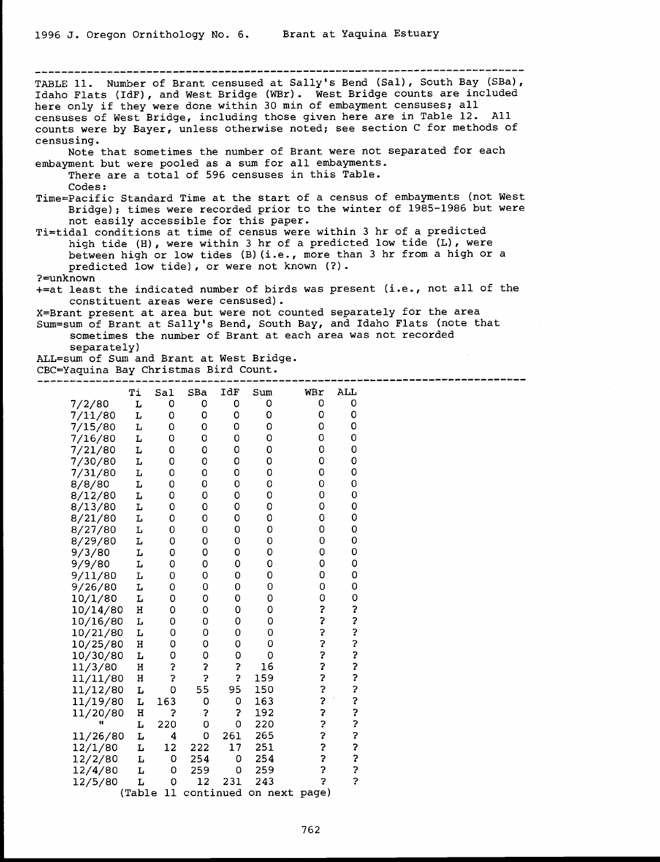--------------------------------------------- ----------------------------- TABLE 11. Number of Brant censused at Sally's Bend (Sal), South Bay (SBa), Idaho Flats (IdF), and West Bridge (WBr). West Bridge counts are included here only if they were done within 30 min of embayment censuses; all cens counts were by Bayer, unless otherwise noted; see section C for methods of censusing. Note that sometimes the number of Brant were not separated for each embayment but were pooled as a sum for all embayments. There are a total of 596 censuses in this Table. Codes: Time=Pacific Standard Time at the start of a census of embayments (not West<br>Bridge); times were recorded prior to the winter of 1985-1986 but were<br>not easily accessible for this paper.<br>Ti=tidal conditions at time of census predicted low tide), or were not known (?). ?=unknown +=at least the indicated number of birds was present (i.e., not all of the constituent areas were censused).<br>X=Brant present at area but were not counted separately for the area<br>Sum=sum of Brant at Sally's Bend, South Bay, and Idaho Flats (note that<br>sometimes the number of Brant at each area was separately) ALL=sum of Sum and Brant at West Bridge. CBC=Yaquina Bay Christmas Bird Count. --------------------------------------------------------------------------- Ti Sal SBa IdF Sum WBr ALL

|          | Τi     | Sal         | SBa            | IdF | Sum                     | WBr            | ALL         |  |
|----------|--------|-------------|----------------|-----|-------------------------|----------------|-------------|--|
| 7/2/80   | L      | 0           | 0              | 0   | 0                       | 0              | 0           |  |
| 7/11/80  | г      | 0           | 0              | 0   | 0                       | 0              | 0           |  |
| 7/15/80  | г      | 0           | 0              | 0   | 0                       | 0              | 0           |  |
| 7/16/80  | L      | 0           | 0              | 0   | 0                       | 0              | 0           |  |
| 7/21/80  | г      | 0           | 0              | 0   | 0                       | O              | 0           |  |
| 7/30/80  | L      | 0           | 0              | O   | 0                       | O              | 0           |  |
| 7/31/80  | L      | 0           | 0              | 0   | 0                       | 0              | 0           |  |
| 8/8/80   | L      | 0           | 0              | 0   | 0                       | 0              | ö           |  |
| 8/12/80  | L      | 0           | 0              | 0   | 0                       | 0              | 0           |  |
| 8/13/80  | L      | 0           | 0              | O   | 0                       | 0              | 0           |  |
| 8/21/80  | г      | 0           | 0              | O   | 0                       | 0              | 0           |  |
| 8/27/80  | г      | O           | 0              | 0   | 0                       | 0              | Q           |  |
| 8/29/80  | г      | 0           | 0              | 0   | 0                       | O              | 0           |  |
| 9/3/80   | г      | 0           | 0              | 0   | 0                       | O              | 0           |  |
| 9/9/80   | г      | 0           | $\circ$        | O   | 0                       | 0              | O           |  |
| 9/11/80  | L      | 0           | 0              | 0   | 0                       | O              | 0           |  |
| 9/26/80  | г      | 0           | 0              | O   | 0                       | 0              | 0           |  |
| 10/1/80  | L      | 0           | 0              | 0   | 0                       | 0              | 0           |  |
| 10/14/80 | Η      | 0           | 0              | 0   | 0                       | ?              |             |  |
| 10/16/80 | L      | O           | 0              | 0   | 0                       |                |             |  |
| 10/21/80 | L      | 0           | 0              | 0   | 0                       |                |             |  |
| 10/25/80 | н      | 0           | 0              | 0   | 0                       |                |             |  |
| 10/30/80 | L      | 0           | 0              | 0   | 0                       |                |             |  |
| 11/3/80  | н      | ?           | 2              | ?   | 16                      | こうこうこう         |             |  |
| 11/11/80 | Η      | ?           | Ş              | ?   | 159                     |                |             |  |
| 11/12/80 | г      | $\mathbf 0$ | 55             | 95  | 150                     |                | いいいいいこう     |  |
| 11/19/80 | г      | 163         | 0              | 0   | 163                     | ?              |             |  |
| 11/20/80 | Η      | 2           | Ş              | 3   | 192                     | ?              | ?<br>?      |  |
|          | г      | 220         | $\overline{O}$ | 0   | 220                     | ?              |             |  |
| 11/26/80 | г      | 4           | 0              | 261 | 265                     | ?              | ?           |  |
| 12/1/80  | г      | 12          | 222            | 17  | 251                     | ?              |             |  |
| 12/2/80  | г      | 0           | 254            | 0   | 254                     | \$             | ?<br>?<br>? |  |
| 12/4/80  | г      | 0           | 259            | 0   | 259                     | ?              |             |  |
| 12/5/80  | L      | 0           | 12             | 231 | 243                     | $\overline{c}$ | \$          |  |
|          | (Table | 11          |                |     | continued on next page) |                |             |  |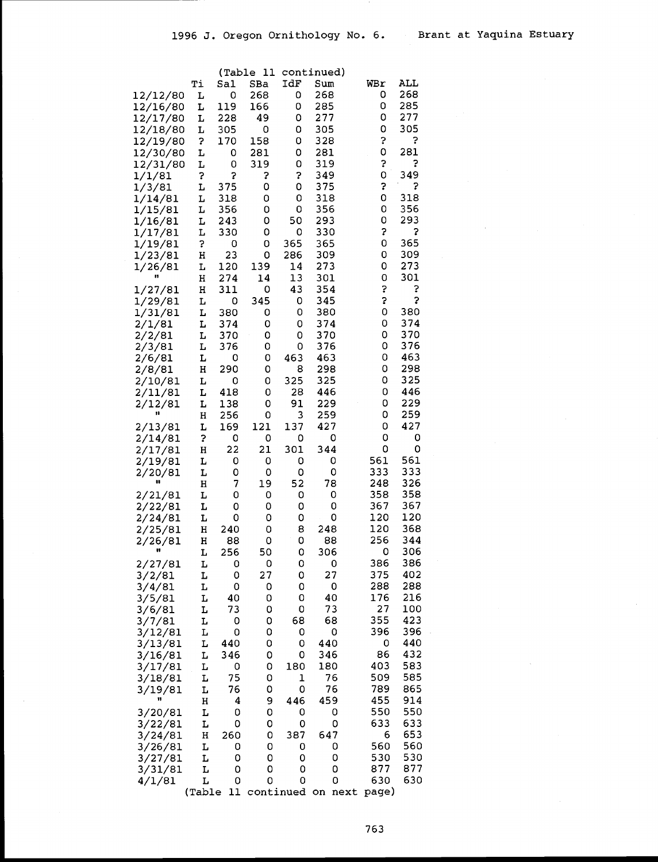|                    |        |            | (Table 11 |          | continued) |     |            |            |  |
|--------------------|--------|------------|-----------|----------|------------|-----|------------|------------|--|
|                    | Тi     | Sal        | SBa       | IdF      | Sum        | WBr |            | ALL        |  |
| 12/12/80           | L      | 0          | 268       | 0        | 268        |     | 0          | 268        |  |
| 12/16/80           | L      | 119        | 166       | 0        | 285        |     | 0          | 285        |  |
| 12/17/80           | L      | 228        | 49        | 0        | 277        |     | 0          | 277        |  |
| 12/18/80           | L      | 305        | 0         | 0        | 305        |     | 0          | 305        |  |
| 12/19/80           | 3      | 170        | 158       | 0        | 328        |     | 3          | ?          |  |
| 12/30/80           | L      | 0          | 281       | 0        | 281        |     | 0          | 281        |  |
| 12/31/80           | L      | 0          | 319       | 0        | 319        |     | 3          | 3          |  |
| 1/1/81             | 3      | 5          | 3         | 5        | 349        |     | 0          | 349        |  |
| 1/3/81             | L      | 375        | 0         | 0        | 375        |     | \$         | ?          |  |
| 1/14/81            | L      | 318        | 0         | 0        | 318        |     | 0          | 318        |  |
| 1/15/81            | L      | 356        | 0         | 0        | 356        |     | 0          | 356        |  |
| 1/16/81            | г      | 243        | 0         | 50       | 293        |     | 0          | 293        |  |
| 1/17/81            | г      | 330        | 0         | 0        | 330        |     | 3          | 5          |  |
| 1/19/81            | \$     | 0          | 0         | 365      | 365        |     | 0          | 365        |  |
| 1/23/81            | н      | 23         | 0         | 286      | 309        |     | 0          | 309        |  |
| 1/26/81<br>Ħ       | L      | 120        | 139       | 14       | 273<br>301 |     | 0<br>0     | 273<br>301 |  |
| 1/27/81            | Н<br>Η | 274<br>311 | 14<br>0   | 13<br>43 | 354        |     | 5          | ?          |  |
| 1/29/81            | L      | 0          | 345       | 0        | 345        |     | S          | 5          |  |
| 1/31/81            | L      | 380        | 0         | 0        | 380        |     | 0          | 380        |  |
| 2/1/81             | L      | 374        | 0         | 0        | 374        |     | 0          | 374        |  |
| 2/2/81             | L      | 370        | 0         | 0        | 370        |     | 0          | 370        |  |
| 2/3/81             | L      | 376        | 0         | 0        | 376        |     | 0          | 376        |  |
| 2/6/81             | L      | 0          | 0         | 463      | 463        |     | 0          | 463        |  |
| 2/8/81             | н      | 290        | 0         | 8        | 298        |     | 0          | 298        |  |
| 2/10/81            | L      | 0          | 0         | 325      | 325        |     | 0          | 325        |  |
| 2/11/81            | L      | 418        | 0         | 28       | 446        |     | 0          | 446        |  |
| 2/12/81            | L      | 138        | 0         | 91       | 229        |     | 0          | 229        |  |
| 11                 | н      | 256        | 0         | 3        | 259        |     | 0          | 259        |  |
| 2/13/81            | L      | 169        | 121       | 137      | 427        |     | 0          | 427        |  |
| 2/14/81            | 3      | 0          | 0         | 0        | 0          |     | 0          | 0          |  |
| 2/17/81            | н      | 22         | 21        | 301      | 344        |     | 0          | 0          |  |
| 2/19/81            | L      | 0          | 0         | 0        | 0          |     | 561        | 561        |  |
| 2/20/81<br>π       | L      | 0          | 0         | 0        | 0          |     | 333        | 333        |  |
|                    | н      | 7          | 19        | 52       | 78         |     | 248        | 326        |  |
| 2/21/81            | L<br>г | 0<br>0     | 0<br>0    | 0<br>0   | 0<br>0     |     | 358<br>367 | 358<br>367 |  |
| 2/22/81<br>2/24/81 | L      | 0          | 0         | 0        | 0          |     | 120        | 120        |  |
| 2/25/81            | н      | 240        | 0         | 8        | 248        |     | 120        | 368        |  |
| 2/26/81            | н      | 88         | 0         | 0        | 88         |     | 256        | 344        |  |
|                    | L      | 256        | 50        | 0        | 306        |     | 0          | 306        |  |
| 2/27/81            | Ŀ      | 0          | 0         | 0        | 0          |     | 386        | 386        |  |
| 3/2/81             | г      | 0          | 27        | 0        | 27         |     | 375        | 402        |  |
| 3/4/81             | L      | 0          | 0         | 0        | 0          |     | 288        | 288        |  |
| 3/5/81             | L      | 40         | 0         | 0        | 40         |     | 176        | 216        |  |
| 3/6/81             | г      | 73         | 0         | 0        | 73         |     | 27         | 100        |  |
| 3/7/81             | L      | 0          | 0         | 68       | 68         |     | 355        | 423        |  |
| 3/12/81            | L      | 0          | 0         | 0        | 0          |     | 396        | 396        |  |
| 3/13/81            | L      | 440        | 0         | 0        | 440        |     | 0          | 440        |  |
| 3/16/81            | г      | 346        | 0         | 0        | 346        |     | 86         | 432        |  |
| 3/17/81            | L      | 0          | 0         | 180      | 180        |     | 403        | 583        |  |
| 3/18/81            | L      | 75         | 0         | 1        | 76         |     | 509        | 585        |  |
| 3/19/81<br>Ħ       | L      | 76         | 0         | 0        | 76         |     | 789        | 865        |  |
|                    | н      | 4          | 9         | 446      | 459        |     | 455        | 914        |  |
| 3/20/81            | г      | 0          | 0         | 0        | 0          |     | 550        | 550        |  |
| 3/22/81            | L      | 0          | 0         | 0        | 0          |     | 633        | 633<br>653 |  |
| 3/24/81            | н      | 260        | 0         | 387      | 647<br>0   |     | 6<br>560   | 560        |  |
| 3/26/81<br>3/27/81 | L<br>г | 0<br>0     | 0<br>0    | 0<br>0   | 0          |     | 530        | 530        |  |
| 3/31/81            | L      | 0          | 0         | 0        | 0          |     | 877        | 877        |  |
| 4/1/81             | L      | 0          | 0         | 0        | 0          |     | 630        | 630        |  |
|                    |        |            |           |          |            |     |            |            |  |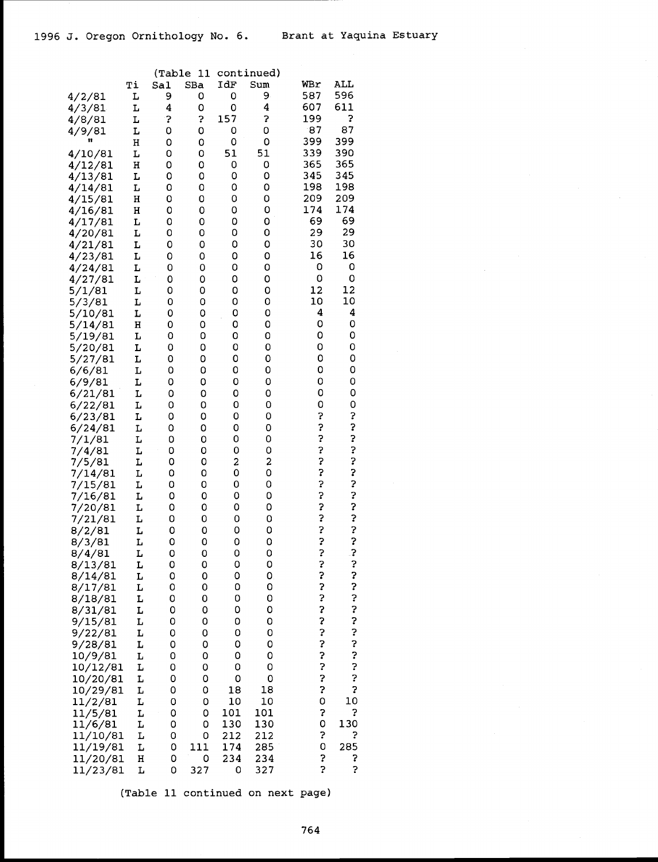|                    |        | (Table      | 11          |           | continued)  |            |             |  |
|--------------------|--------|-------------|-------------|-----------|-------------|------------|-------------|--|
|                    | Ti     | Sal         | SBa         | IdF       | Sum         | WBr        | ALL         |  |
| 4/2/81             | L      | 9           | 0           | 0         | 9           | 587        | 596         |  |
| 4/3/81             | L      | 4           | 0           | 0         | 4           | 607        | 611         |  |
| 4/8/81             | L      | ?           | 3           | 157       | \$          | 199        | Ś.          |  |
| 4/9/81             | г      | O           | 0           | 0         | 0           | 87         | 87          |  |
|                    | Η      | 0           | 0           | 0         | 0           | 399        | 399         |  |
| 4/10/81            | L      | 0           | 0           | 51        | 51          | 339<br>365 | 390<br>365  |  |
| 4/12/81<br>4/13/81 | Η<br>L | 0<br>0      | 0<br>0      | 0<br>0    | 0<br>0      | 345        | 345         |  |
| 4/14/81            | L      | 0           | 0           | 0         | 0           | 198        | 198         |  |
| 4/15/81            | н      | 0           | 0           | 0         | 0           | 209        | 209         |  |
| 4/16/81            | н      | 0           | 0           | 0         | 0           | 174        | 174         |  |
| 4/17/81            | L      | 0           | 0           | 0         | о           | 69         | 69          |  |
| 4/20/81            | L      | 0           | 0           | 0         | 0           | 29         | 29          |  |
| 4/21/81            | L      | 0           | 0           | 0         | 0           | 30         | 30          |  |
| 4/23/81            | L      | 0           | 0           | 0         | 0           | 16         | 16          |  |
| 4/24/81            | г      | 0           | 0           | 0         | 0           | O          | 0           |  |
| 4/27/81            | L      | 0           | 0           | 0         | 0           | 0          | 0           |  |
| 5/1/81             | L      | 0           | 0           | 0         | 0           | 12         | 12          |  |
| 5/3/81             | L      | 0           | 0           | 0         | 0           | 10         | 10          |  |
| 5/10/81            | L      | 0           | 0           | О         | О           | 4          | 4           |  |
| 5/14/81            | н      | 0           | 0           | 0         | 0           | 0          | 0           |  |
| 5/19/81            | L      | 0           | 0           | 0         | 0           | 0<br>0     | 0           |  |
| 5/20/81            | L      | 0           | 0           | 0<br>0    | 0<br>0      | 0          | 0<br>0      |  |
| 5/27/81<br>6/6/81  | L<br>L | 0<br>0      | 0<br>0      | 0         | O           | 0          | 0           |  |
| 6/9/81             | L      | 0           | 0           | 0         | 0           | 0          | 0           |  |
| 6/21/81            | L      | 0           | 0           | 0         | 0           | 0          | 0           |  |
| 6/22/81            | L      | 0           | 0           | 0         | 0           | 0          | 0           |  |
| 6/23/81            | L      | 0           | 0           | 0         | 0           | ?          | ?           |  |
| 6/24/81            | L      | 0           | 0           | 0         | 0           | ?          | ?           |  |
| 7/1/81             | L      | 0           | 0           | 0         | 0           | ?          |             |  |
| 7/4/81             | L      | 0           | 0           | 0         | 0           | ?          | いいこ         |  |
| 7/5/81             | L      | 0           | 0           | 2         | 2           | ?          |             |  |
| 7/14/81            | L      | 0           | 0           | 0         | $\mathbf 0$ | ?          | ?           |  |
| 7/15/81            | L      | 0           | 0           | 0         | 0           | ?          | ?           |  |
| 7/16/81            | L      | 0           | 0           | 0         | 0           | ?          | ?           |  |
| 7/20/81            | L      | 0           | 0           | 0         | 0           | ?          | ?           |  |
| 7/21/81            | L      | 0           | 0           | 0         | 0           | ?          | ?<br>?<br>? |  |
| 8/2/81             | L      | 0<br>0      | 0           | 0<br>0    | 0           | ?<br>?     |             |  |
| 8/3/81             | L<br>L | 0           | 0<br>0      | 0         | 0<br>O      | ?          | 3           |  |
| 8/4/81<br>8/13/81  | L      | 0           | 0           | 0         | 0           |            |             |  |
| 8/14/81            | L      | 0           | 0           | O         | 0           |            | ر.<br>?     |  |
| 8/17/81            | L      | 0           | 0           | 0         | 0           | いここ        |             |  |
| 8/18/81            | L      | 0           | 0           | 0         | 0           |            | ?<br>?      |  |
| 8/31/81            | L      | 0           | 0           | 0         | 0           | ?<br>?     | ?<br>?      |  |
| 9/15/81            | L      | 0           | 0           | 0         | 0           |            |             |  |
| 9/22/81            | L      | 0           | 0           | 0         | 0           | ?          | ?           |  |
| 9/28/81            | L      | 0           | 0           | 0         | 0           | ?          | ?           |  |
| 10/9/81            | L      | 0           | 0           | O         | $\circ$     | ?          | ?           |  |
| 10/12/81           | L      | 0           | 0           | O         | 0           | ?<br>?     | ?           |  |
| 10/20/81           | L      | 0           | 0           | 0         | 0           |            | ?           |  |
| 10/29/81           | L      | 0           | 0           | 18        | 18          | 3<br>0     | Ş           |  |
| 11/2/81            | L      | O<br>O      | O<br>O      | 10<br>101 | 10<br>101   | 2          | 10<br>Ş     |  |
| 11/5/81<br>11/6/81 | L<br>L | 0           | 0           | 130       | 130         | 0          | 130         |  |
| 11/10/81           | L      | 0           | 0           | 212       | 212         | Ş          | ?           |  |
| 11/19/81           | L      | 0           | 111         | 174       | 285         | 0          | 285         |  |
| 11/20/81           | н      | $\mathsf O$ | $\mathsf O$ | 234       | 234         | 5          | 7           |  |
| 11/23/81           | L      | 0           | 327         | 0         | 327         | Ş          | 2           |  |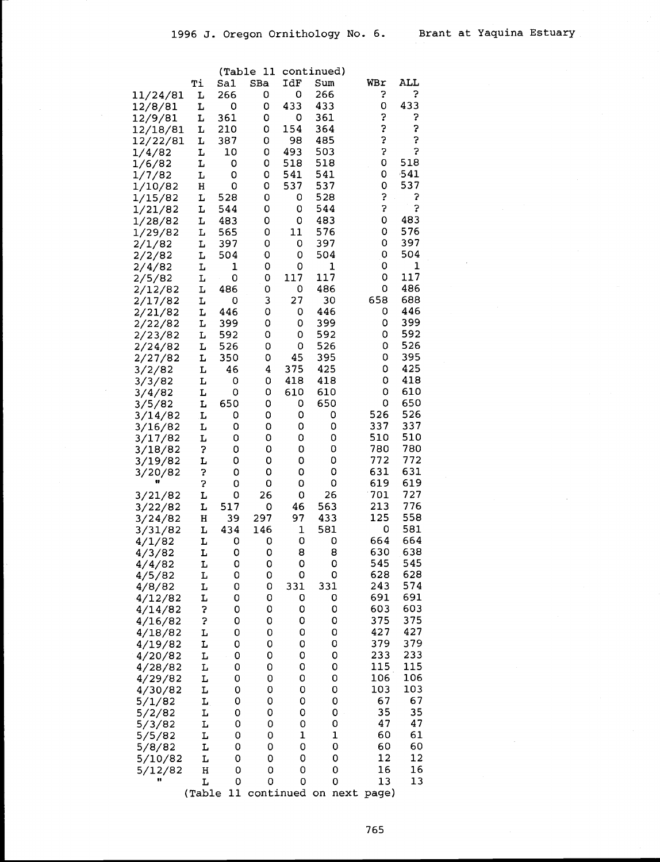|          |    | (Table | 11  |             | continued) |     |        |  |
|----------|----|--------|-----|-------------|------------|-----|--------|--|
|          | Тi | Sal    | SBa | IdF         | Sum        | WBr | ALL    |  |
| 11/24/81 | L  | 266    | 0   | 0           | 266        | 3   | 3      |  |
| 12/8/81  | L  | 0      | 0   | 433         | 433        | 0   | 433    |  |
| 12/9/81  | L  | 361    | 0   | 0           | 361        | Ş   | ?      |  |
| 12/18/81 | Ŀ  | 210    | 0   | 154         | 364        | ?   | ?      |  |
| 12/22/81 | L  | 387    | 0   | 98          | 485        | Ś.  | Ş      |  |
| 1/4/82   | L  | 10     | 0   | 493         | 503        | Ş   | 5      |  |
| 1/6/82   | L  | 0      | 0   | 518         | 518        | 0   | 518    |  |
| 1/7/82   | L  | 0      | 0   | 541         | 541        | 0   | $-541$ |  |
| 1/10/82  | н  | 0      | 0   | 537         | 537        | 0   | 537    |  |
| 1/15/82  | L  | 528    | 0   | 0           | 528        | S   | ?      |  |
| 1/21/82  | L  | 544    | 0   | 0           | 544        | Ş   | Ş      |  |
| 1/28/82  | г  | 483    | 0   | 0           | 483        | 0   | 483    |  |
| 1/29/82  | L  | 565    | 0   | 11          | 576        | 0   | 576    |  |
| 2/1/82   | L  | 397    | 0   | 0           | 397        | 0   | 397    |  |
| 2/2/82   | L  | 504    | 0   | 0           | 504        | 0   | 504    |  |
| 2/4/82   | L  | 1      | 0   | 0           | 1          | 0   | 1      |  |
| 2/5/82   | L  | 0      | 0   | 117         | 117        | 0   | 117    |  |
| 2/12/82  | L  | 486    | 0   | 0           | 486        | 0   | 486    |  |
| 2/17/82  | L  | 0      | 3   | 27          | 30         | 658 | 688    |  |
| 2/21/82  | L  | 446    | 0   | 0           | 446        | 0   | 446    |  |
| 2/22/82  | L  | 399    | 0   | 0           | 399        | 0   | 399    |  |
| 2/23/82  | L  | 592    | 0   | 0           | 592        | 0   | 592    |  |
| 2/24/82  | L  | 526    | 0   | 0           | 526        | 0   | 526    |  |
| 2/27/82  | L  | 350    | 0   | 45          | 395        | 0   | 395    |  |
| 3/2/82   | L  | 46     | 4   | 375         | 425        | 0   | 425    |  |
| 3/3/82   | L  | 0      | 0   | 418         | 418        | 0   | 418    |  |
| 3/4/82   | L  | 0      | 0   | 610         | 610        | 0   | 610    |  |
| 3/5/82   | L  | 650    | 0   | 0           | 650        | 0   | 650    |  |
| 3/14/82  | L  | 0      | 0   | 0           | 0          | 526 | 526    |  |
| 3/16/82  | L  | 0      | 0   | 0           | 0          | 337 | 337    |  |
| 3/17/82  | L  | 0      | 0   | 0           | 0          | 510 | 510    |  |
| 3/18/82  | 3  | 0      | 0   | 0           | 0          | 780 | 780    |  |
| 3/19/82  | L  | 0      | 0   | 0           | 0          | 772 | 772    |  |
| 3/20/82  | ?  | 0      | 0   | 0           | 0          | 631 | 631    |  |
| Ħ        | Ş  | 0      | 0   | 0           | 0          | 619 | 619    |  |
| 3/21/82  | L  | 0      | 26  | 0           | 26         | 701 | 727    |  |
| 3/22/82  | г  | 517    | 0   | 46          | 563        | 213 | 776    |  |
| 3/24/82  | н  | 39     | 297 | 97          | 433        | 125 | 558    |  |
| 3/31/82  | L  | 434    | 146 | 1           | 581        | 0   | 581    |  |
| 4/1/82   | L  | 0      | 0   | 0           | 0          | 664 | 664    |  |
| 4/3/82   | L  | 0      | 0   | 8           | 8          | 630 | 638    |  |
| 4/4/82   | L  | 0      | 0   | 0           | 0          | 545 | 545    |  |
| 4/5/82   | L  | 0      | 0   | 0           | 0          | 628 | 628    |  |
| 4/8/82   | L  | 0      | 0   | 331         | 331        | 243 | 574    |  |
| 4/12/82  | L  | 0      | 0   | 0           | 0          | 691 | 691    |  |
| 4/14/82  | Ś  | 0      | 0   | 0           | 0          | 603 | 603    |  |
| 4/16/82  | ?  | 0      | 0   | 0           | 0          | 375 | 375    |  |
| 4/18/82  | L  | 0      | 0   | 0           | 0          | 427 | 427    |  |
| 4/19/82  | L  | 0      | 0   | 0           | 0          | 379 | 379    |  |
| 4/20/82  | L  | 0      | 0   | 0           | 0          | 233 | 233    |  |
| 4/28/82  | L  | 0      | 0   | 0           | 0          | 115 | 115    |  |
| 4/29/82  | L  | 0      | O   | 0           | 0          | 106 | 106    |  |
| 4/30/82  | L  | 0      | 0   | 0           | 0          | 103 | 103    |  |
| 5/1/82   | L  | 0      | 0   | 0           | 0          | 67  | 67     |  |
| 5/2/82   | L  | 0      | 0   | 0           | 0          | 35  | 35     |  |
| 5/3/82   | L  | O      | 0   | $\mathbf 0$ | 0          | 47  | 47     |  |
| 5/5/82   | L  | 0      | 0   | 1           | 1          | 60  | 61     |  |
| 5/8/82   | L  | 0      | 0   | $\mathsf O$ | 0          | 60  | 60     |  |
| 5/10/82  | L  | 0      | 0   | 0           | 0          | 12  | 12     |  |
| 5/12/82  | н  | 0      | 0   | 0           | 0          | 16  | 16     |  |
| Ħ        | L  | 0      | 0   | O           | O          | 13  | 13     |  |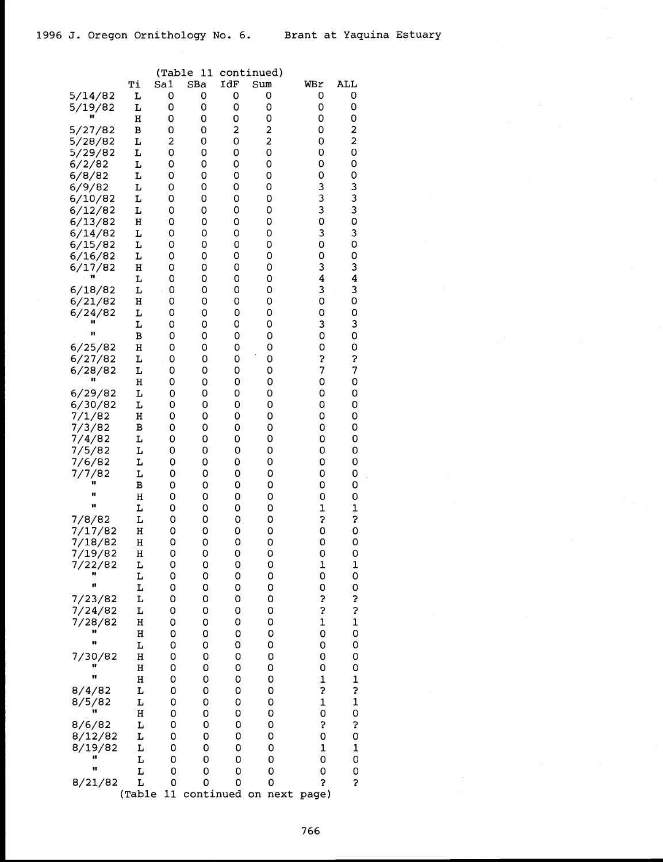|                    |        | (Table | 11     |        | continued)              |                  |                  |  |
|--------------------|--------|--------|--------|--------|-------------------------|------------------|------------------|--|
|                    | Тi     | Sa1    | SBa    | IdF    | Sum                     | WBr              | ALL              |  |
| 5/14/82            | L      | 0      | 0      | 0      | 0                       | 0                | 0                |  |
| 5/19/82            | L      | 0      | 0      | 0      | 0                       | 0                | 0                |  |
| 5/27/82            | Η      | 0      | 0      | 0<br>2 | 0<br>2                  | 0<br>0           | 0<br>2           |  |
| 5/28/82            | В<br>L | 0<br>2 | 0<br>0 | O      | 2                       | 0                | 2                |  |
| 5/29/82            | L      | 0      | 0      | 0      | 0                       | 0                | 0                |  |
| 6/2/82             | L      | 0      | 0      | 0      | 0                       | 0                | 0                |  |
| 6/8/82             | L      | 0      | 0      | 0      | 0                       | 0                | 0                |  |
| 6/9/82             | L      | O      | 0      | 0      | 0                       |                  | 3                |  |
| 6/10/82            | L      | 0      | 0      | 0      | 0                       | $\frac{3}{3}$    | 3                |  |
| 6/12/82            | L      | 0      | 0      | 0      | 0                       | 3                | 3                |  |
| 6/13/82            | н      | 0      | 0      | 0      | 0                       | O                | o                |  |
| 6/14/82            | L      | 0      | 0      | 0      | 0                       | 3                | 3                |  |
| 6/15/82            | L      | 0      | 0      | 0      | 0                       | O                | 0                |  |
| 6/16/82            | L      | 0      | 0      | 0      | 0                       | 0                | 0                |  |
| 6/17/82            | H<br>L | 0<br>0 | 0<br>0 | 0<br>0 | 0<br>0                  | 3<br>4           | 3<br>4           |  |
| 6/18/82            | L      | 0      | O      | 0      | 0                       | 3                | 3                |  |
| 6/21/82            | н      | 0      | 0      | 0      | 0                       | 0                | 0                |  |
| 6/24/82            | L      | 0      | 0      | 0      | 0                       | 0                | 0                |  |
|                    | L      | 0      | 0      | 0      | 0                       | 3                | 3                |  |
| 11                 | B      | 0      | 0      | 0      | 0                       | 0                | 0                |  |
| 6/25/82            | н      | 0      | 0      | 0      | 0                       | 0                | 0                |  |
| 6/27/82            | L      | 0      | 0      | 0      | 0                       | 3                | 3                |  |
| 6/28/82            | L      | 0      | 0      | 0      | 0                       | 7                | 7                |  |
| 11                 | н      | 0      | 0      | 0      | O                       | $\mathbf 0$      | 0                |  |
| 6/29/82            | L      | 0      | 0      | 0      | 0                       | 0                | 0                |  |
| 6/30/82            | L      | 0      | 0<br>0 | 0      | 0<br>O                  | 0<br>0           | 0<br>0           |  |
| 7/1/82<br>7/3/82   | н<br>в | 0<br>0 | 0      | 0<br>0 | 0                       | 0                | 0                |  |
| 7/4/82             | L      | 0      | 0      | 0      | 0                       | 0                | 0                |  |
| 7/5/82             | L      | 0      | 0      | 0      | 0                       | 0                | 0                |  |
| 7/6/82             | L      | 0      | 0      | 0      | 0                       | 0                | 0                |  |
| 7/7/82             | L      | 0      | 0      | 0      | 0                       | 0                | 0                |  |
| 11                 | В      | 0      | 0      | 0      | 0                       | 0                | 0                |  |
| π                  | Η      | 0      | 0      | 0      | 0                       | 0                | 0                |  |
| 11                 | L      | 0      | 0      | 0      | 0                       | $\mathbf 1$      | $\mathbf{1}$     |  |
| 7/8/82             | L      | 0      | 0      | 0      | 0                       | 2                | 3                |  |
| 7/17/82            | Η      | 0      | 0      | 0      | 0                       | 0                | O                |  |
| 7/18/82            | н      | 0      | 0      | 0      | 0                       | 0                | 0                |  |
| 7/19/82<br>7/22/82 | н<br>L | 0<br>0 | 0<br>0 | 0<br>0 | 0<br>0                  | 0<br>$\mathbf 1$ | 0<br>$\mathbf 1$ |  |
| 11                 | L      | 0      | 0      | 0      | 0                       | 0                | 0                |  |
| 11                 | L      | 0      | 0      | 0      | 0                       | 0                | 0                |  |
| 7/23/82            | L      | 0      | 0      | 0      | 0                       | ?                | ?                |  |
| 7/24/82            | L      | 0      | 0      | 0      | 0                       | 3                | ?                |  |
| 7/28/82            | H      | 0      | 0      | 0      | 0                       | $\mathbf 1$      | $\mathbf{1}$     |  |
| 11                 | H      | 0      | 0      | 0      | 0                       | 0                | 0                |  |
| u                  | L      | 0      | 0      | 0      | 0                       | 0                | 0                |  |
| 7/30/82            | H      | 0      | 0      | 0      | 0                       | 0                | 0                |  |
| Ħ                  | Η      | 0      | 0      | 0      | 0                       | 0                | 0                |  |
| 8/4/82             | H<br>L | 0<br>0 | 0<br>0 | 0<br>0 | 0<br>0                  | $\mathbf 1$<br>? | 1<br>?           |  |
| 8/5/82             | L      | 0      | 0      | 0      | 0                       | $\mathbf{1}$     | $\mathbf 1$      |  |
|                    | Η      | 0      | 0      | 0      | 0                       | 0                | 0                |  |
| 8/6/82             | L      | 0      | 0      | 0      | 0                       | Ş                | Š.               |  |
| 8/12/82            | L      | 0      | 0      | 0      | 0                       | 0                | 0                |  |
| 8/19/82            | L      | 0      | 0      | 0      | 0                       | 1                | 1                |  |
| Ħ                  | L      | 0      | 0      | 0      | 0                       | 0                | 0                |  |
| Ħ                  | L      | 0      | 0      | 0      | 0                       | 0                | 0                |  |
| 8/21/82            | L      | 0      | 0      | 0      | 0                       | 2                | 5                |  |
|                    | (Table | 11     |        |        | continued on next page) |                  |                  |  |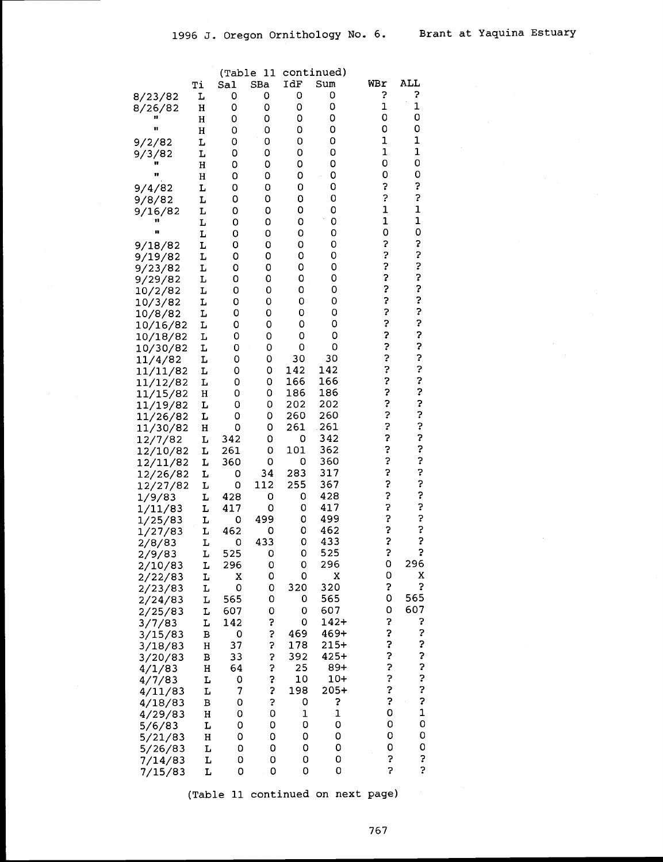|                      |        | (Table   | $\overline{11}$ |             | continued) |                         |              |
|----------------------|--------|----------|-----------------|-------------|------------|-------------------------|--------------|
|                      | Тi     | Sal      | SBa             | IdF         | Sum        | WBr                     | ALL          |
| 8/23/82              | L      | 0        | 0               | 0           | 0          | ?                       | ?            |
| 8/26/82              | н      | 0        | 0               | 0           | 0          | 1                       | 1            |
|                      | Η      | 0        | 0               | 0           | 0          | 0                       | 0            |
| n                    | H      | 0        | 0               | 0           | 0          | 0                       | 0            |
| 9/2/82               | L      | 0        | 0               | 0           | 0          | 1                       | 1            |
| 9/3/82               | L      | 0        | 0               | 0           | 0          | 1                       | 1<br>0       |
| 11                   | Η      | 0        | O               | 0           | 0          | 0<br>0                  | 0            |
|                      | Η      | 0        | 0<br>0          | 0<br>0      | 0<br>0     | Ş                       | ?            |
| 9/4/82               | L      | 0<br>0   | 0               | 0           | 0          | 2                       | 3            |
| 9/8/82               | L<br>L | 0        | 0               | 0           | 0          | $\mathbf 1$             | $\mathbf{1}$ |
| 9/16/82              | L      | 0        | 0               | 0           | 0          | $\mathbf 1$             | $\mathbf 1$  |
| IJ                   | L      | 0        | 0               | 0           | 0          | 0                       | O            |
| 9/18/82              | L      | 0        | 0               | 0           | 0          | ?                       | 3            |
| 9/19/82              | L      | 0        | 0               | 0           | 0          | ?                       |              |
| 9/23/82              | L      | 0        | 0               | 0           | 0          | ?                       | いここ          |
| 9/29/82              | L      | 0        | 0               | 0           | 0          | \$                      |              |
| 10/2/82              | L      | 0        | 0               | 0           | 0          | ?                       |              |
| 10/3/82              | L      | 0        | 0               | 0           | 0          | ?                       | ?<br>?       |
| 10/8/82              | L      | 0        | 0               | 0           | 0          | 3                       |              |
| 10/16/82             | г      | 0        | 0               | 0           | 0          |                         | ?            |
| 10/18/82             | L      | 0        | 0               | 0           | 0          | د. د. د.                | ?            |
| 10/30/82             | L      | 0        | 0               | 0           | 0          |                         | ?            |
| 11/4/82              | L      | 0        | 0               | 30          | 30         | ?<br>?                  |              |
| 11/11/82             | L      | 0        | 0               | 142         | 142<br>166 |                         | いいこうこう       |
| 11/12/82             | L      | 0        | 0<br>0          | 166<br>186  | 186        | ?<br>?                  |              |
| 11/15/82             | н<br>L | 0<br>0   | 0               | 202         | 202        |                         |              |
| 11/19/82<br>11/26/82 | L      | 0        | 0               | 260         | 260        | ?<br>?                  |              |
| 11/30/82             | н      | 0        | 0               | 261         | 261        | ?                       |              |
| 12/7/82              | L      | 342      | 0               | 0           | 342        | ?                       |              |
| 12/10/82             | L      | 261      | 0               | 101         | 362        |                         |              |
| 12/11/82             | L      | 360      | 0               | 0           | 360        | ?<br>?                  | いいこう         |
| 12/26/82             | L      | 0        | 34              | 283         | 317        | ?                       |              |
| 12/27/82             | L      | 0        | 112             | 255         | 367        | ?                       |              |
| 1/9/83               | L      | 428      | 0               | 0           | 428        | ?                       |              |
| 1/11/83              | L      | 417      | 0               | 0           | 417        | ?<br>?                  | د. د. د.     |
| 1/25/83              | г      | 0        | 499             | 0           | 499        |                         |              |
| 1/27/83              | L      | 462      | 0               | 0           | 462        | ?<br>?                  |              |
| 2/8/83               | L      | 0        | 433             | 0           | 433        |                         | ?            |
| 2/9/83               | L      | 525      | $\mathbf 0$     | 0           | 525        | ?                       | Ş            |
| 2/10/83              | L      | 296      | 0               | 0           | 296        | 0                       | 296          |
| 2/22/83              | L      | X        | 0               | 0           | X          | 0<br>S                  | X<br>Ş       |
| 2/23/83              | L      | 0<br>565 | 0<br>0          | 320<br>0    | 320<br>565 | 0                       | 565          |
| 2/24/83<br>2/25/83   | L      | 607      | O               | 0           | 607        | 0                       | 607          |
| 3/7/83               | L<br>L | 142      | Ş               | 0           | 142+       | 5                       | ?            |
| 3/15/83              | В      | 0        | ?               | 469         | 469+       | ?                       | ?            |
| 3/18/83              | Η      | 37       | ?               | 178         | $215+$     |                         |              |
| 3/20/83              | B      | 33       |                 | 392         | $425+$     |                         |              |
| 4/1/83               | Η      | 64       | ?<br>?          | 25          | 89+        |                         |              |
| 4/7/83               | L      | 0        |                 | 10          | $10+$      | いいいいい                   | いいこうこ        |
| 4/11/83              | L      | 7        | ?<br>?          | 198         | $205+$     |                         |              |
| 4/18/83              | B      | 0        | ?               | 0           | 3          | ?                       |              |
| 4/29/83              | Η      | O        | O               | $\mathbf 1$ | 1          | O                       | $\mathbf{1}$ |
| 5/6/83               | L      | 0        | 0               | 0           | 0          | 0                       | O            |
| 5/21/83              | H      | 0        | 0               | 0           | 0          | 0                       | $\circ$      |
| 5/26/83              | L      | 0        | 0               | 0           | 0          | 0                       | $\circ$      |
| 7/14/83              | L      | 0        | 0               | 0           | 0          | 3                       | ?            |
| 7/15/83              | L      | 0        | 0               | 0           | 0          | $\overline{\mathbf{c}}$ | \$           |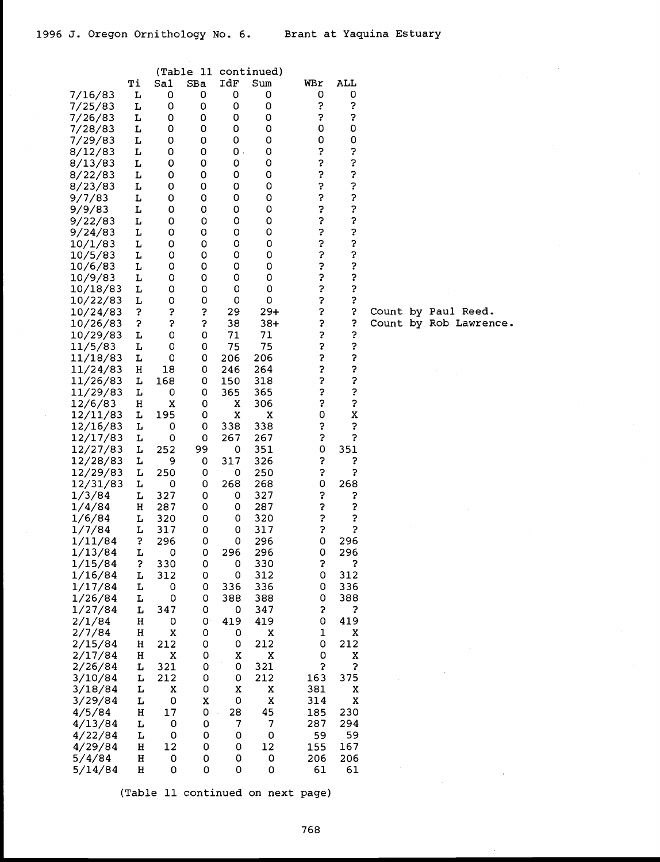|                      |        | (Table   | 11          |        | continued)     |             |        |         |
|----------------------|--------|----------|-------------|--------|----------------|-------------|--------|---------|
|                      | Тi     | Sal      | SBa         | IdF    | $\texttt{Sum}$ | WBr         | ALL    |         |
| 7/16/83              | L      | 0        | 0           | 0      | 0              | 0           | 0      |         |
| 7/25/83              | L      | 0        | 0           | 0      | 0              | ċ.          | 5      |         |
| 7/26/83              | L      | 0        | 0           | 0      | 0              | Ş           | 2      |         |
| 7/28/83              | L      | 0        | 0           | 0      | 0              | 0           | 0      |         |
| 7/29/83              | L      | 0        | 0           | 0      | 0              | 0           | 0      |         |
| 8/12/83              | L      | 0        | 0           | О.     | 0              | ?           | ?      |         |
| 8/13/83              | г      | 0        | 0           | 0      | 0              | 2           | ?      |         |
| 8/22/83              | L      | 0        | 0           | 0      | 0              | ?           | ?      |         |
| 8/23/83              | L      | 0        | 0           | 0      | 0              | ?           | ?      |         |
| 9/7/83               | L      | 0        | 0           | 0      | 0              | ?           | ?      |         |
| 9/9/83               | L      | 0        | 0           | 0      | 0              | ?           | ?      |         |
| 9/22/83              | г      | 0        | 0           | 0      | 0              | ?           | ?      |         |
| 9/24/83              | L      | 0        | 0           | 0      | 0              | 3           | ?      |         |
| 10/1/83              | L      | 0        | 0           | 0      | 0              | ?           | ?      |         |
| 10/5/83              | L      | 0        | 0           | 0      | 0              | ?           | ?<br>? |         |
| 10/6/83              | L      | 0        | 0           | 0      | 0              | Ş           |        |         |
| 10/9/83              | L      | 0        | 0           | 0      | 0              | ?           | ?      |         |
| 10/18/83             | L      | 0        | 0           | 0      | 0              | ?           | ?      |         |
| 10/22/83             | L      | 0        | 0           | 0      | 0              | ?           | ?      |         |
| 10/24/83             | 5      | 3        | 3           | 29     | 29+            | Ş           | 2      | Count l |
| 10/26/83             | 5      | 5        | ?           | 38     | 38+            | ?           | 3      | Count l |
| 10/29/83             | L      | 0        | 0           | 71     | 71             | 5           | ?      |         |
| 11/5/83              | L      | 0        | 0           | 75     | 75             | 3           | ?      |         |
| 11/18/83             | L      | 0        | 0           | 206    | 206            | \$          | ?<br>? |         |
| 11/24/83             | Н      | 18       | 0           | 246    | 264            | ?           |        |         |
| 11/26/83             | L      | 168      | 0           | 150    | 318            | ?<br>?      | ?<br>? |         |
| 11/29/83             | L      | 0        | 0           | 365    | 365            | \$          | ?      |         |
| 12/6/83              | н<br>L | X<br>195 | 0<br>0      | x<br>X | 306<br>X       | $\mathsf O$ | X      |         |
| 12/11/83<br>12/16/83 | L      | 0        | 0           | 338    | 338            | ?           | 3      |         |
| 12/17/83             | L      | 0        | 0           | 267    | 267            | 3           | Ş      |         |
| 12/27/83             | L      | 252      | 99          | 0      | 351            | 0           | 351    |         |
| 12/28/83             | L      | 9        | 0           | 317    | 326            | ?           | 3      |         |
| 12/29/83             | L      | 250      | 0           | 0      | 250            | ?           | 2      |         |
| 12/31/83             | г      | 0        | 0           | 268    | 268            | 0           | 268    |         |
| 1/3/84               | L      | 327      | 0           | 0      | 327            | ?           | 2      |         |
| 1/4/84               | н      | 287      | 0           | 0      | 287            | \$          | ?      |         |
| 1/6/84               | г      | 320      | 0           | 0      | 320            | 3           | ?      |         |
| 1/7/84               | L      | 317      | 0           | 0      | 317            | 3           | \$     |         |
| 1/11/84              | 3      | 296      | 0           | 0      | 296            | 0           | 296    |         |
| 1/13/84              | L      | U        | U           | 296    | 296            | υ           | 296    |         |
| 1/15/84              | Ś.     | 330      | 0           | 0      | 330            | 5           | S.     |         |
| 1/16/84              | L      | 312      | 0           | 0      | 312            | 0           | 312    |         |
| 1/17/84              | L      | 0        | 0           | 336    | 336            | 0           | 336    |         |
| 1/26/84              | L      | 0        | 0           | 388    | 388            | 0           | 388    |         |
| 1/27/84              | г      | 347      | 0           | 0      | 347            | 5           | 3      |         |
| 2/1/84               | н      | 0        | 0           | 419    | 419            | 0           | 419    |         |
| 2/7/84               | Η      | X        | 0           | 0      | Χ              | 1           | X      |         |
| 2/15/84              | н      | 212      | 0           | 0      | 212            | 0           | 212    |         |
| 2/17/84              | н      | X        | 0           | Χ      | Χ              | 0           | Χ      |         |
| 2/26/84              | L      | 321      | $\mathbf 0$ | 0      | 321            | 3           | ċ      |         |
| 3/10/84              | L      | 212      | 0           | 0      | 212            | 163         | 375    |         |
| 3/18/84              | L      | X        | 0           | Χ      | Χ              | 381         | x      |         |
| 3/29/84              | L      | 0        | X           | 0      | X              | 314         | Χ      |         |
| 4/5/84               | Η      | 17       | $\mathbf 0$ | 28     | 45             | 185         | 230    |         |
| 4/13/84              | L      | 0        | 0           | 7      | 7              | 287         | 294    |         |
| 4/22/84              | L      | 0        | 0           | 0      | 0              | 59          | 59     |         |
| 4/29/84              | Η      | 12       | 0           | 0      | 12             | 155         | 167    |         |
| 5/4/84               | Η      | 0        | 0           | 0      | 0              | 206         | 206    |         |
| 5/14/84              | Η      | 0        | 0           | 0      | 0              | 61          | 61     |         |

by Paul Reed.<br>by Rob Lawrence.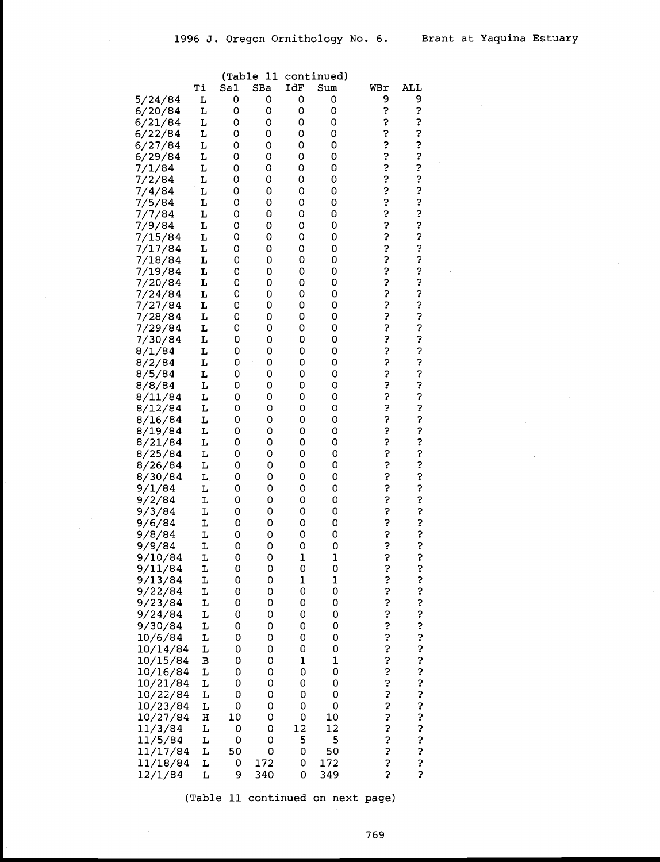|                      |         |        | (Table 11 |        | continued)   |        |                     |  |
|----------------------|---------|--------|-----------|--------|--------------|--------|---------------------|--|
|                      | Тi      | Sal    | SBa       | IdF    | Sum          | WBr    | ALL                 |  |
| 5/24/84              | L       | 0      | 0         | 0      | 0            | 9      | 9                   |  |
| 6/20/84              | L       | 0      | 0         | 0      | 0            | ?      | ?                   |  |
| 6/21/84              | L       | 0      | 0         | 0      | 0            | ?      | ?                   |  |
| 6/22/84              | L       | 0      | 0         | 0      | 0            | ?      | ?                   |  |
| 6/27/84              | г       | 0      | 0         | 0      | 0            | ?      | ?<br>?              |  |
| 6/29/84              | г       | 0      | 0         | 0      | 0            | ?      |                     |  |
| 7/1/84               | г       | 0      | 0         | 0.     | 0            | ?      | ?                   |  |
| 7/2/84               | r       | 0      | 0         | 0      | 0            | ?      | ?                   |  |
| 7/4/84               | г       | 0      | 0         | 0      | 0            | ?      | ?<br>?              |  |
| 7/5/84               | L       | 0      | 0         | 0      | 0            | ?<br>3 |                     |  |
| 7/7/84               | L<br>L  | 0      | 0         | 0      | 0            | ?      | ?<br>?              |  |
| 7/9/84<br>7/15/84    | L       | 0<br>0 | 0<br>0    | 0<br>0 | 0<br>0       | ?      | ?                   |  |
| 7/17/84              | L       | 0      | 0         | 0      | 0            | ?      | ?                   |  |
| 7/18/84              | г       | 0      | 0         | 0      | 0            | ?      |                     |  |
| 7/19/84              | L       | 0      | 0         | 0      | 0            | ?      | ?<br>?              |  |
| 7/20/84              | L       | 0      | 0         | 0      | 0            | ?      | ?                   |  |
| 7/24/84              | L       | 0      | 0         | 0      | 0            | ?      |                     |  |
| 7/27/84              | L       | 0      | 0         | 0      | 0            | ?      |                     |  |
| 7/28/84              | L       | 0      | 0         | 0      | 0            | ?      | ?<br>?<br>?         |  |
| 7/29/84              | L       | 0      | 0         | 0      | 0            | ?      | ?                   |  |
| 7/30/84              | г       | 0      | 0         | 0      | 0            | ?      | ?                   |  |
| 8/1/84               | L       | 0      | 0         | 0      | 0            | ?      | ?                   |  |
| 8/2/84               | г       | 0      | 0         | 0      | 0            | ?      | ?                   |  |
| 8/5/84               | г       | 0      | 0         | 0      | 0            | ?      | ?                   |  |
| 8/8/84               | L       | 0      | 0         | 0      | 0            | ?      | ?                   |  |
| 8/11/84              | L       | 0      | 0         | 0      | 0            | ?      | ?                   |  |
| 8/12/84              | L       | 0      | 0         | 0      | 0            | ?      | ?                   |  |
| 8/16/84              | L       | 0      | 0         | 0      | 0            | ?      | ?                   |  |
| 8/19/84              | L       | 0      | 0         | 0      | 0            | ?      | ?                   |  |
| 8/21/84              | L       | 0      | 0         | 0      | 0            | 3      |                     |  |
| 8/25/84              | L       | 0      | 0         | 0      | 0            | ?      |                     |  |
| 8/26/84              | L       | 0      | 0         | 0      | 0            | ?      |                     |  |
| 8/30/84              | L,      | 0      | 0         | 0      | 0            | ?      | ここここ                |  |
| 9/1/84               | L<br>L  | 0      | 0         | 0<br>0 | 0            | ?<br>? |                     |  |
| 9/2/84<br>9/3/84     | L       | 0<br>0 | 0<br>0    | 0      | 0<br>0       | ?      | ?<br>?              |  |
| 9/6/84               | L       | 0      | 0         | 0      | 0            | ?      |                     |  |
| 9/8/84               | L       | 0      | 0         | 0      | 0            | 5      | ?<br>?<br>?         |  |
| 9/9/84               | L       | 0      | 0         | 0      | 0            | S      |                     |  |
| 9/10/84              | L       | U      | U         | T      | T            | 7      | ?                   |  |
| 9/11/84              | L       | 0      | 0         | 0      | 0            | ?      | ?                   |  |
| 9/13/84              | L       | 0      | 0         | 1      | $\mathbf 1$  | ?      |                     |  |
| 9/22/84              | L       | 0      | 0         | 0      | 0            | ?      |                     |  |
| 9/23/84              | L       | 0      | 0         | 0      | 0            | ?      |                     |  |
| 9/24/84              | L       | 0      | 0         | 0      | 0            | ?      |                     |  |
| 9/30/84              | L       | 0      | 0         | 0      | 0            | ?<br>? |                     |  |
| 10/6/84              | L       | 0      | 0         | 0      | 0            |        |                     |  |
| 10/14/84             | L       | 0      | 0         | 0      | O            | ?<br>? |                     |  |
| 10/15/84             | B       | 0      | 0         | 1      | $\mathbf{1}$ |        |                     |  |
| 10/16/84             | L       | 0      | 0         | 0      | 0            | ?<br>? |                     |  |
| 10/21/84             | L       | 0      | 0         | 0      | 0            |        |                     |  |
| 10/22/84<br>10/23/84 | L<br>L  | 0<br>0 | 0<br>0    | 0<br>0 | 0<br>0       | ?<br>? |                     |  |
| 10/27/84             | $\rm H$ | 10     | 0         | 0      | 10           |        |                     |  |
| 11/3/84              | L       | 0      | 0         | 12     | 12           | ?<br>? |                     |  |
| 11/5/84              | L       | 0      | 0         | 5      | 5            |        |                     |  |
| 11/17/84             | L       | 50     | 0         | 0      | 50           | ?<br>? |                     |  |
| 11/18/84             | L       | 0      | 172       | 0      | 172          | \$     | ひょうちょうしょう しょうしょうしょう |  |
| 12/1/84              | г       | 9      | 340       | 0      | 349          | 3      | Ş                   |  |
|                      |         |        |           |        |              |        |                     |  |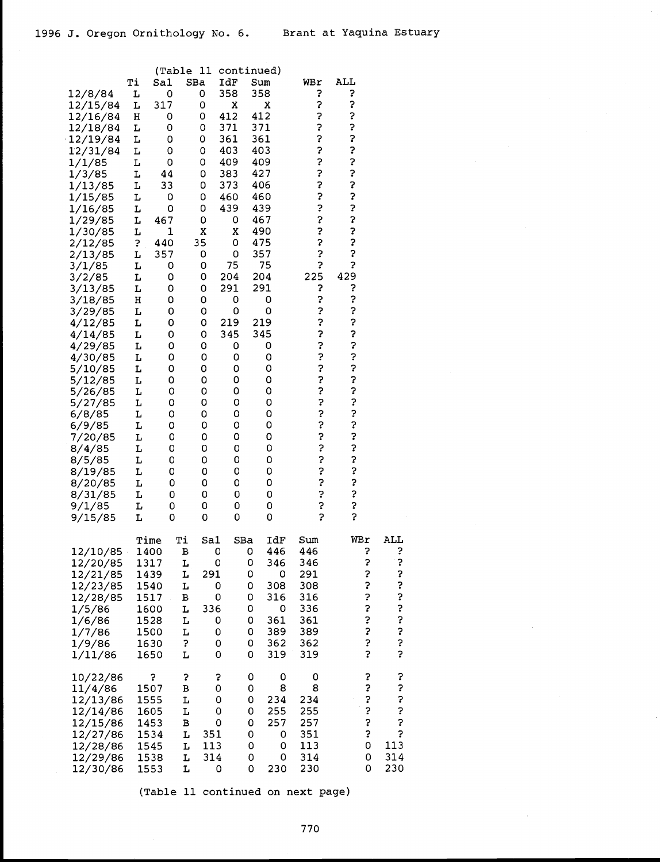| 12/8/84<br>12/15/84<br>12/16/84<br>12/18/84<br>12/19/84<br>12/31/84<br>1/1/85<br>1/3/85<br>1/13/85<br>1/15/85<br>1/16/85<br>1/29/85<br>1/30/85<br>2/12/85<br>2/13/85<br>3/1/85<br>3/2/85<br>3/13/85<br>3/18/85<br>3/29/85<br>4/12/85<br>4/14/85<br>4/29/85<br>4/30/85<br>5/10/85<br>5/12/85<br>5/26/85<br>5/27/85<br>6/8/85<br>6/9/85<br>7/20/85<br>8/4/85<br>8/5/85<br>8/19/85<br>8/20/85<br>8/31/85<br>9/1/85<br>9/15/85 | Тi<br>L<br>L<br>н<br>г<br>L<br>L<br>L<br>г<br>L<br>L<br>L<br>L<br>L<br>?<br>L<br>L<br>L<br>L<br>н<br>L<br>L<br>L<br>L<br>L<br>L<br>L<br>L<br>L<br>L<br>L<br>L<br>L<br>L<br>L<br>L<br>L<br>L<br>L | Sa1<br>0<br>317<br>0<br>0<br>0<br>0<br>0<br>44<br>33<br>0<br>0<br>467<br>1<br>440<br>357<br>0<br>0<br>0<br>0<br>0<br>0<br>0<br>0<br>0<br>0<br>0<br>0<br>0<br>0<br>0<br>0<br>0<br>0<br>0<br>0<br>0<br>0<br>0 | (Table 11<br>SBa<br>0<br>0<br>0<br>0<br>0<br>0<br>0<br>0<br>0<br>0<br>0<br>0<br>Χ<br>35<br>0<br>0<br>0<br>0<br>0<br>0<br>0<br>0<br>0<br>0<br>0<br>0<br>0<br>0<br>0<br>0<br>0<br>0<br>0<br>0<br>0<br>0<br>0<br>0 | continued)<br>IdF<br>358<br>x<br>412<br>371<br>361<br>403<br>409<br>383<br>373<br>460<br>439<br>0<br>X<br>0<br>0<br>75<br>204<br>291<br>0<br>0<br>219<br>345<br>0<br>0<br>0<br>0<br>0<br>0<br>0<br>0<br>0<br>0<br>0<br>0<br>0<br>0<br>0<br>0 | Sum<br>358<br>412<br>371<br>361<br>403<br>409<br>427<br>406 | x<br>460<br>439<br>467<br>490<br>475<br>357<br>75<br>204<br>291<br>0<br>0<br>219<br>345<br>0<br>0<br>0<br>0<br>0<br>0<br>0<br>0<br>0<br>0<br>0<br>0<br>0<br>0<br>0<br>0 | WBr<br>3<br>?<br>5<br>3<br>3<br>2<br>3<br>?<br>3<br>?<br>\$<br>?<br>?<br>\$<br>?<br>3<br>225<br>3<br>3<br>?<br>?<br>5<br>5<br>?<br>?<br>?<br>?<br>?<br>?<br>3<br>3<br>?<br>2<br>?<br>?<br>5<br>?<br>? | ALL<br>?<br>?<br>?<br>?<br>?<br>?<br>?<br>?<br>?<br>3<br>3<br>3<br>2<br>3<br>\$<br>Ş<br>429<br>?<br>?<br>?<br>2<br>\$<br>2<br>3<br>?<br>?<br>3<br>?<br>?<br>?<br>5<br>?<br>2<br>?<br>Ş<br>5<br>2<br>Ş |                                                  |  |
|----------------------------------------------------------------------------------------------------------------------------------------------------------------------------------------------------------------------------------------------------------------------------------------------------------------------------------------------------------------------------------------------------------------------------|--------------------------------------------------------------------------------------------------------------------------------------------------------------------------------------------------|-------------------------------------------------------------------------------------------------------------------------------------------------------------------------------------------------------------|-----------------------------------------------------------------------------------------------------------------------------------------------------------------------------------------------------------------|----------------------------------------------------------------------------------------------------------------------------------------------------------------------------------------------------------------------------------------------|-------------------------------------------------------------|-------------------------------------------------------------------------------------------------------------------------------------------------------------------------|-------------------------------------------------------------------------------------------------------------------------------------------------------------------------------------------------------|-------------------------------------------------------------------------------------------------------------------------------------------------------------------------------------------------------|--------------------------------------------------|--|
| 12/10/85<br>12/20/85<br>12/21/85<br>12/23/85<br>12/28/85<br>1/5/86<br>1/6/86<br>1/7/86<br>1/9/86<br>1/11/86                                                                                                                                                                                                                                                                                                                | Time<br>1400                                                                                                                                                                                     | 1317<br>1439<br>1540<br>1517<br>1600<br>1528<br>1500<br>1630<br>1650                                                                                                                                        | Тi<br>в<br>L<br>L<br>L<br>в<br>L<br>L<br>L<br>3<br>L                                                                                                                                                            | Sal<br>0<br>0<br>291<br>0<br>0<br>336<br>0<br>0<br>0<br>0                                                                                                                                                                                    | SBa<br>0<br>0<br>0<br>0<br>0<br>0<br>0<br>0<br>0<br>0       | IdF<br>446<br>346<br>0<br>308<br>316<br>0<br>361<br>389<br>362<br>319                                                                                                   | Sum<br>446<br>346<br>291<br>308<br>316<br>336<br>361<br>389<br>362<br>319                                                                                                                             | WBr<br>7<br>\$<br>2<br>?<br>?<br>2<br>?<br>?<br>?<br>?                                                                                                                                                | ALL<br>7<br>?<br>いいこうこう<br>5                     |  |
| 10/22/86<br>11/4/86<br>12/13/86<br>12/14/86<br>12/15/86<br>12/27/86<br>12/28/86<br>12/29/86<br>12/30/86                                                                                                                                                                                                                                                                                                                    |                                                                                                                                                                                                  | 3<br>1507<br>1555<br>1605<br>1453<br>1534<br>1545<br>1538<br>1553                                                                                                                                           | 3<br>В<br>L<br>L<br>B<br>L<br>L<br>L<br>L                                                                                                                                                                       | 3<br>0<br>0<br>0<br>0<br>351<br>113<br>314<br>0                                                                                                                                                                                              | 0<br>0<br>0<br>0<br>0<br>0<br>0<br>0<br>0                   | 0<br>8<br>234<br>255<br>257<br>0<br>0<br>0<br>230                                                                                                                       | 0<br>8<br>234<br>255<br>257<br>351<br>113<br>314<br>230                                                                                                                                               | ?<br>ر.<br>3<br>?<br>\$<br>?<br>0<br>0<br>0                                                                                                                                                           | ?<br>?<br>\$<br>?<br>5<br>5<br>113<br>314<br>230 |  |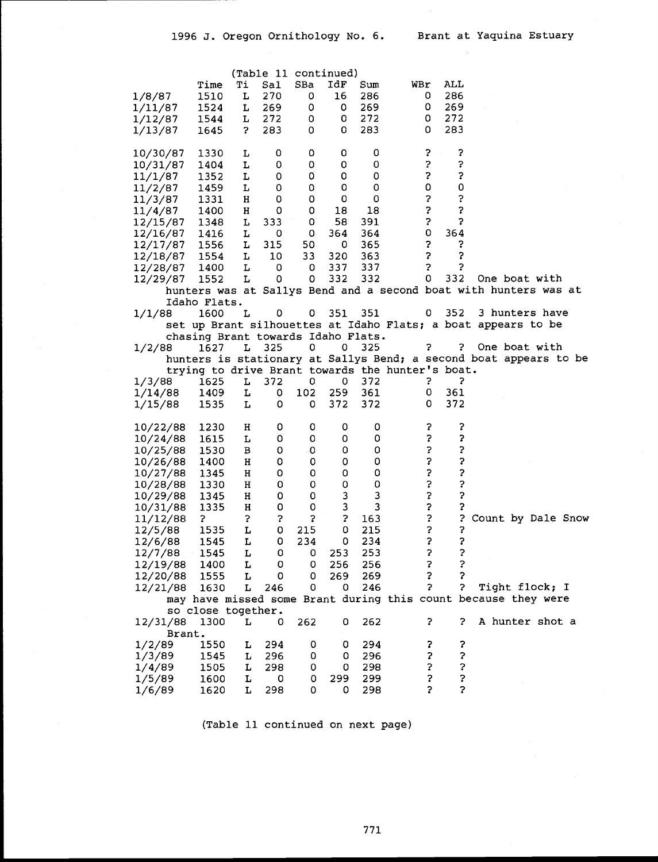|          |                                    |    |     | (Table 11 continued) |     |     |                                                  |     |                                                                   |
|----------|------------------------------------|----|-----|----------------------|-----|-----|--------------------------------------------------|-----|-------------------------------------------------------------------|
|          | Time                               | Тi | Sal | SBa                  | IdF | Sum | WBr                                              | ALL |                                                                   |
| 1/8/87   | 1510                               | L  | 270 | 0                    | 16  | 286 | 0                                                | 286 |                                                                   |
| 1/11/87  | 1524                               | L  | 269 | 0                    | 0   | 269 | 0                                                | 269 |                                                                   |
| 1/12/87  | 1544                               | L  | 272 | 0                    | 0   | 272 | 0                                                | 272 |                                                                   |
| 1/13/87  | 1645                               | 7  | 283 | 0                    | 0   | 283 | 0                                                | 283 |                                                                   |
|          |                                    |    |     |                      |     |     |                                                  |     |                                                                   |
| 10/30/87 | 1330                               | L  | 0   | 0                    | 0   | 0   | ?                                                | ?   |                                                                   |
| 10/31/87 | 1404                               | L  | 0   | 0                    | 0   | 0   | ?                                                | 5   |                                                                   |
| 11/1/87  | 1352                               | L  | 0   | 0                    | 0   | 0   | 3                                                | 3   |                                                                   |
| 11/2/87  | 1459                               | L  | 0   | 0                    | 0   | 0   | $\mathsf 0$                                      | 0   |                                                                   |
| 11/3/87  | 1331                               | н  | 0   | o                    | 0   | 0   | \$                                               | 5   |                                                                   |
| 11/4/87  | 1400                               | н  | o   | 0                    | 18  | 18  | 5                                                | 3   |                                                                   |
| 12/15/87 | 1348                               | L  | 333 | 0                    | 58  | 391 | 3                                                | 3   |                                                                   |
|          | 1416                               | L  | 0   | 0                    | 364 | 364 | 0                                                | 364 |                                                                   |
| 12/16/87 |                                    |    |     |                      |     |     | 5                                                | ?   |                                                                   |
| 12/17/87 | 1556                               | L  | 315 | 50                   | 0   | 365 |                                                  |     |                                                                   |
| 12/18/87 | 1554                               | L  | 10  | 33                   | 320 | 363 | 5                                                | 3   |                                                                   |
| 12/28/87 | 1400                               | L  | 0   | 0                    | 337 | 337 | 5                                                | 2   |                                                                   |
| 12/29/87 | 1552                               | L  | 0   | 0                    | 332 | 332 | 0                                                | 332 | One boat with                                                     |
|          |                                    |    |     |                      |     |     |                                                  |     | hunters was at Sallys Bend and a second boat with hunters was at  |
|          | Idaho Flats.                       |    |     |                      |     |     |                                                  |     |                                                                   |
| 1/1/88   | 1600                               | L  | 0   | 0                    | 351 | 351 | 0                                                | 352 | 3 hunters have                                                    |
|          |                                    |    |     |                      |     |     |                                                  |     | set up Brant silhouettes at Idaho Flats; a boat appears to be     |
|          | chasing Brant towards Idaho Flats. |    |     |                      |     |     |                                                  |     |                                                                   |
| 1/2/88   | 1627                               | L  | 325 | 0                    | 0.  | 325 | ?                                                | ?   | One boat with                                                     |
|          |                                    |    |     |                      |     |     |                                                  |     | hunters is stationary at Sallys Bend; a second boat appears to be |
|          |                                    |    |     |                      |     |     | trying to drive Brant towards the hunter's boat. |     |                                                                   |
| 1/3/88   | 1625                               | L  | 372 | 0                    | 0   | 372 | ?                                                | 2   |                                                                   |
| 1/14/88  | 1409                               | L  | 0   | 102                  | 259 | 361 | 0                                                | 361 |                                                                   |
| 1/15/88  | 1535                               | L  | 0   | 0                    | 372 | 372 | 0                                                | 372 |                                                                   |
|          |                                    |    |     |                      |     |     |                                                  |     |                                                                   |
| 10/22/88 | 1230                               | н  | 0   | 0                    | 0   | 0   | ?                                                | ?   |                                                                   |
| 10/24/88 | 1615                               | L  | 0   | 0                    | 0   | 0   | \$                                               | 3   |                                                                   |
| 10/25/88 | 1530                               | в  | 0   | -0                   | 0   | 0   | \$                                               | 3   |                                                                   |
| 10/26/88 | 1400                               | н  | 0   | 0                    | 0   | 0   | ?                                                | 3   |                                                                   |
| 10/27/88 | 1345                               | н  | 0   | 0                    | 0   | 0   | Ş                                                | ?   |                                                                   |
| 10/28/88 | 1330                               | н  | 0   | 0                    | 0   | 0   | 5                                                | 3   |                                                                   |
| 10/29/88 | 1345                               | н  | 0   | 0                    | 3   | 3   | $\ddot{\phantom{0}}$                             | 5   |                                                                   |
| 10/31/88 | 1335                               | Н  | 0   | 0                    | 3   | 3   | 3                                                |     |                                                                   |
| 11/12/88 | ?                                  | 3  | 3   | 5                    | 3   | 163 | ?                                                | 3   | Count by Dale Snow                                                |
| 12/5/88  | 1535                               | L  | 0   | 215                  | 0   | 215 | 5                                                | ?   |                                                                   |
| 12/6/88  | 1545                               | г  | 0   | 234                  | 0   | 234 | 5                                                | 3   |                                                                   |
| 12/7/88  | 1545                               | L  | 0   | 0                    | 253 | 253 | $\mathbf{c}$                                     | 3   |                                                                   |
| 12/19/88 | 1400                               | L  | 0   | 0                    | 256 | 256 | 3                                                | 3   |                                                                   |
| 12/20/88 | 1555                               | L  | 0   | 0                    | 269 | 269 | 2                                                |     |                                                                   |
|          |                                    | г  |     | 0                    | 0   | 246 | 2                                                | ?   | Tight flock; I                                                    |
| 12/21/88 | 1630                               |    | 246 |                      |     |     |                                                  |     | may have missed some Brant during this count because they were    |
|          | so close together.                 |    |     |                      |     |     |                                                  |     |                                                                   |
|          |                                    |    |     |                      |     |     |                                                  |     |                                                                   |
| 12/31/88 | 1300                               | L  | 0   | 262                  | 0   | 262 | ?                                                | 2.  | A hunter shot a                                                   |
| Brant.   |                                    |    |     |                      |     |     |                                                  |     |                                                                   |
| 1/2/89   | 1550                               | L  | 294 | 0                    | 0   | 294 | ?                                                | ?   |                                                                   |
| 1/3/89   | 1545                               | L  | 296 | 0                    | 0   | 296 | ?                                                | 2   |                                                                   |
| 1/4/89   | 1505                               | L  | 298 | 0                    | 0   | 298 | 5                                                | 3   |                                                                   |
| 1/5/89   | 1600                               | L  | o   | 0                    | 299 | 299 | ?                                                | ?   |                                                                   |
| 1/6/89   | 1620                               | L  | 298 | 0                    | 0   | 298 | 2                                                | 3   |                                                                   |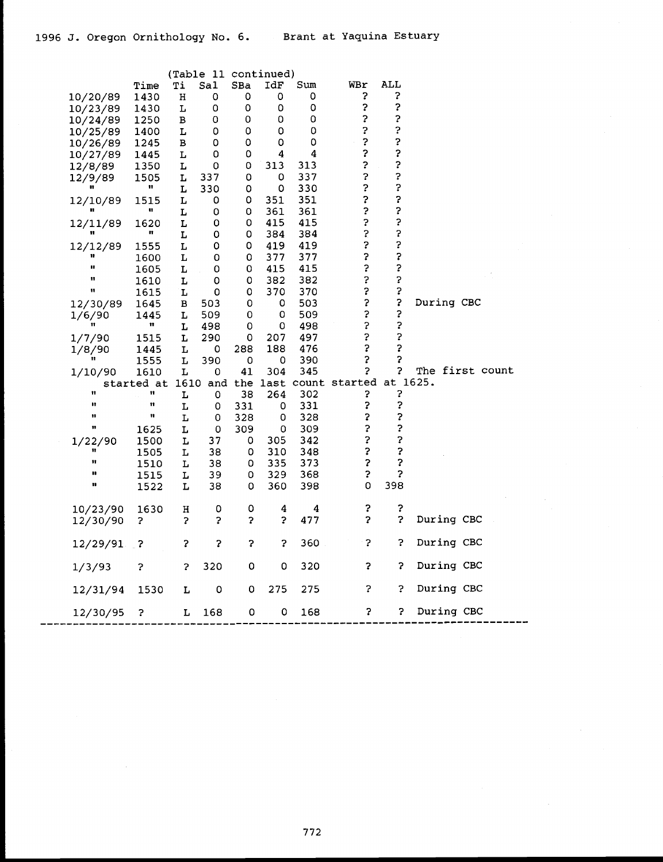|              |              |             | (Table 11 continued) |     |     |     |                                          |     |                 |
|--------------|--------------|-------------|----------------------|-----|-----|-----|------------------------------------------|-----|-----------------|
|              | Time         | Ti          | Sal                  | SBa | IdF | Sum | WBr                                      | ALL |                 |
| 10/20/89     | 1430         | $\mathbf H$ | 0                    | 0   | 0   | 0   | 3                                        | 3   |                 |
| 10/23/89     | 1430         | L           | 0                    | 0   | 0   | 0   | 5                                        | ?   |                 |
| 10/24/89     | 1250         | в           | 0                    | 0   | 0   | 0   | 3                                        | ?   |                 |
| 10/25/89     | 1400         | г           | 0                    | 0   | 0   | 0   | 3                                        | 3   |                 |
| 10/26/89     | 1245         | в           | 0                    | 0   | 0   | 0   | $\ddot{\phantom{0}}$                     | ?   |                 |
| 10/27/89     | 1445         | L           | 0                    | 0   | 4   | 4   | 3                                        | ?   |                 |
| 12/8/89      | 1350         | L           | 0                    | 0   | 313 | 313 | ?                                        | ?   |                 |
| 12/9/89      | 1505         | L           | 337                  | 0   | 0   | 337 | 2                                        | 2   |                 |
| n.           | $\mathbf{H}$ | L           | 330                  | 0   | 0   | 330 | 2                                        | ?   |                 |
| 12/10/89     | 1515         | L           | 0                    | 0   | 351 | 351 | ?                                        | ?   |                 |
| n            | u            | L           | 0                    | 0   | 361 | 361 | ?                                        | ?   |                 |
| 12/11/89     | 1620         | L           | 0                    | 0   | 415 | 415 | 3                                        | ?   |                 |
| Ħ            | n            | L           | 0                    | 0   | 384 | 384 | 3                                        | ?   |                 |
| 12/12/89     | 1555         | L           | 0                    | 0   | 419 | 419 | 3                                        | ?   |                 |
| Ħ            | 1600         | L           | 0                    | 0   | 377 | 377 | 3                                        | ?   |                 |
| u            | 1605         | Ŀ           | 0                    | 0   | 415 | 415 | 3                                        | ?   |                 |
| Ħ            | 1610         | L           | 0                    | 0   | 382 | 382 | 3                                        | 2   |                 |
| 11           | 1615         | L           | 0                    | 0   | 370 | 370 | 3                                        | 3   |                 |
| 12/30/89     | 1645         | в           | 503                  | 0   | 0   | 503 | 3                                        | 3   | During CBC      |
| 1/6/90       | 1445         | L           | 509                  | 0   | 0   | 509 | 3                                        | 3   |                 |
| n            | $\mathbf{H}$ | L           | 498                  | 0   | 0   | 498 | 3                                        | 3   |                 |
| 1/7/90       | 1515         | L           | 290                  | 0   | 207 | 497 | 5                                        | ?   |                 |
| 1/8/90       | 1445         | L           | 0                    | 288 | 188 | 476 | 3                                        | 3   |                 |
| n            | 1555         | L           | 390                  | 0   | 0   | 390 | 2                                        | 5   |                 |
| 1/10/90      | 1610         | L           | 0                    | 41  | 304 | 345 | 3                                        | ?   | The first count |
|              | started at   |             |                      |     |     |     | 1610 and the last count started at 1625. |     |                 |
| Ħ            | Ħ            | L           | 0                    | 38  | 264 | 302 | ?                                        | ?   |                 |
| $\mathbf{u}$ | Ħ            | L           | 0                    | 331 | 0   | 331 | 3                                        | 3   |                 |
| Ħ            | Ħ            | L           | 0                    | 328 | 0   | 328 | \$                                       | 3   |                 |
| 11           | 1625         | г           | 0                    | 309 | 0   | 309 | 3                                        | 3   |                 |
| 1/22/90      | 1500         | L           | 37                   | 0   | 305 | 342 | 3                                        | 3   |                 |
|              | 1505         | L           | 38                   | 0   | 310 | 348 | $\boldsymbol{S}$                         | ?   |                 |
| Ħ            | 1510         | L           | 38                   | 0   | 335 | 373 | ?                                        | ?   |                 |
| ш            | 1515         | L           | 39                   | 0   | 329 | 368 | 3                                        | Ś.  |                 |
| Ħ            | 1522         | L           | 38                   | 0   | 360 | 398 | 0                                        | 398 |                 |
|              |              |             |                      |     |     |     |                                          |     |                 |
| 10/23/90     | 1630         | н           | 0                    | 0   | 4   | 4   | ?                                        | 2   |                 |
| 12/30/90     | 2.           | 5           | 3                    | 3   | 3   | 477 | 5                                        | 3   | During CBC      |
| $12/29/91$ ? |              | 3           | 3                    | 5   | 3   | 360 | 3                                        | Š.  | During CBC      |
|              |              |             |                      |     |     |     |                                          |     |                 |
| 1/3/93       | 3            | 3           | 320                  | 0   | 0   | 320 | 3                                        | ?   | During CBC      |
| 12/31/94     | 1530         | L           | 0                    | 0   | 275 | 275 | ?                                        | ?   | During CBC      |
|              |              |             |                      |     |     |     |                                          |     |                 |
| 12/30/95     | ?            | L           | 168                  | 0   | 0   | 168 | ?                                        | ?   | During CBC      |
|              |              |             |                      |     |     |     |                                          |     |                 |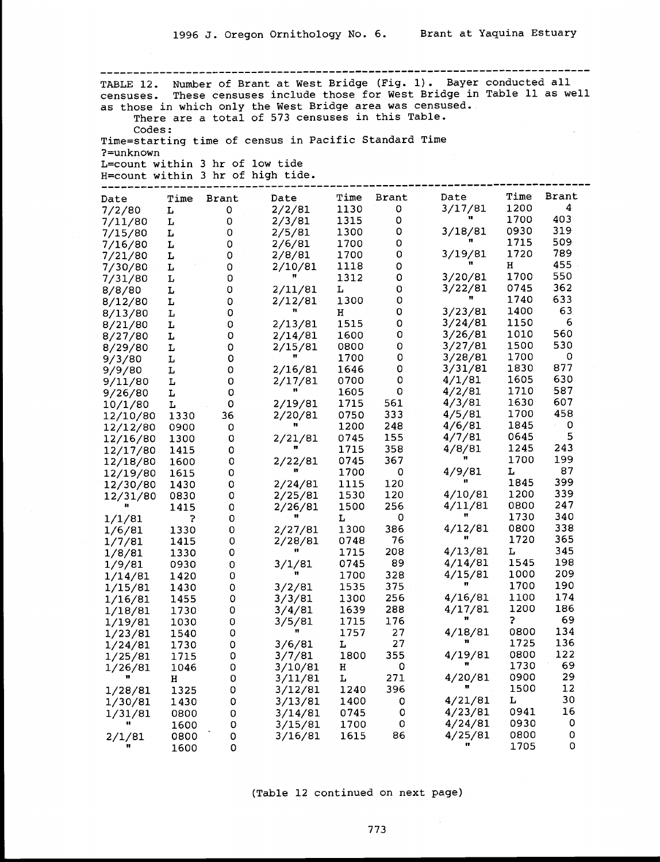--------------------------------------------- ----------------------------- TABLE 12. Number of Brant at West Bridge (Fig. 1). Bayer conducted all censuses. These censuses include those for West Bridge in Table 11 as well as those in which only the West Bridge area was censused. There are a total of 573 censuses in this Table. Codes: Time=starting time of census in Pacific Standard Time ?=unknown<br>L=count within 3 hr of low tide<br>H=count within 3 hr of high tide. H=count within 3 hr of high tide. --------------------------------------------------------------------------- Date Time Brant Date Time Brant Date Time Brant Date Time Brant Date Time Brant Date Time Brant<br>7/2/80 L 0 2/2/81 1130 0 3/17/81 1200 4 7/11/80 L <sup>0</sup> 2/3/81 1315 <sup>0</sup> " 1700 403 7/15/80 <sup>L</sup> <sup>0</sup> 2/5/81 <sup>1300</sup> 03/18/81 <sup>0930</sup> <sup>319</sup> 7/16/80 L <sup>0</sup> 2/6/81 1700 <sup>0</sup> of 1715 509 7/21/80 <sup>L</sup> <sup>0</sup> 2/8/81 <sup>1700</sup> 03/19/81 <sup>1720</sup> <sup>789</sup> 7/30/80 <sup>L</sup> 02/10/81 <sup>1118</sup> <sup>0</sup> <sup>H</sup> <sup>455</sup> 7/31/80 L 0 <sup>11</sup> <sup>1312</sup> 03/20/81 <sup>1700</sup> <sup>550</sup> 8/8/80 <sup>L</sup> 02/11/81 <sup>L</sup> 03/22/81 <sup>0745</sup> <sup>362</sup> 8/12/80 <sup>L</sup> 02/12/81 <sup>1300</sup> <sup>0</sup> " <sup>1740</sup> <sup>633</sup> 8/13/80 <sup>L</sup> <sup>0</sup> <sup>H</sup> 03/23/81 <sup>1400</sup> <sup>63</sup> 8/21/80 <sup>L</sup> 02/13/81 <sup>1515</sup> 03/24/81 <sup>1150</sup> <sup>6</sup> 8/27/80 <sup>L</sup> 02/14/81 <sup>1600</sup> 03/26/81 <sup>1010</sup> <sup>560</sup> 8/29/80 <sup>L</sup> 02/15/81 <sup>0800</sup> 03/27/81 <sup>1500</sup> <sup>530</sup> 9/3/80 <sup>L</sup> <sup>0</sup> <sup>1700</sup> 03/28/81 <sup>1700</sup> <sup>0</sup> 9/9/80 <sup>L</sup> 02/16/81 <sup>1646</sup> 03/31/81 <sup>1830</sup> <sup>877</sup> 9/11/80 <sup>L</sup> 02/17/81 <sup>0700</sup> <sup>0</sup> 4/1/81 <sup>1605</sup> <sup>630</sup>  $9/26/80$  L  $0$   $2/19/81$  1605 0  $4/2/81$  1710 587<br>10/1/80 L 0 2/19/81 1715 561 4/3/81 1630 607  $12/10/80$  1330 36  $2/20/81$  0750 333 4/5/81 1700 458 12/12/80 0900 <sup>0</sup> 1200 248 4/6/81 1845 <sup>0</sup> 12/16/80 <sup>1300</sup> 02/21/81 <sup>0745</sup> <sup>155</sup> 4/7/81 <sup>0645</sup> <sup>5</sup>  $12/17/80$  1415 0  $2/22/81$  1715 358  $4/8/81$  1245 243<br>12/18/80 1600 0 2/22/81 0745 367 1700 199 12/19/80 1615 0 <sup>11</sup> 1700 0 4/9/81 L 87 12/30/80 <sup>1430</sup> 02/24/81 <sup>1115</sup> <sup>120</sup> " <sup>1845</sup> <sup>399</sup> 12/30/80 1430 0 2/24/81 1115 120 1845 399<br>12/31/80 0830 0 2/25/81 1530 120 4/10/81 1200 339  $2/24/81$  1115 120<br>  $2/25/81$  1115 120  $\bullet$  1845 399<br>  $2/25/81$  1530 120 4/10/81 1200 339<br>  $2/26/81$  1500 256 4/11/81 0800 247<br> **n** L 0<br>  $\bullet$  1730 340 1/1/81 ? <sup>0</sup> " L <sup>0</sup> 1/6/81 <sup>1330</sup> 02/27/81 <sup>1300</sup> <sup>386</sup> 4/12/81 <sup>0800</sup> <sup>338</sup>  $\begin{array}{cc} \texttt{''} & 1730 \\ 4/12/81 & 0800 \end{array}$ 1/7/81 <sup>1415</sup> 02/28/81 <sup>0748</sup> <sup>76</sup> It <sup>1720</sup> <sup>365</sup>  $1/8/81$  1330 0 1, 1715 208 4/13/81 L 345 1/9/81 0930 <sup>0</sup> 3/1/81 0745 89 4/14/81 1545 198  $1/14/81$  1420 0 **1700** 328 4/15/81 1000 209  $1/15/81$  1430 0 3/2/81 1535 375 **"** 1700 190 1/16/81 1455 <sup>0</sup> 3/3/81 1300 256 4/16/81 1100 174 1/18/81 1730 <sup>0</sup> 3/4/81 1639 288 4/17/81 1200 186  $1/19/81$  1030 0 3/5/81 1715 176 **1** ? 69  $1/23/81$  1540 0  $\binom{1}{2}$  1757 27 4/18/81 0800 134  $1/24/81$  1730 0 3/6/81 L 27 " 1725 136 1/25/81 1715 0 3/7/81 1800 355 4/19/81 0800 122<br>1/25/81 1715 0 3/7/81 1800 355 4/19/81 0800 122 4/19/81 0800 122<br>**"** 1730 69 <sup>H</sup> 03/11/81 <sup>L</sup> <sup>271</sup> 4/20/81 <sup>0900</sup> <sup>29</sup> 1/28/81 <sup>1325</sup> 03/12/81 <sup>1240</sup> <sup>396</sup> <sup>11</sup> <sup>1500</sup> <sup>12</sup> 1/30/81 <sup>1430</sup> 03/13/81 <sup>1400</sup> 04/21/81 <sup>L</sup> <sup>30</sup> 1/31/81 <sup>0800</sup> 03/14/81 <sup>0745</sup> 04/23/81 <sup>0941</sup> <sup>16</sup> of <sup>1600</sup> 03/15/81 <sup>1700</sup> 04/24/81 <sup>0930</sup> <sup>0</sup>  $\binom{1600}{2/1/81}$  0800 0 3/15/81 1700 0 4/24/81 0930 0<br>2/1/81 0800 0 3/16/81 1615 86 4/25/81 0800 0 1600 0 1705 0

(Table 12 continued on next page)

 $\sim$   $\sim$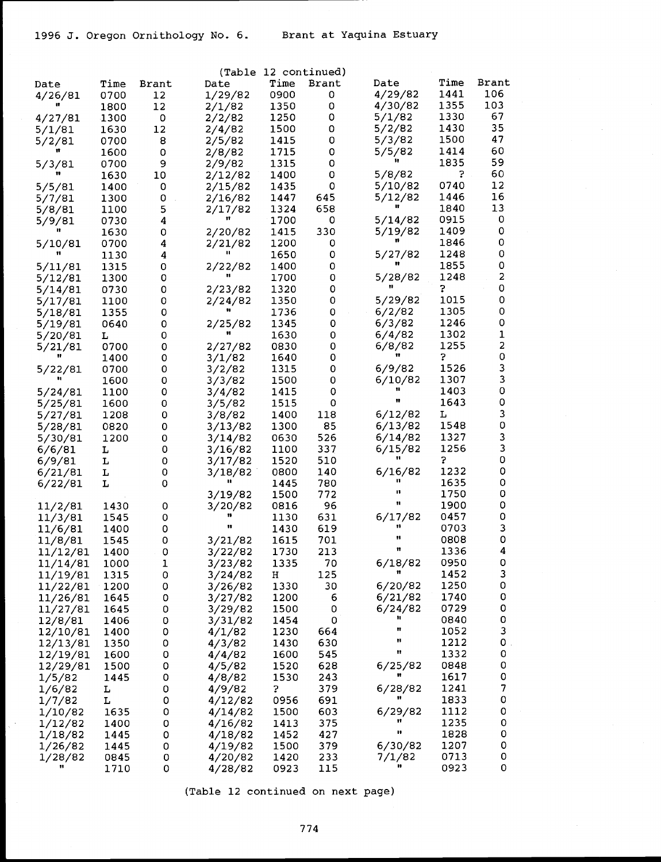$\mathbb{R}^3$ 

|          |      |             | (Table         |      | 12 continued) |         |      |                     |
|----------|------|-------------|----------------|------|---------------|---------|------|---------------------|
| Date     | Time | Brant       | Date           | Time | Brant         | Date    | Time | Brant               |
| 4/26/81  | 0700 | 12          | 1/29/82        | 0900 | 0             | 4/29/82 | 1441 | 106                 |
|          | 1800 | 12          | 2/1/82         | 1350 | 0             | 4/30/82 | 1355 | 103                 |
| 4/27/81  | 1300 | 0           | 2/2/82         | 1250 | 0             | 5/1/82  | 1330 | 67                  |
| 5/1/81   | 1630 | 12          | 2/4/82         | 1500 | 0             | 5/2/82  | 1430 | 35                  |
| 5/2/81   | 0700 | 8           | 2/5/82         | 1415 | 0             | 5/3/82  | 1500 | 47                  |
|          | 1600 | $\mathbf 0$ | 2/8/82         | 1715 | 0             | 5/5/82  | 1414 | 60                  |
|          |      |             |                |      | 0             |         | 1835 | 59                  |
| 5/3/81   | 0700 | 9           | 2/9/82         | 1315 |               |         |      | 60                  |
|          | 1630 | 10          | 2/12/82        | 1400 | 0             | 5/8/82  | ?    |                     |
| 5/5/81   | 1400 | 0           | 2/15/82        | 1435 | 0             | 5/10/82 | 0740 | 12                  |
| 5/7/81   | 1300 | 0           | 2/16/82        | 1447 | 645           | 5/12/82 | 1446 | 16                  |
| 5/8/81   | 1100 | 5           | 2/17/82        | 1324 | 658           |         | 1840 | 13                  |
| 5/9/81   | 0730 | 4           |                | 1700 | 0             | 5/14/82 | 0915 | 0                   |
|          | 1630 | 0           | 2/20/82        | 1415 | 330           | 5/19/82 | 1409 | 0                   |
| 5/10/81  | 0700 | 4           | 2/21/82        | 1200 | 0             |         | 1846 | 0                   |
|          | 1130 | 4           |                | 1650 | 0             | 5/27/82 | 1248 | 0                   |
| 5/11/81  | 1315 | 0           | 2/22/82        | 1400 | 0             |         | 1855 | 0                   |
| 5/12/81  | 1300 | 0           |                | 1700 | 0             | 5/28/82 | 1248 | 2                   |
| 5/14/81  | 0730 | 0           | 2/23/82        | 1320 | 0             |         | 3    | 0                   |
| 5/17/81  | 1100 | 0           | 2/24/82        | 1350 | 0             | 5/29/82 | 1015 | 0                   |
| 5/18/81  | 1355 | 0           |                | 1736 | 0             | 6/2/82  | 1305 | 0                   |
|          | 0640 | 0           |                | 1345 | 0             | 6/3/82  | 1246 | 0                   |
| 5/19/81  |      |             | 2/25/82        |      |               |         |      | $\mathbf 1$         |
| 5/20/81  | L    | 0           |                | 1630 | 0             | 6/4/82  | 1302 | $\mathbf{2}$        |
| 5/21/81  | 0700 | 0           | 2/27/82        | 0830 | 0             | 6/8/82  | 1255 |                     |
|          | 1400 | 0           | 3/1/82         | 1640 | 0             |         | 5    | 0                   |
| 5/22/81  | 0700 | 0           | 3/2/82         | 1315 | 0             | 6/9/82  | 1526 | 3                   |
|          | 1600 | 0           | 3/3/82         | 1500 | 0             | 6/10/82 | 1307 | 3                   |
| 5/24/81  | 1100 | 0           | 3/4/82         | 1415 | 0             |         | 1403 | $\mathsf{O}\xspace$ |
| 5/25/81  | 1600 | 0           | 3/5/82         | 1515 | 0             | Ħ       | 1643 | 0                   |
| 5/27/81  | 1208 | 0           | 3/8/82         | 1400 | 118           | 6/12/82 | L    | 3                   |
| 5/28/81  | 0820 | 0           | 3/13/82        | 1300 | 85            | 6/13/82 | 1548 | $\mathbf 0$         |
| 5/30/81  | 1200 | 0           | 3/14/82        | 0630 | 526           | 6/14/82 | 1327 | 3                   |
| 6/6/81   | L    | 0           | 3/16/82        | 1100 | 337           | 6/15/82 | 1256 | 3                   |
| 6/9/81   | L    | 0           | 3/17/82        | 1520 | 510           |         | 5    | 0                   |
| 6/21/81  | L    | 0           | 3/18/82        | 0800 | 140           | 6/16/82 | 1232 | 0                   |
| 6/22/81  | L    | 0           | $\blacksquare$ | 1445 | 780           | n       | 1635 | 0                   |
|          |      |             | 3/19/82        | 1500 | 772           | п       | 1750 | 0                   |
| 11/2/81  | 1430 | 0           | 3/20/82        | 0816 | 96            | n       | 1900 | 0                   |
| 11/3/81  | 1545 | 0           | n              | 1130 | 631           | 6/17/82 | 0457 | 0                   |
|          | 1400 | 0           | Ħ              | 1430 | 619           | 11      | 0703 | 3                   |
| 11/6/81  |      |             |                |      |               | 11      |      | $\mathsf{O}\xspace$ |
| 11/8/81  | 1545 | 0           | 3/21/82        | 1615 | 701           | n       | 0808 |                     |
| 11/12/81 | 1400 | 0           | 3/22/82        | 1730 | 213           |         | 1336 | 4                   |
| 11/14/81 | 1000 | 1           | 3/23/82        | 1335 | 70            | 6/18/82 | 0950 | 0                   |
| 11/19/81 | 1315 | 0           | 3/24/82        | н    | 125           |         | 1452 | 3                   |
| 11/22/81 | 1200 | 0           | 3/26/82        | 1330 | 30            | 6/20/82 | 1250 | 0                   |
| 11/26/81 | 1645 | 0           | 3/27/82        | 1200 | 6             | 6/21/82 | 1740 | 0                   |
| 11/27/81 | 1645 | 0           | 3/29/82        | 1500 | 0             | 6/24/82 | 0729 | 0                   |
| 12/8/81  | 1406 | 0           | 3/31/82        | 1454 | 0             |         | 0840 | 0                   |
| 12/10/81 | 1400 | 0           | 4/1/82         | 1230 | 664           | n       | 1052 | 3                   |
| 12/13/81 | 1350 | 0           | 4/3/82         | 1430 | 630           | Ħ       | 1212 | 0                   |
| 12/19/81 | 1600 | 0           | 4/4/82         | 1600 | 545           | 11      | 1332 | 0                   |
| 12/29/81 | 1500 | 0           | 4/5/82         | 1520 | 628           | 6/25/82 | 0848 | 0                   |
| 1/5/82   | 1445 | 0           | 4/8/82         | 1530 | 243           |         | 1617 | 0                   |
| 1/6/82   | L    | 0           | 4/9/82         | 3    | 379           | 6/28/82 | 1241 | $\boldsymbol{7}$    |
| 1/7/82   | L    | 0           | 4/12/82        | 0956 | 691           | 11      | 1833 | 0                   |
|          |      |             |                |      |               |         | 1112 | 0                   |
| 1/10/82  | 1635 | 0           | 4/14/82        | 1500 | 603           | 6/29/82 |      |                     |
| 1/12/82  | 1400 | 0           | 4/16/82        | 1413 | 375           | n       | 1235 | 0                   |
| 1/18/82  | 1445 | 0           | 4/18/82        | 1452 | 427           |         | 1828 | 0                   |
| 1/26/82  | 1445 | 0           | 4/19/82        | 1500 | 379           | 6/30/82 | 1207 | 0                   |
| 1/28/82  | 0845 | 0           | 4/20/82        | 1420 | 233           | 7/1/82  | 0713 | 0                   |
|          | 1710 | 0           | 4/28/82        | 0923 | 115           |         | 0923 | 0                   |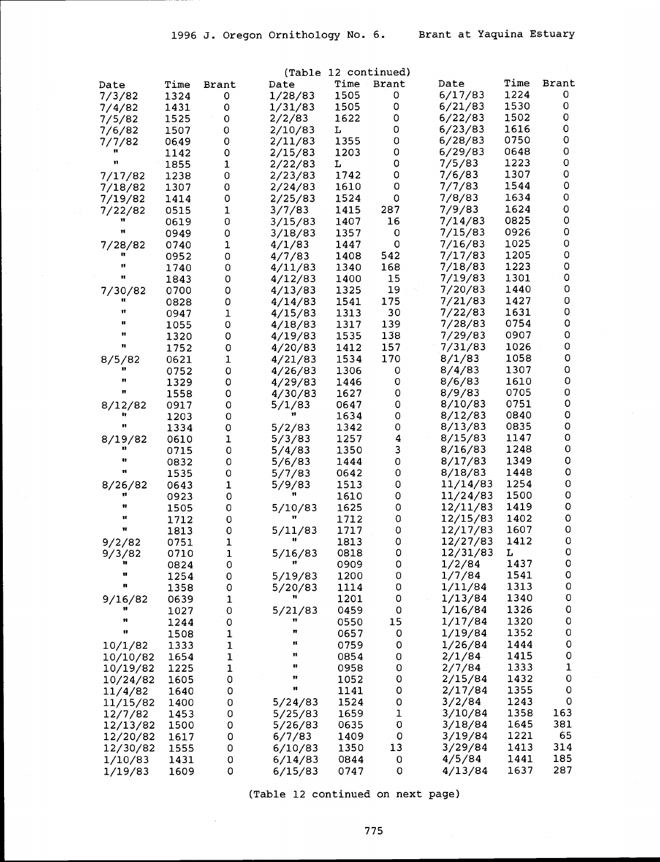|                     |              |                     |                    |              | (Table 12 continued) |                      |              |              |
|---------------------|--------------|---------------------|--------------------|--------------|----------------------|----------------------|--------------|--------------|
| Date                | Time         | Brant               | Date               | Time         | Brant                | Date                 | Time         | <b>Brant</b> |
| 7/3/82              | 1324         | 0                   | 1/28/83            | 1505         | 0                    | 6/17/83              | 1224         | 0            |
| 7/4/82              | 1431         | $\mathsf O$         | 1/31/83            | 1505         | 0                    | 6/21/83              | 1530         | 0            |
| 7/5/82              | 1525         | 0                   | 2/2/83             | 1622         | 0                    | 6/22/83              | 1502         | 0            |
| 7/6/82              | 1507         | 0                   | 2/10/83            | L            | 0                    | 6/23/83              | 1616         | 0            |
| 7/7/82              | 0649         | O                   | 2/11/83            | 1355         | 0                    | 6/28/83              | 0750         | 0            |
| 11                  | 1142         | $\circ$             | 2/15/83            | 1203         | 0                    | 6/29/83              | 0648         | 0<br>0       |
|                     | 1855         | $\mathbf 1$         | 2/22/83            | L            | 0<br>0               | 7/5/83<br>7/6/83     | 1223<br>1307 | 0            |
| 7/17/82             | 1238         | 0<br>0              | 2/23/83            | 1742<br>1610 | 0                    | 7/7/83               | 1544         | 0            |
| 7/18/82<br>7/19/82  | 1307<br>1414 | $\circ$             | 2/24/83<br>2/25/83 | 1524         | 0                    | 7/8/83               | 1634         | 0            |
| 7/22/82             | 0515         | $\mathbf 1$         | 3/7/83             | 1415         | 287                  | 7/9/83               | 1624         | 0            |
| n                   | 0619         | $\mathsf{O}\xspace$ | 3/15/83            | 1407         | 16                   | 7/14/83              | 0825         | 0            |
| Ħ                   | 0949         | 0                   | 3/18/83            | 1357         | 0                    | 7/15/83              | 0926         | 0            |
| 7/28/82             | 0740         | 1                   | 4/1/83             | 1447         | $\mathbf 0$          | 7/16/83              | 1025         | 0            |
|                     | 0952         | $\circ$             | 4/7/83             | 1408         | 542                  | 7/17/83              | 1205         | 0            |
| 11                  | 1740         | $\mathbf 0$         | 4/11/83            | 1340         | 168                  | 7/18/83              | 1223         | 0            |
| n                   | 1843         | 0                   | 4/12/83            | 1400         | 15                   | 7/19/83              | 1301         | 0            |
| 7/30/82             | 0700         | 0                   | 4/13/83            | 1325         | 19                   | 7/20/83              | 1440         | 0            |
| 17                  | 0828         | 0                   | 4/14/83            | 1541         | 175                  | 7/21/83              | 1427         | 0            |
| Ħ                   | 0947         | 1                   | 4/15/83            | 1313         | 30                   | 7/22/83              | 1631         | 0            |
| u<br>11             | 1055         | 0                   | 4/18/83            | 1317         | 139                  | 7/28/83              | 0754         | 0            |
| n                   | 1320         | 0                   | 4/19/83            | 1535         | 138                  | 7/29/83<br>7/31/83   | 0907         | 0<br>0       |
|                     | 1752         | $\circ$             | 4/20/83            | 1412         | 157<br>170           | 8/1/83               | 1026<br>1058 | 0            |
| 8/5/82<br>87        | 0621         | 1<br>0              | 4/21/83<br>4/26/83 | 1534<br>1306 | 0                    | 8/4/83               | 1307         | 0            |
| 11                  | 0752<br>1329 | 0                   | 4/29/83            | 1446         | 0                    | 8/6/83               | 1610         | 0            |
| 11                  | 1558         | 0                   | 4/30/83            | 1627         | 0                    | 8/9/83               | 0705         | 0            |
| 8/12/82             | 0917         | 0                   | 5/1/83             | 0647         | 0                    | 8/10/83              | 0751         | 0            |
| 17                  | 1203         | 0                   | Ħ                  | 1634         | 0                    | 8/12/83              | 0840         | 0            |
| n                   | 1334         | 0                   | 5/2/83             | 1342         | 0                    | 8/13/83              | 0835         | 0            |
| 8/19/82             | 0610         | 1                   | 5/3/83             | 1257         | 4                    | 8/15/83              | 1147         | 0            |
|                     | 0715         | 0                   | 5/4/83             | 1350         | 3                    | 8/16/83              | 1248         | 0            |
| u                   | 0832         | 0                   | 5/6/83             | 1444         | 0                    | 8/17/83              | 1349         | 0            |
| Ħ                   | 1535         | 0                   | 5/7/83             | 0642         | 0                    | 8/18/83              | 1448         | 0            |
| 8/26/82<br>17       | 0643         | $\mathbf{1}$        | 5/9/83             | 1513         | 0                    | 11/14/83             | 1254         | 0            |
| 17                  | 0923         | $\circ$             |                    | 1610         | 0                    | 11/24/83             | 1500<br>1419 | 0<br>O       |
| $\mathbf{u}$        | 1505         | $\circ$<br>$\circ$  | 5/10/83<br>11      | 1625<br>1712 | 0<br>0               | 12/11/83<br>12/15/83 | 1402         | 0            |
| Ħ                   | 1712<br>1813 | 0                   | 5/11/83            | 1717         | 0                    | 12/17/83             | 1607         | 0            |
| 9/2/82              | 0751         | $\mathbf 1$         |                    | 1813         | 0                    | 12/27/83             | 1412         | O            |
| 9/3/82              | 0710         | $\mathbf 1$         | 5/16/83            | 0818         | 0                    | 12/31/83             | L            | 0            |
| n                   | 0824         | 0                   | Ħ                  | 0909         | O                    | 1/2/84               | 1437         | 0            |
| 11                  | 1254         | 0                   | 5/19/83            | 1200         | 0                    | 1/7/84               | 1541         | 0            |
| н                   | 1358         | 0                   | 5/20/83            | 1114         | 0                    | 1/11/84              | 1313         | 0            |
| 9/16/82             | 0639         | 1                   |                    | 1201         | 0                    | 1/13/84              | 1340         | 0            |
|                     | 1027         | 0                   | 5/21/83            | 0459         | 0                    | 1/16/84              | 1326         | 0            |
| 11                  | 1244         | 0                   | 11                 | 0550         | 15                   | 1/17/84              | 1320         | 0            |
| Ħ                   | 1508         | 1                   | m                  | 0657         | 0                    | 1/19/84              | 1352         | 0            |
| 10/1/82             | 1333         | 1                   | 11<br>71           | 0759         | 0                    | 1/26/84              | 1444         | 0            |
| 10/10/82            | 1654         | 1                   | 17                 | 0854         | 0                    | 2/1/84               | 1415<br>1333 | 0<br>1       |
| 10/19/82            | 1225         | 1<br>0              | 11                 | 0958<br>1052 | 0<br>0               | 2/7/84<br>2/15/84    | 1432         | 0            |
| 10/24/82<br>11/4/82 | 1605<br>1640 | 0                   | Ħ                  | 1141         | 0                    | 2/17/84              | 1355         | 0            |
| 11/15/82            | 1400         | 0                   | 5/24/83            | 1524         | 0                    | 3/2/84               | 1243         | 0            |
| 12/7/82             | 1453         | 0                   | 5/25/83            | 1659         | 1                    | 3/10/84              | 1358         | 163          |
| 12/13/82            | 1500         | 0                   | 5/26/83            | 0635         | 0                    | 3/18/84              | 1645         | 381          |
| 12/20/82            | 1617         | O                   | 6/7/83             | 1409         | 0                    | 3/19/84              | 1221         | 65           |
| 12/30/82            | 1555         | 0                   | 6/10/83            | 1350         | 13                   | 3/29/84              | 1413         | 314          |
| 1/10/83             | 1431         | 0                   | 6/14/83            | 0844         | 0                    | 4/5/84               | 1441         | 185          |
| 1/19/83             | 1609         | 0                   | 6/15/83            | 0747         | 0                    | 4/13/84              | 1637         | 287          |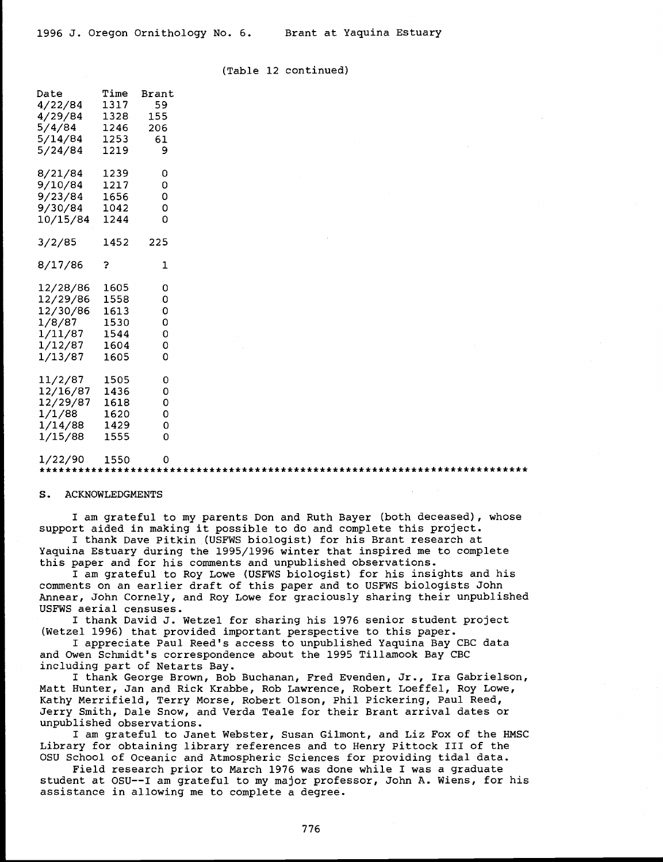#### (Table 12 continued)

| Date<br>4/22/84 1317<br>4/29/84 1328<br>5/4/84<br>5/14/84 1253<br>5/24/84             | Time<br>1246<br>1219                 | Brant<br>59<br>155<br>206<br>61<br>9 |  |
|---------------------------------------------------------------------------------------|--------------------------------------|--------------------------------------|--|
| 8/21/84 1239<br>9/10/84 1217<br>9/23/84 1656<br>9/30/84 1042<br>10/15/84 1244         |                                      | 0<br>0<br>0<br>0<br>0                |  |
| 3/2/85                                                                                | 1452                                 | 225                                  |  |
| 8/17/86                                                                               | ?                                    | ı                                    |  |
| 12/28/86<br>12/29/86 1558<br>12/30/86<br>1/8/87<br>1/11/87<br>1/12/87 1604<br>1/13/87 | 1605<br>1613<br>1530<br>1544<br>1605 | 0<br>0<br>0<br>0<br>0<br>0<br>0      |  |
| 11/2/87<br>12/16/87<br>12/29/87<br>1/1/88<br>1/14/88 1429<br>1/15/88                  | 1505<br>1436<br>1618<br>1620<br>1555 | 0<br>0<br>0<br>0<br>0<br>Ō           |  |

# $1/22/90$   $1550$  0  $0$   $1550$   $1550$   $1550$   $1550$   $1550$   $1550$   $1550$   $1550$   $1550$   $1550$   $1550$   $1550$   $1550$   $1550$   $1550$   $1550$   $1550$   $1550$   $1550$   $1550$   $1550$   $1550$   $1550$   $1550$   $1550$   $1550$   $1550$   $1550$   $1$

#### S. ACKNOWLEDGMENTS

I am grateful to my parents Don and Ruth Bayer (both deceased), whose support aided in making it possible to do and complete this project.

I thank Dave Pitkin (USFWS biologist) for his Brant research at Yaquina Estuary during the 1995/1996 winter that inspired me to complete this paper and for his comments and unpublished observations.

I am grateful to Roy Lowe (USFWS biologist) for his insights and his comments on an earlier draft of this paper and to USFWS biologists John Annear, John Cornely, and Roy Lowe for graciously sharing their unpublished USFWS aerial censuses.

I thank David J. Wetzel for sharing his 1976 senior student project (Wetzel 1996) that provided important perspective to this paper.

I appreciate Paul Reed's access to unpublished Yaquina Bay CBC data and Owen Schmidt's correspondence about the 1995 Tillamook Bay CBC including part of Netarts Bay.

I thank George Brown, Bob Buchanan, Fred Evenden, Jr., Ira Gabrielson, Matt Hunter, Jan and Rick Krabbe, Rob Lawrence, Robert Loeffel, Roy Lowe, Kathy Merrifield, Terry Morse, Robert Olson, Phil Pickering, Paul Reed, Jerry Smith, Dale Snow, and Verda Teale for their Brant arrival dates or unpublished observations.

I am grateful to Janet Webster, Susan Gilmont, and Liz Fox of the HMSC Library for obtaining library references and to Henry Pittock III of the OSU School of Oceanic and Atmospheric Sciences for providing tidal data.

Field research prior to March 1976 was done while I was a graduate student at OSU--I am grateful to my major professor, John A. Wiens, for his assistance in allowing me to complete a degree.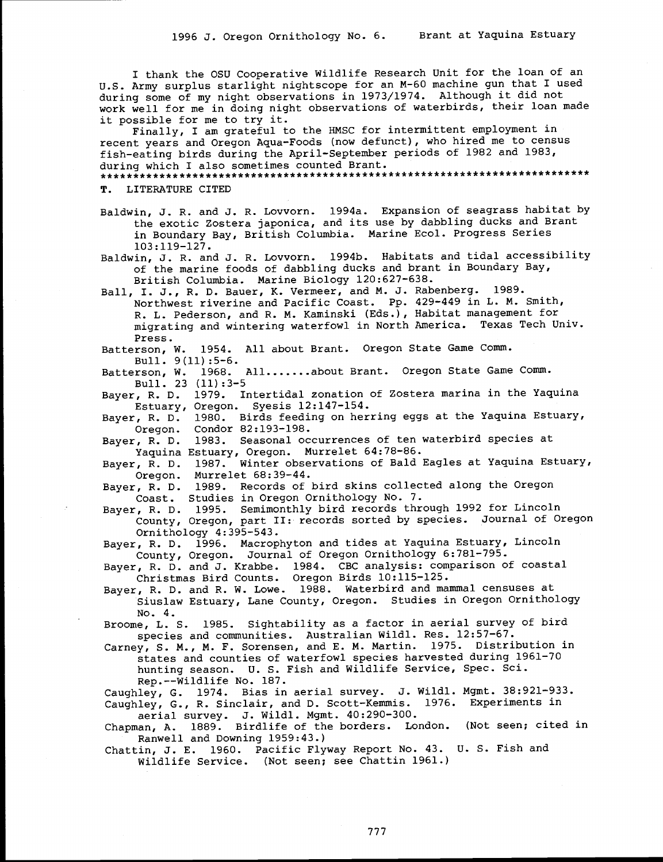I thank the OSU Cooperative Wildlife Research Unit for the loan of an U.S. Army surplus starlight nightscope for an M-60 machine gun that I used during some of my night observations in 1973/1974. Although it did not work well for me in doing night observations of waterbirds, their loan made it possible for me to try it.

Finally, I am grateful to the HMSC for intermittent employment in recent years and Oregon Aqua-Foods (now defunct), who hired me to census fish-eating birds during the April-September periods of 1982 and 1983, during which I also sometimes counted Brant.

T. LITERATURE CITED

Baldwin, J. R. and J. R. Lovvorn. 1994a. Expansion of seagrass habitat by the exotic Zostera japonica, and its use by dabbling ducks and Brant in Boundary Bay, British Columbia. Marine Ecol. Progress Series 103:119-127.

Baldwin, J. R. and J. R. Lovvorn. 1994b. Habitats and tidal accessibility of the marine foods of dabbling ducks and brant in Boundary Bay, British Columbia. Marine Biology 120:627-638.

Ball, I. J., R. D. Bauer, K. Vermeer, and M. J. Rabenberg. 1989. Northwest riverine and Pacific Coast. Pp. 429-449 in L. M. Smith, R. L. Pederson, and R. M. Kaminski (Eds.), Habitat management for migrating and wintering waterfowl in North America. Texas Tech Univ. Press.

Batterson, W. 1954. All about Brant. Oregon State Game Comm. Bull. 9(11):5-6.

Batterson, W. 1968. All....... about Brant. Oregon State Game Comm. Bull. 23 (11):3-5

Bayer, R. D. 1979. Intertidal zonation of Zostera marina in the Yaquina Estuary, Oregon. Syesis 12:147-154.

Bayer, R. D. 1980. Birds feeding on herring eggs at the Yaquina Estuary, Oregon. Condor 82:193-198.

Bayer, R. D. 1983. Seasonal occurrences of ten waterbird species at Yaquina Estuary, Oregon. Murrelet 64:78-86.

Bayer, R. D. 1987. Winter observations of Bald Eagles at Yaquina Estuary, Oregon. Murrelet 68:39-44.

Bayer, R. D. 1989. Records of bird skins collected along the Oregon Coast. Studies in Oregon Ornithology No. 7.

Bayer, R. D. 1995. Semimonthly bird records through 1992 for Lincoln County, Oregon, part II: records sorted by species. Journal of Oregon Ornithology 4:395-543.

Bayer, R. D. 1996. Macrophyton and tides at Yaquina Estuary, Lincoln County, Oregon. Journal of Oregon Ornithology 6:781-795.

Bayer, R. D. and J. Krabbe. 1984. CBC analysis: comparison of coastal Christmas Bird Counts. Oregon Birds 10:115-125.

Bayer, R. D. and R. W. Lowe. 1988. Waterbird and mammal censuses at Siuslaw Estuary, Lane County, Oregon. Studies in Oregon Ornithology No. 4.

Broome, L. S. 1985. Sightability as a factor in aerial survey of bird species and communities. Australian Wildl. Res. 12:57-67.

Carney, S. M., M. F. Sorensen, and E. M. Martin. 1975. Distribution in states and counties of waterfowl species harvested during 1961-70 hunting season. U. S. Fish and Wildlife Service, Spec. Sci. Rep.--Wildlife No. 187.

Caughley, G. 1974. Bias in aerial survey. J. Wildl. Mgmt. 38:921-933.

Caughley, G., R. Sinclair, and D. Scott-Kemmis. 1976. Experiments in aerial survey. J. Wildl. Mgmt. 40:290-300.

Chapman, A. 1889. Birdlife of the borders. London. (Not seen; cited in Ranwell and Downing 1959:43.)

Chattin, J. E. 1960. Pacific Flyway Report No. 43. U. S. Fish and Wildlife Service. (Not seen; see Chattin 1961.)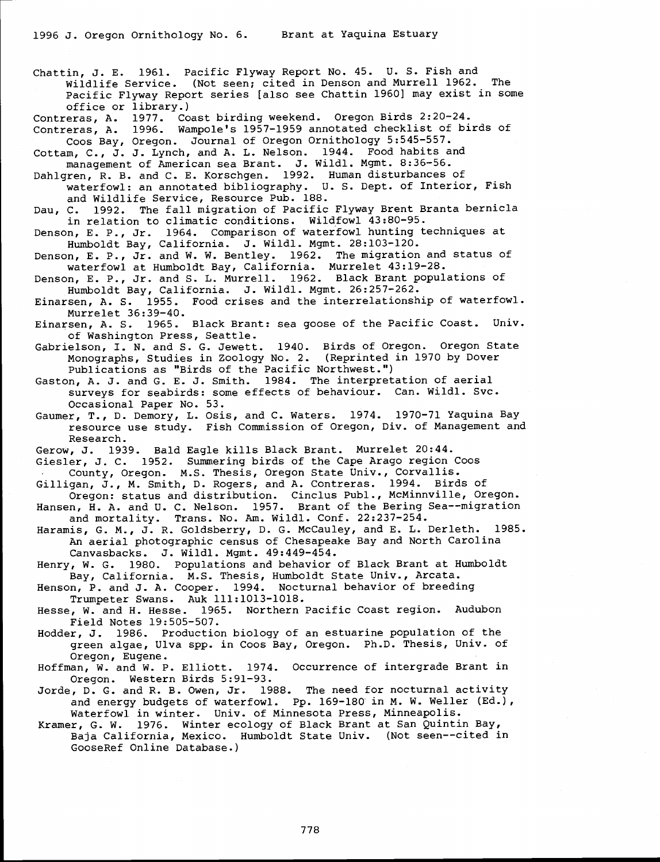Chattin, J. E. 1961. Pacific Flyway Report No. 45. U. S. Fish and Wildlife Service. (Not seen; cited in Denson and Murrell 1962. Pacific Flyway Report series [also see Chattin 1960] may exist in some office or library.)

Contreras, A. 1977. Coast birding weekend. Oregon Birds 2:20-24. Contreras, A. 1996. Wampole's 1957-1959 annotated checklist of birds of

Coos Bay, Oregon. Journal of Oregon Ornithology 5:545-557. Cottam, C., J. J. Lynch, and A. L. Nelson. 1944. Food habits and management of American sea Brant. J. Wildl. Mgmt. 8:36-56.

Dahlgren, R. B. and C. E. Korschgen. 1992. Human disturbances of waterfowl: an annotated bibliography. U. S. Dept. of Interior, Fish and Wildlife Service, Resource Pub. 188.

Dau, C. 1992. The fall migration of Pacific Flyway Brent Branta bernicla in relation to climatic conditions. Wildfowl 43:80-95.

Denson, E. P., Jr. 1964. Comparison of waterfowl hunting techniques at Humboldt Bay, California. J. Wildl. Mgmt. 28:103-120.

Denson, E. P., Jr. and W. W. Bentley. 1962. The migration and status of waterfowl at Humboldt Bay, California. Murrelet 43:19-28.

Denson, E. P., Jr. and S. L. Murrell. 1962. Black Brant populations of<br>Humboldt Bay, California. J. Wildl. Mgmt. 26:257-262.

Einarsen, A. S. 1955. Food crises and the interrelationship of waterfowl.<br>Murrelet 36:39-40.<br>Einarsen, A. S. 1965. Black Brant: sea goose of the Pacific Coast. Univ.

Einarsen, A. S. 1965. Black Brant: sea goose of the Pacific Coast.

of Washington Press, Seattle.<br>Gabrielson, I. N. and S. G. Jewett. 1940. Birds of Oregon. Oregon State Monographs, Studies in Zoology No. 2. (Reprinted in 1970 by Dover<br>Publications as "Birds of the Pacific Northwest.")<br>Gaston, A. J. and G. E. J. Smith. 1984. The interpretation of aerial

surveys for seabirds: some effects of behaviour. Can. Wildl. Svc. Occasional Paper No. 53.

Gaumer, T., D. Demory, L. Osis, and C. Waters. 1974. 1970-71 Yaquina Bay resource use study. Fish Commission of Oregon, Div. of Management and Research.

Gerow, J. 1939. Bald Eagle kills Black Brant. Murrelet 20:44.

Giesler, J. C.1952. Summering birds of the Cape Arago region Coos County, Oregon. M.S. Thesis, Oregon State Univ., Corvallis.

Gilligan, J., M. Smith, D. Rogers, and A. Contreras. 1994. Birds of Oregon: status and distribution. Cinclus Publ., McMinnville, Oregon.

Hansen, H. A. and U. C. Nelson. 1957. Brant of the Bering Sea--migration and mortality. Trans. No. Am. Wildl. Conf. 22:237-254.

Haramis, G. M., J. R. Goldsberry, D. G. McCauley, and E. L. Derleth. 1985. An aerial photographic census of Chesapeake Bay and North Carolina Canvasbacks. J. Wildl. Mgmt. 49:449-454.

Henry, W. G. 1980. Populations and behavior of Black Brant at Humboldt Bay, California. M.S. Thesis, Humboldt State Univ., Arcata.

Henson, P. and J. A. Cooper. 1994. Nocturnal behavior of breeding Trumpeter Swans. Auk 111:1013-1018.

Hesse, W. and H. Hesse. 1965. Northern Pacific Coast region. Audubon Field Notes 19:505-507.

Hodder, J. 1986. Production biology of an estuarine population of the green algae, Ulva spp. in Coos Bay, Oregon. Ph.D. Thesis, Univ. of

Oregon, Eugene. Hoffman, W. and W. P. Elliott. 1974. Occurrence of intergrade Brant in

Oregon. Western Birds 5:91-93.<br>Jorde, D. G. and R. B. Owen, Jr. 1988. The need for nocturnal activity

and energy budgets of waterfowl. Pp. 169-180 in M. W. Weller (Ed.),<br>Waterfowl in winter. Univ. of Minnesota Press, Minneapolis.<br>Kramer, G. W. 1976. Winter ecology of Black Brant at San Quintin Bay,<br>Baja California, Mexico.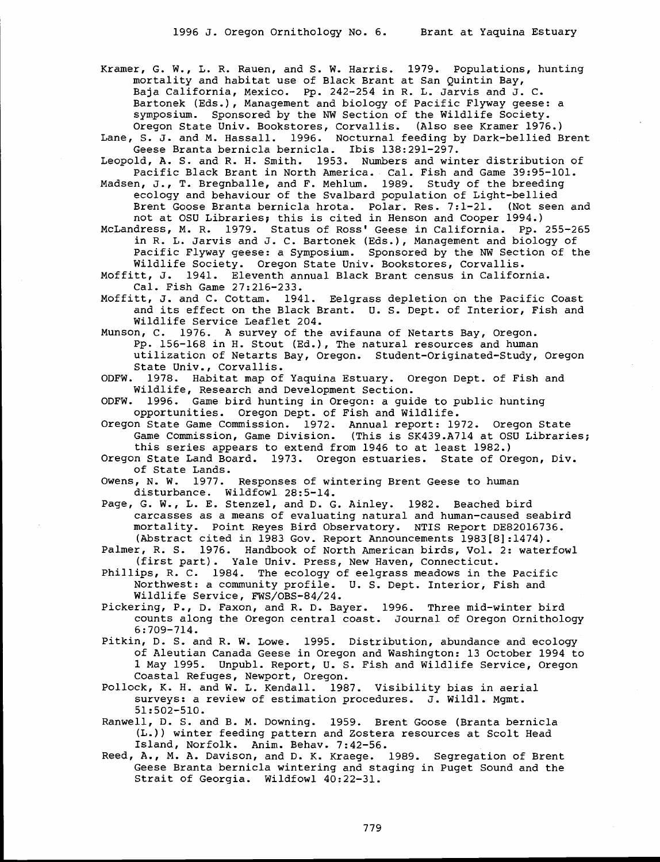Kramer, G. W., L. R. Rauen, and S. W. Harris. 1979. Populations, hunting mortality and habitat use of Black Brant at San Quintin Bay, Baja California, Mexico. Pp. 242-254 in R. L. Jarvis and J. C. Bartonek (Eds.), Management and biology of Pacific Flyway geese: a symposium. Sponsored by the NW Section of the Wildlife Society. Oregon State Univ. Bookstores, Corvallis. (Also see Kramer 1976.)

Lane, S. J. and M. Hassall. 1996. Nocturnal feeding by Dark-bellied Brent Geese Branta bernicla bernicla. This 138:291-297.

Leopold, A. S. and R. H. Smith. 1953. Numbers and winter distribution of Pacific Black Brant in North America. Cal. Fish and Game 39:95-101.

Madsen, J., T. Bregnballe, and F. Mehlum. 1989. Study of the breeding ecology and behaviour of the Svalbard population of Light-bellied Brent Goose Branta bernicla hrota. Polar. Res. 7:1-21. (Not seen and not at OSU Libraries; this is cited in Henson and Cooper 1994.)

McLandress, M. R. 1979. Status of Ross' Geese in California. Pp. 255-265 in R. L. Jarvis and J. C. Bartonek (Eds.), Management and biology of Pacific Flyway geese: a Symposium. Sponsored by the NW Section of the Wildlife Society. Oregon State Univ. Bookstores, Corvallis.

Moffitt, J. 1941. Eleventh annual Black Brant census in California. Cal. Fish Game 27:216-233.

Moffitt, J. and C. Cottam. 1941. Eelgrass depletion on the Pacific Coast and its effect on the Black Brant. U. S. Dept. of Interior, Fish and Wildlife Service Leaflet 204.

Munson, C. 1976. A survey of the avifauna of Netarts Bay, Oregon. Pp. 156-168 in H. Stout (Ed.), The natural resources and human utilization of Netarts Bay, Oregon. Student-Originated-Study, Oregon State Univ., Corvallis.

ODFW. 1978. Habitat map of Yaquina Estuary. Oregon Dept. of Fish and Wildlife, Research and Development Section.<br>ODFW. 1996. Game bird hunting in Oregon: a qui

1996. Game bird hunting in Oregon: a guide to public hunting opportunities. Oregon Dept. of Fish and Wildlife.

Oregon State Game Commission. 1972. Annual report: 1972. Oregon State Game Commission, Game Division. (This is SK439.A714 at OSU Libraries; this series appears to extend from 1946 to at least 1982.)

Oregon State Land Board. 1973. Oregon estuaries. State of Oregon, Div. of State Lands.

Owens, N. W. 1977. Responses of wintering Brent Geese to human disturbance. Wildfowl 28:5-14.

Page, G. W., L. E. Stenzel, and D. G. Ainley. 1982. Beached bird carcasses as a means of evaluating natural and human-caused seabird mortality. Point Reyes Bird Observatory. NTIS Report DE82016736. (Abstract cited in 1983 Gov. Report Announcements 1983[8]:1474).

Palmer, R. S. 1976. Handbook of North American birds, Vol. 2: waterfowl (first part). Yale Univ. Press, New Haven, Connecticut.

Phillips, R. C. 1984. The ecology of eelgrass meadows in the Pacific Northwest: a community profile. U. S. Dept. Interior, Fish and Wildlife Service, FWS/OBS-84/24.

Pickering, P., D. Faxon, and R. D. Bayer. 1996. Three mid-winter bird counts along the Oregon central coast. Journal of Oregon Ornithology 6:709-714.

Pitkin, D. S. and R. W. Lowe. 1995. Distribution, abundance and ecology of Aleutian Canada Geese in Oregon and Washington: 13 October 1994 to 1 May 1995. Unpubl. Report, U. S. Fish and Wildlife Service, Oregon Coastal Refuges, Newport, Oregon.

Pollock, K. H. and W. L. Kendall. 1987. Visibility bias in aerial surveys: a review of estimation procedures. J. Wildl. Mgmt. 51:502-510.

Ranwell, D. S. and B. M. Downing. 1959. Brent Goose (Branta bernicla (L.)) winter feeding pattern and Zostera resources at Scolt Head Island, Norfolk. Anim. Behav. 7:42-56.

Reed, A., M. A. Davison, and D. K. Kraege. 1989. Segregation of Brent Geese Branta bernicla wintering and staging in Puget Sound and the Strait of Georgia. Wildfowl 40:22-31.